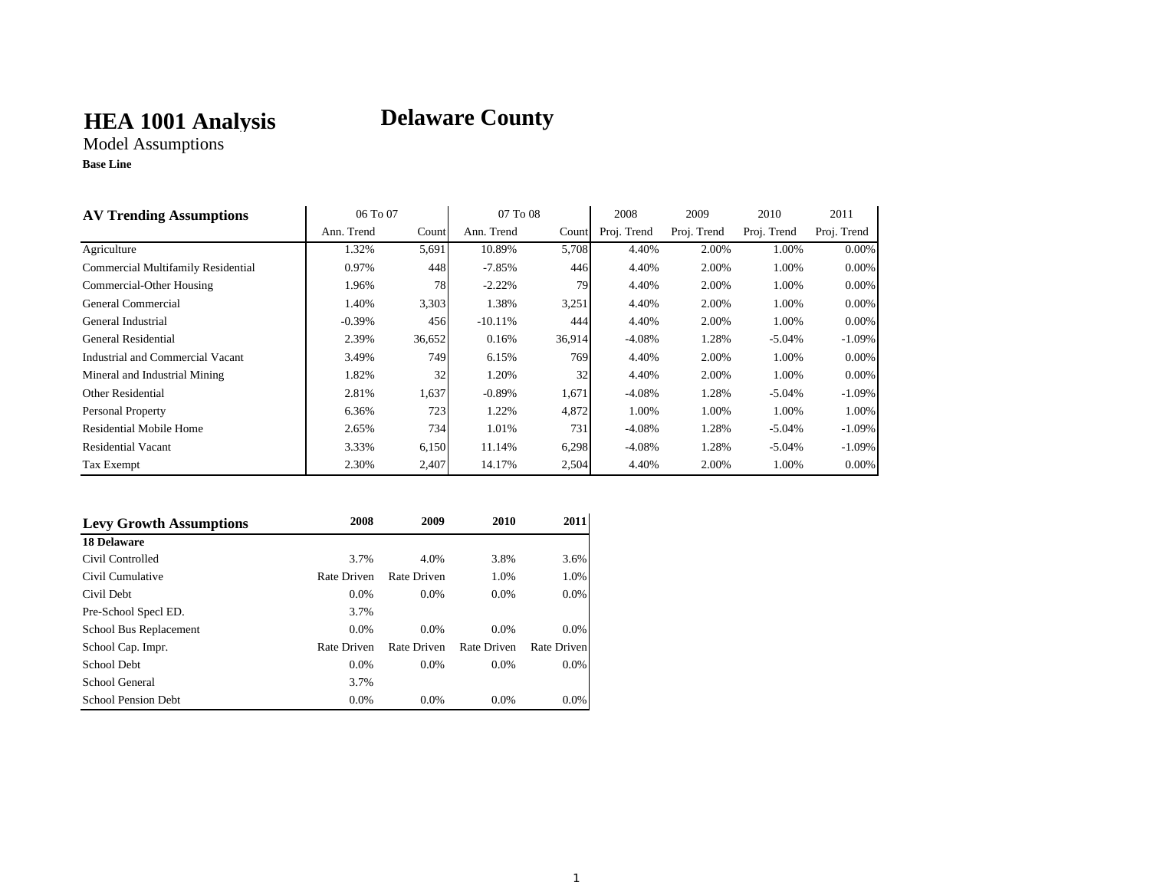## **HEA 1001 Analysis**

# **Delaware County**

Model Assumptions **Base Line**

| <b>AV Trending Assumptions</b>     | 06 To 07   |        | 07 To 08   |        | 2008        | 2009        | 2010        | 2011        |
|------------------------------------|------------|--------|------------|--------|-------------|-------------|-------------|-------------|
|                                    | Ann. Trend | Count  | Ann. Trend | Count  | Proj. Trend | Proj. Trend | Proj. Trend | Proj. Trend |
| Agriculture                        | 1.32%      | 5,691  | 10.89%     | 5,708  | 4.40%       | 2.00%       | 1.00%       | 0.00%       |
| Commercial Multifamily Residential | 0.97%      | 448    | $-7.85%$   | 446    | 4.40%       | 2.00%       | 1.00%       | 0.00%       |
| Commercial-Other Housing           | 1.96%      | 78     | $-2.22%$   | 79     | 4.40%       | 2.00%       | 1.00%       | 0.00%       |
| General Commercial                 | 1.40%      | 3,303  | 1.38%      | 3,251  | 4.40%       | 2.00%       | 1.00%       | 0.00%       |
| General Industrial                 | $-0.39\%$  | 456    | $-10.11%$  | 444    | 4.40%       | 2.00%       | 1.00%       | 0.00%       |
| General Residential                | 2.39%      | 36,652 | 0.16%      | 36,914 | $-4.08%$    | 1.28%       | $-5.04\%$   | $-1.09\%$   |
| Industrial and Commercial Vacant   | 3.49%      | 749    | 6.15%      | 769    | 4.40%       | 2.00%       | 1.00%       | 0.00%       |
| Mineral and Industrial Mining      | 1.82%      | 32     | 1.20%      | 32     | 4.40%       | 2.00%       | 1.00%       | 0.00%       |
| <b>Other Residential</b>           | 2.81%      | 1,637  | $-0.89%$   | 1,671  | $-4.08%$    | 1.28%       | $-5.04%$    | $-1.09\%$   |
| <b>Personal Property</b>           | 6.36%      | 723    | 1.22%      | 4,872  | 1.00%       | 1.00%       | 1.00%       | 1.00%       |
| Residential Mobile Home            | 2.65%      | 734    | 1.01%      | 731    | $-4.08\%$   | 1.28%       | $-5.04%$    | $-1.09\%$   |
| <b>Residential Vacant</b>          | 3.33%      | 6,150  | 11.14%     | 6,298  | $-4.08%$    | 1.28%       | $-5.04%$    | $-1.09\%$   |
| Tax Exempt                         | 2.30%      | 2,407  | 14.17%     | 2,504  | 4.40%       | 2.00%       | 1.00%       | $0.00\%$    |

| <b>Levy Growth Assumptions</b> | 2008        | 2009        | 2010        | 2011        |
|--------------------------------|-------------|-------------|-------------|-------------|
| <b>18 Delaware</b>             |             |             |             |             |
| Civil Controlled               | 3.7%        | 4.0%        | 3.8%        | 3.6%        |
| Civil Cumulative               | Rate Driven | Rate Driven | 1.0%        | 1.0%        |
| Civil Debt                     | $0.0\%$     | $0.0\%$     | $0.0\%$     | $0.0\%$     |
| Pre-School Specl ED.           | 3.7%        |             |             |             |
| School Bus Replacement         | $0.0\%$     | $0.0\%$     | $0.0\%$     | $0.0\%$     |
| School Cap. Impr.              | Rate Driven | Rate Driven | Rate Driven | Rate Driven |
| School Debt                    | $0.0\%$     | $0.0\%$     | $0.0\%$     | $0.0\%$     |
| School General                 | 3.7%        |             |             |             |
| <b>School Pension Debt</b>     | $0.0\%$     | $0.0\%$     | $0.0\%$     | 0.0%        |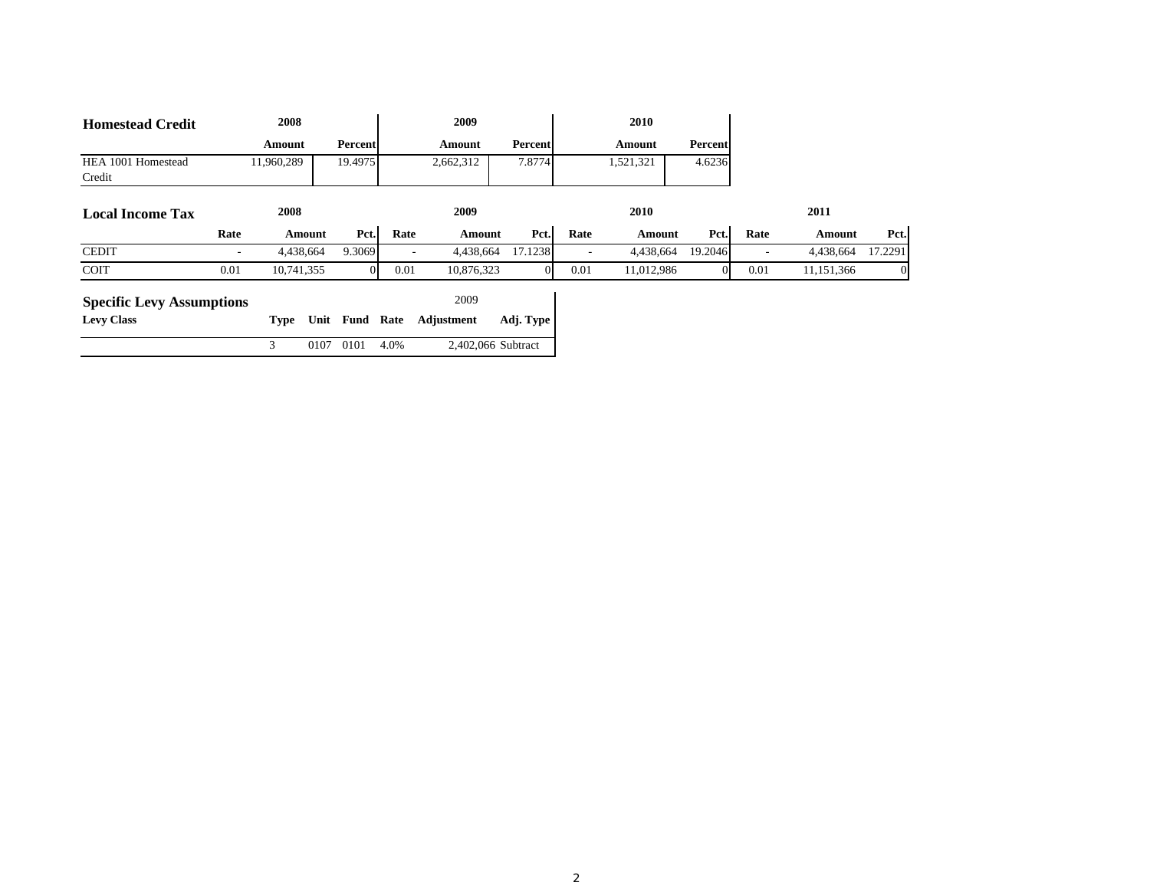| <b>Homestead Credit</b>          |      | 2008       |           |          |      | 2009       |                    |      | 2010       |         |      |              |         |
|----------------------------------|------|------------|-----------|----------|------|------------|--------------------|------|------------|---------|------|--------------|---------|
|                                  |      | Amount     |           | Percent  |      | Amount     | Percent            |      | Amount     | Percent |      |              |         |
| HEA 1001 Homestead<br>Credit     |      | 11,960,289 |           | 19.4975  |      | 2,662,312  | 7.8774             |      | 1,521,321  | 4.6236  |      |              |         |
| <b>Local Income Tax</b>          |      | 2008       |           |          |      | 2009       |                    |      | 2010       |         |      | 2011         |         |
|                                  | Rate |            | Amount    | Pct.     | Rate | Amount     | Pct.               | Rate | Amount     | Pct.    | Rate | Amount       | Pct.    |
| <b>CEDIT</b>                     | ٠    |            | 4,438,664 | 9.3069   |      | 4,438,664  | 17.1238            |      | 4,438,664  | 19.2046 |      | 4,438,664    | 17.2291 |
| <b>COIT</b>                      | 0.01 | 10,741,355 |           | $\Omega$ | 0.01 | 10,876,323 | $\Omega$           | 0.01 | 11,012,986 |         | 0.01 | 11, 151, 366 |         |
| <b>Specific Levy Assumptions</b> |      |            |           |          |      | 2009       |                    |      |            |         |      |              |         |
| <b>Levy Class</b>                |      | Type       | Unit      | Fund     | Rate | Adjustment | Adj. Type          |      |            |         |      |              |         |
|                                  |      | 3          | 0107      | 0101     | 4.0% |            | 2,402,066 Subtract |      |            |         |      |              |         |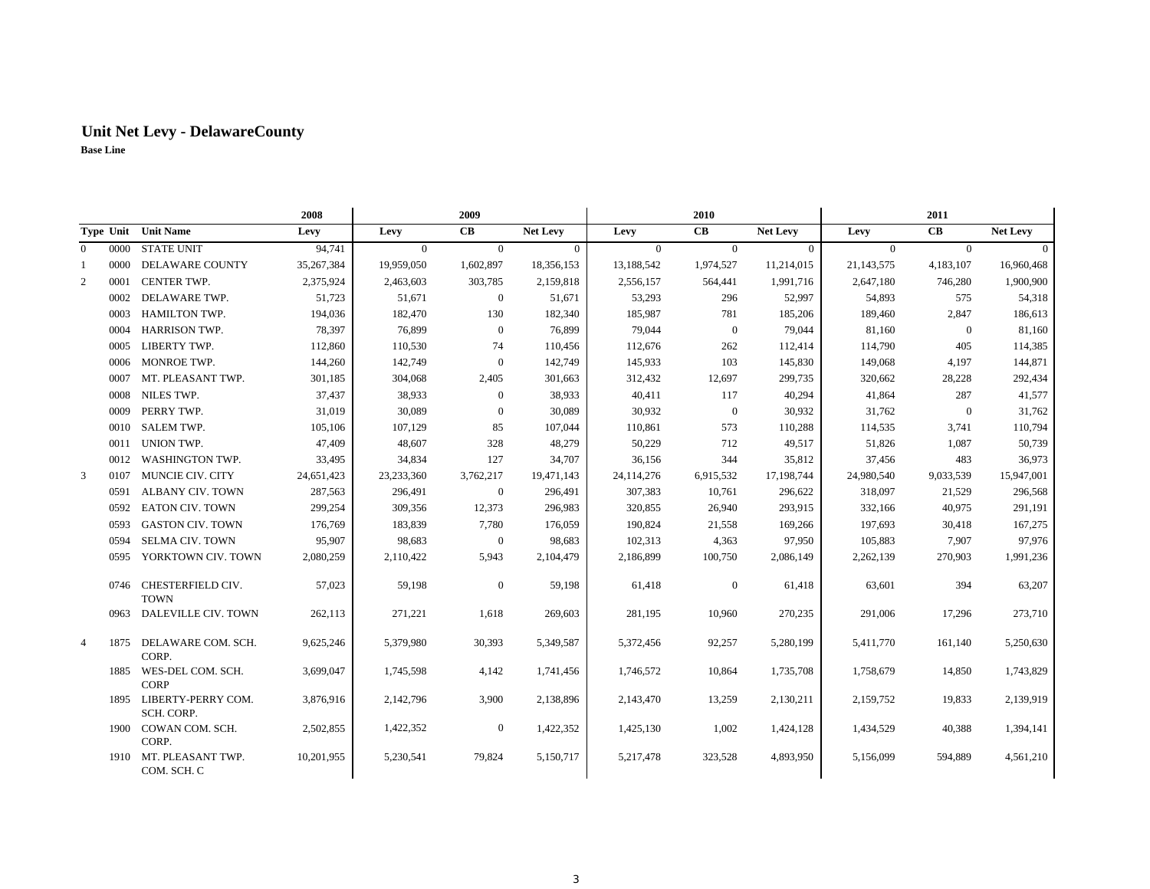|                |      |                                       | 2008       |                | 2009           |                 |                | 2010           |                 |                | 2011           |                 |
|----------------|------|---------------------------------------|------------|----------------|----------------|-----------------|----------------|----------------|-----------------|----------------|----------------|-----------------|
|                |      | Type Unit Unit Name                   | Levy       | Levy           | CB             | <b>Net Levy</b> | Levy           | CB             | <b>Net Levy</b> | Levy           | CB             | <b>Net Levy</b> |
| $\Omega$       | 0000 | <b>STATE UNIT</b>                     | 94,741     | $\overline{0}$ | $\overline{0}$ | $\overline{0}$  | $\overline{0}$ | $\overline{0}$ | $\mathbf{0}$    | $\overline{0}$ | $\overline{0}$ | $\theta$        |
| 1              | 0000 | <b>DELAWARE COUNTY</b>                | 35,267,384 | 19,959,050     | 1,602,897      | 18,356,153      | 13,188,542     | 1,974,527      | 11,214,015      | 21,143,575     | 4,183,107      | 16,960,468      |
| 2              | 0001 | CENTER TWP.                           | 2,375,924  | 2,463,603      | 303,785        | 2,159,818       | 2,556,157      | 564,441        | 1,991,716       | 2,647,180      | 746,280        | 1,900,900       |
|                | 0002 | DELAWARE TWP.                         | 51,723     | 51,671         | $\mathbf{0}$   | 51,671          | 53,293         | 296            | 52,997          | 54,893         | 575            | 54,318          |
|                | 0003 | <b>HAMILTON TWP.</b>                  | 194,036    | 182,470        | 130            | 182,340         | 185,987        | 781            | 185,206         | 189,460        | 2,847          | 186,613         |
|                | 0004 | <b>HARRISON TWP.</b>                  | 78,397     | 76,899         | $\mathbf{0}$   | 76,899          | 79,044         | $\overline{0}$ | 79,044          | 81,160         | $\overline{0}$ | 81,160          |
|                | 0005 | LIBERTY TWP.                          | 112,860    | 110,530        | 74             | 110,456         | 112,676        | 262            | 112,414         | 114,790        | 405            | 114,385         |
|                | 0006 | MONROE TWP.                           | 144,260    | 142,749        | $\mathbf{0}$   | 142,749         | 145,933        | 103            | 145,830         | 149,068        | 4,197          | 144,871         |
|                | 0007 | MT. PLEASANT TWP.                     | 301,185    | 304,068        | 2,405          | 301,663         | 312,432        | 12,697         | 299,735         | 320,662        | 28,228         | 292,434         |
|                | 0008 | <b>NILES TWP.</b>                     | 37,437     | 38,933         | $\mathbf{0}$   | 38,933          | 40,411         | 117            | 40,294          | 41,864         | 287            | 41,577          |
|                | 0009 | PERRY TWP.                            | 31,019     | 30,089         | $\mathbf{0}$   | 30,089          | 30,932         | $\overline{0}$ | 30,932          | 31,762         | $\overline{0}$ | 31,762          |
|                | 0010 | <b>SALEM TWP.</b>                     | 105,106    | 107,129        | 85             | 107,044         | 110,861        | 573            | 110,288         | 114,535        | 3,741          | 110,794         |
|                | 0011 | UNION TWP.                            | 47,409     | 48,607         | 328            | 48,279          | 50,229         | 712            | 49,517          | 51,826         | 1,087          | 50,739          |
|                | 0012 | WASHINGTON TWP.                       | 33,495     | 34,834         | 127            | 34,707          | 36,156         | 344            | 35,812          | 37,456         | 483            | 36,973          |
| $\overline{3}$ | 0107 | MUNCIE CIV. CITY                      | 24,651,423 | 23,233,360     | 3,762,217      | 19,471,143      | 24,114,276     | 6,915,532      | 17,198,744      | 24,980,540     | 9,033,539      | 15,947,001      |
|                | 0591 | <b>ALBANY CIV. TOWN</b>               | 287,563    | 296,491        | $\mathbf{0}$   | 296,491         | 307,383        | 10,761         | 296,622         | 318,097        | 21,529         | 296,568         |
|                | 0592 | <b>EATON CIV. TOWN</b>                | 299,254    | 309,356        | 12,373         | 296,983         | 320,855        | 26,940         | 293,915         | 332,166        | 40,975         | 291,191         |
|                | 0593 | <b>GASTON CIV. TOWN</b>               | 176,769    | 183,839        | 7,780          | 176,059         | 190,824        | 21,558         | 169,266         | 197,693        | 30,418         | 167,275         |
|                | 0594 | <b>SELMA CIV. TOWN</b>                | 95,907     | 98,683         | $\mathbf{0}$   | 98,683          | 102,313        | 4,363          | 97,950          | 105,883        | 7,907          | 97,976          |
|                | 0595 | YORKTOWN CIV. TOWN                    | 2,080,259  | 2,110,422      | 5,943          | 2,104,479       | 2,186,899      | 100,750        | 2,086,149       | 2,262,139      | 270,903        | 1,991,236       |
|                |      | 0746 CHESTERFIELD CIV.<br><b>TOWN</b> | 57,023     | 59,198         | $\mathbf{0}$   | 59,198          | 61,418         | $\mathbf{0}$   | 61,418          | 63,601         | 394            | 63,207          |
|                | 0963 | DALEVILLE CIV. TOWN                   | 262,113    | 271,221        | 1,618          | 269,603         | 281,195        | 10,960         | 270,235         | 291,006        | 17,296         | 273,710         |
| $\overline{4}$ | 1875 | DELAWARE COM. SCH.<br>CORP.           | 9,625,246  | 5,379,980      | 30,393         | 5,349,587       | 5,372,456      | 92,257         | 5,280,199       | 5,411,770      | 161,140        | 5,250,630       |
|                |      | 1885 WES-DEL COM. SCH.<br><b>CORP</b> | 3,699,047  | 1,745,598      | 4,142          | 1,741,456       | 1,746,572      | 10,864         | 1,735,708       | 1,758,679      | 14,850         | 1,743,829       |
|                | 1895 | LIBERTY-PERRY COM.<br>SCH. CORP.      | 3,876,916  | 2,142,796      | 3,900          | 2,138,896       | 2,143,470      | 13,259         | 2,130,211       | 2,159,752      | 19,833         | 2,139,919       |
|                | 1900 | COWAN COM. SCH.<br>CORP.              | 2,502,855  | 1,422,352      | $\mathbf{0}$   | 1,422,352       | 1,425,130      | 1,002          | 1,424,128       | 1,434,529      | 40,388         | 1,394,141       |
|                | 1910 | MT. PLEASANT TWP.<br>COM. SCH. C      | 10,201,955 | 5,230,541      | 79,824         | 5,150,717       | 5,217,478      | 323,528        | 4,893,950       | 5,156,099      | 594,889        | 4,561,210       |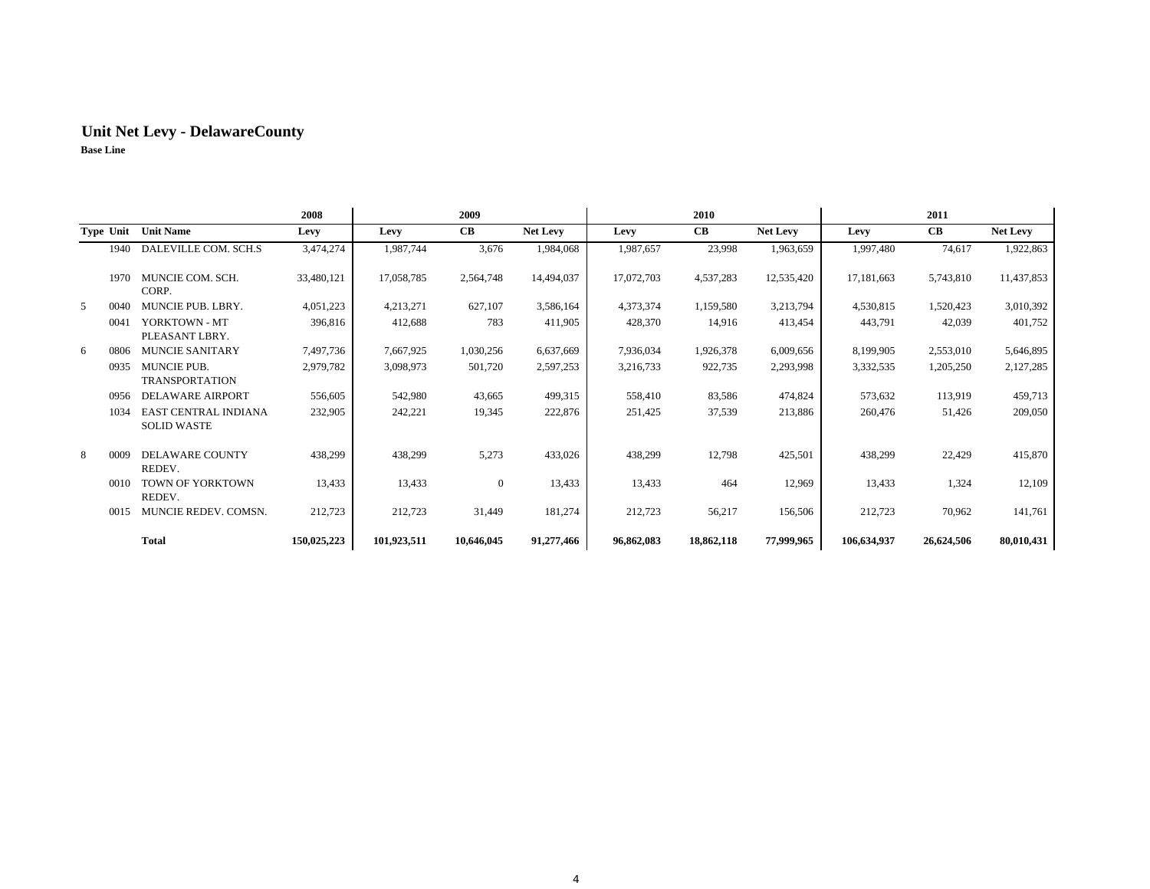|   |      |                                             | 2008        |             | 2009             |                 |            | 2010       |            |             | 2011       |            |
|---|------|---------------------------------------------|-------------|-------------|------------------|-----------------|------------|------------|------------|-------------|------------|------------|
|   |      | Type Unit Unit Name                         | Levy        | Levy        | <b>CB</b>        | <b>Net Levy</b> | Levy       | <b>CB</b>  | Net Levy   | Levy        | <b>CB</b>  | Net Levy   |
|   | 1940 | DALEVILLE COM. SCH.S                        | 3,474,274   | 1,987,744   | 3,676            | 1,984,068       | 1,987,657  | 23,998     | 1,963,659  | 1,997,480   | 74,617     | 1,922,863  |
|   | 1970 | MUNCIE COM. SCH.<br>CORP.                   | 33,480,121  | 17,058,785  | 2,564,748        | 14,494,037      | 17,072,703 | 4,537,283  | 12,535,420 | 17,181,663  | 5,743,810  | 11,437,853 |
| 5 | 0040 | MUNCIE PUB. LBRY.                           | 4,051,223   | 4,213,271   | 627,107          | 3,586,164       | 4,373,374  | 1,159,580  | 3,213,794  | 4,530,815   | 1,520,423  | 3,010,392  |
|   | 0041 | YORKTOWN - MT<br>PLEASANT LBRY.             | 396,816     | 412,688     | 783              | 411,905         | 428,370    | 14,916     | 413,454    | 443,791     | 42,039     | 401,752    |
| 6 | 0806 | <b>MUNCIE SANITARY</b>                      | 7,497,736   | 7,667,925   | 1,030,256        | 6,637,669       | 7,936,034  | 1,926,378  | 6,009,656  | 8,199,905   | 2,553,010  | 5,646,895  |
|   | 0935 | <b>MUNCIE PUB.</b><br><b>TRANSPORTATION</b> | 2,979,782   | 3,098,973   | 501,720          | 2,597,253       | 3,216,733  | 922,735    | 2,293,998  | 3,332,535   | 1,205,250  | 2,127,285  |
|   | 0956 | DELAWARE AIRPORT                            | 556,605     | 542,980     | 43,665           | 499,315         | 558,410    | 83,586     | 474,824    | 573,632     | 113,919    | 459,713    |
|   | 1034 | EAST CENTRAL INDIANA<br><b>SOLID WASTE</b>  | 232,905     | 242,221     | 19,345           | 222,876         | 251,425    | 37,539     | 213,886    | 260,476     | 51,426     | 209,050    |
| 8 | 0009 | DELAWARE COUNTY<br>REDEV.                   | 438,299     | 438,299     | 5,273            | 433,026         | 438,299    | 12,798     | 425,501    | 438,299     | 22,429     | 415,870    |
|   | 0010 | TOWN OF YORKTOWN<br>REDEV.                  | 13,433      | 13,433      | $\boldsymbol{0}$ | 13,433          | 13,433     | 464        | 12,969     | 13,433      | 1,324      | 12,109     |
|   | 0015 | MUNCIE REDEV. COMSN.                        | 212,723     | 212,723     | 31,449           | 181,274         | 212,723    | 56,217     | 156,506    | 212,723     | 70,962     | 141,761    |
|   |      | <b>Total</b>                                | 150,025,223 | 101,923,511 | 10,646,045       | 91,277,466      | 96,862,083 | 18,862,118 | 77,999,965 | 106,634,937 | 26,624,506 | 80,010,431 |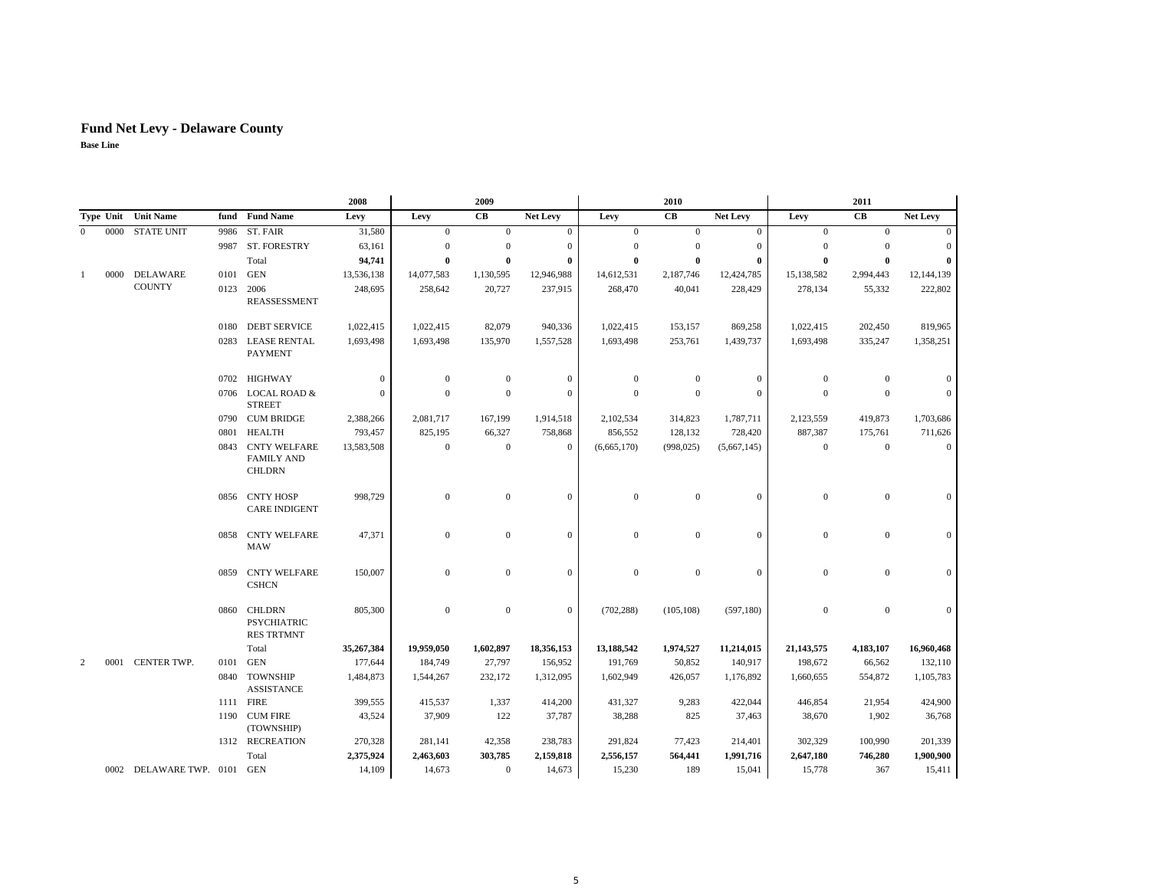## **Fund Net Levy - Delaware County**

|          |      |                         |                                                           |                                                          | 2008             |                  | 2009           |              |                  | 2010             |                  |                  | 2011           |                |
|----------|------|-------------------------|-----------------------------------------------------------|----------------------------------------------------------|------------------|------------------|----------------|--------------|------------------|------------------|------------------|------------------|----------------|----------------|
|          |      | Type Unit Unit Name     |                                                           | fund Fund Name                                           | Levy             | Levy             | CB             | Net Levy     | Levy             | CB               | Net Levy         | Levy             | CB             | Net Levy       |
| $\Omega$ | 0000 | <b>STATE UNIT</b>       | 9986                                                      | ST. FAIR                                                 | 31,580           | $\boldsymbol{0}$ | $\mathbf{0}$   | $\mathbf{0}$ | $\boldsymbol{0}$ | $\mathbf{0}$     | $\boldsymbol{0}$ | $\boldsymbol{0}$ | $\mathbf{0}$   | $\overline{0}$ |
|          |      |                         | 9987                                                      | ST. FORESTRY                                             | 63,161           | $\boldsymbol{0}$ | $\theta$       | $\mathbf{0}$ | $\boldsymbol{0}$ | $\mathbf{0}$     | $\mathbf{0}$     | $\theta$         | $\theta$       | $\overline{0}$ |
|          |      |                         |                                                           | Total                                                    | 94,741           | $\bf{0}$         | $\theta$       | $\bf{0}$     | $\bf{0}$         | $\mathbf{0}$     | 0                | $\theta$         | $\mathbf{0}$   | $\bf{0}$       |
| 1        | 0000 | DELAWARE                | 0101                                                      | <b>GEN</b>                                               | 13,536,138       | 14,077,583       | 1,130,595      | 12,946,988   | 14,612,531       | 2,187,746        | 12,424,785       | 15,138,582       | 2,994,443      | 12,144,139     |
|          |      | <b>COUNTY</b>           | 0123                                                      | 2006<br><b>REASSESSMENT</b>                              | 248,695          | 258,642          | 20,727         | 237,915      | 268,470          | 40,041           | 228,429          | 278,134          | 55,332         | 222,802        |
|          |      |                         | 0180                                                      | <b>DEBT SERVICE</b>                                      | 1,022,415        | 1,022,415        | 82,079         | 940,336      | 1,022,415        | 153,157          | 869,258          | 1,022,415        | 202,450        | 819,965        |
|          |      |                         |                                                           | 0283 LEASE RENTAL<br><b>PAYMENT</b>                      | 1,693,498        | 1,693,498        | 135,970        | 1,557,528    | 1,693,498        | 253,761          | 1,439,737        | 1,693,498        | 335,247        | 1,358,251      |
|          |      |                         |                                                           | 0702 HIGHWAY                                             | $\mathbf{0}$     | $\boldsymbol{0}$ | $\mathbf{0}$   | $\mathbf{0}$ | $\boldsymbol{0}$ | $\mathbf{0}$     | $\boldsymbol{0}$ | $\theta$         | $\mathbf{0}$   | $\overline{0}$ |
|          |      |                         |                                                           | 0706 LOCAL ROAD &<br><b>STREET</b>                       | $\mathbf{0}$     | $\mathbf{0}$     | $\theta$       | $\theta$     | $\mathbf{0}$     | $\mathbf{0}$     | $\mathbf{0}$     | $\mathbf{0}$     | $\mathbf{0}$   | $\overline{0}$ |
|          |      |                         |                                                           | 0790 CUM BRIDGE                                          | 2,388,266        | 2,081,717        | 167,199        | 1,914,518    | 2,102,534        | 314,823          | 1,787,711        | 2,123,559        | 419,873        | 1,703,686      |
|          |      |                         | 0801                                                      | <b>HEALTH</b>                                            | 793,457          | 825,195          | 66,327         | 758,868      | 856,552          | 128,132          | 728,420          | 887,387          | 175,761        | 711,626        |
|          |      | 0843                    | <b>CNTY WELFARE</b><br><b>FAMILY AND</b><br><b>CHLDRN</b> | 13,583,508                                               | $\boldsymbol{0}$ | $\mathbf{0}$     | $\mathbf{0}$   | (6,665,170)  | (998, 025)       | (5,667,145)      | $\overline{0}$   | $\mathbf{0}$     | $\overline{0}$ |                |
|          |      |                         |                                                           | 0856 CNTY HOSP<br><b>CARE INDIGENT</b>                   | 998,729          | $\boldsymbol{0}$ | $\mathbf{0}$   | $\mathbf{0}$ | $\boldsymbol{0}$ | $\boldsymbol{0}$ | $\boldsymbol{0}$ | $\boldsymbol{0}$ | $\mathbf{0}$   | $\overline{0}$ |
|          |      |                         | 0858                                                      | <b>CNTY WELFARE</b><br><b>MAW</b>                        | 47,371           | $\boldsymbol{0}$ | $\mathbf{0}$   | $\mathbf{0}$ | $\boldsymbol{0}$ | $\mathbf{0}$     | $\boldsymbol{0}$ | $\mathbf{0}$     | $\mathbf{0}$   | $\mathbf{0}$   |
|          |      |                         | 0859                                                      | <b>CNTY WELFARE</b><br><b>CSHCN</b>                      | 150,007          | $\mathbf{0}$     | $\mathbf{0}$   | $\mathbf{0}$ | $\mathbf{0}$     | $\mathbf{0}$     | $\mathbf{0}$     | $\mathbf{0}$     | $\mathbf{0}$   | $\overline{0}$ |
|          |      |                         | 0860                                                      | <b>CHLDRN</b><br><b>PSYCHIATRIC</b><br><b>RES TRTMNT</b> | 805,300          | $\boldsymbol{0}$ | $\mathbf{0}$   | $\mathbf{0}$ | (702, 288)       | (105, 108)       | (597, 180)       | $\boldsymbol{0}$ | $\mathbf{0}$   | $\mathbf{0}$   |
|          |      |                         |                                                           | Total                                                    | 35,267,384       | 19,959,050       | 1,602,897      | 18,356,153   | 13,188,542       | 1,974,527        | 11,214,015       | 21,143,575       | 4,183,107      | 16,960,468     |
| 2        | 0001 | CENTER TWP.             | 0101                                                      | <b>GEN</b>                                               | 177,644          | 184,749          | 27,797         | 156,952      | 191,769          | 50,852           | 140,917          | 198,672          | 66,562         | 132,110        |
|          |      |                         | 0840                                                      | <b>TOWNSHIP</b><br><b>ASSISTANCE</b>                     | 1,484,873        | 1,544,267        | 232,172        | 1,312,095    | 1,602,949        | 426,057          | 1,176,892        | 1,660,655        | 554,872        | 1,105,783      |
|          |      |                         |                                                           | 1111 FIRE                                                | 399,555          | 415,537          | 1,337          | 414,200      | 431,327          | 9,283            | 422,044          | 446,854          | 21,954         | 424,900        |
|          |      |                         |                                                           | 1190 CUM FIRE<br>(TOWNSHIP)                              | 43,524           | 37,909           | 122            | 37,787       | 38,288           | 825              | 37,463           | 38,670           | 1,902          | 36,768         |
|          |      |                         |                                                           | 1312 RECREATION                                          | 270,328          | 281,141          | 42,358         | 238,783      | 291,824          | 77,423           | 214,401          | 302,329          | 100,990        | 201,339        |
|          |      |                         |                                                           | Total                                                    | 2,375,924        | 2,463,603        | 303,785        | 2,159,818    | 2,556,157        | 564,441          | 1,991,716        | 2,647,180        | 746,280        | 1,900,900      |
|          |      | 0002 DELAWARE TWP. 0101 |                                                           | <b>GEN</b>                                               | 14,109           | 14,673           | $\overline{0}$ | 14,673       | 15,230           | 189              | 15,041           | 15,778           | 367            | 15,411         |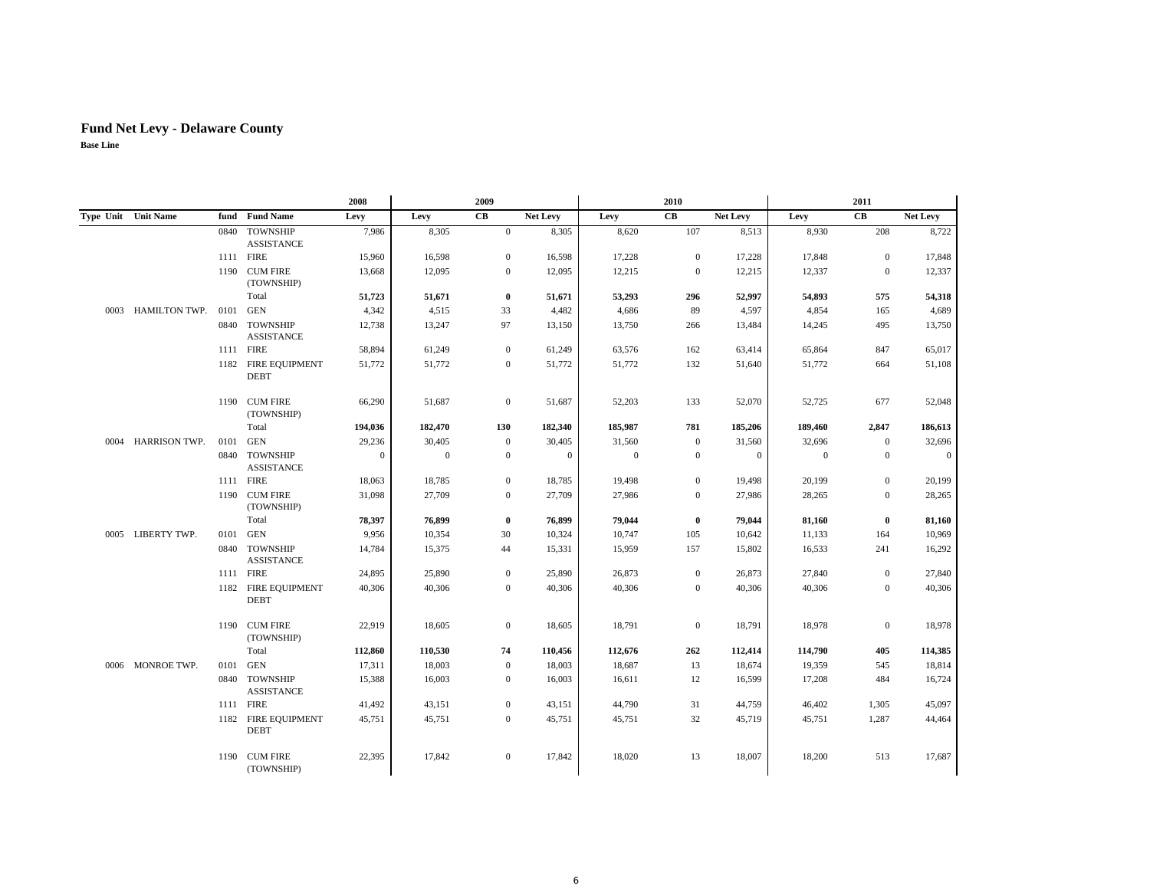|      |                      |      |                                      | 2008           |              | 2009             |                  |              | 2010         |              |                  | 2011           |              |
|------|----------------------|------|--------------------------------------|----------------|--------------|------------------|------------------|--------------|--------------|--------------|------------------|----------------|--------------|
|      | Type Unit Unit Name  |      | fund Fund Name                       | Levy           | Levy         | CB               | <b>Net Levy</b>  | Levy         | CB           | Net Levy     | Levy             | CB             | Net Levy     |
|      |                      |      | 0840 TOWNSHIP<br><b>ASSISTANCE</b>   | 7,986          | 8,305        | $\overline{0}$   | 8,305            | 8,620        | 107          | 8,513        | 8,930            | 208            | 8,722        |
|      |                      |      | 1111 FIRE                            | 15,960         | 16,598       | $\mathbf{0}$     | 16,598           | 17,228       | $\mathbf{0}$ | 17,228       | 17,848           | $\mathbf{0}$   | 17,848       |
|      |                      |      | 1190 CUM FIRE<br>(TOWNSHIP)          | 13,668         | 12,095       | $\boldsymbol{0}$ | 12,095           | 12,215       | $\mathbf{0}$ | 12,215       | 12,337           | $\mathbf{0}$   | 12,337       |
|      |                      |      | Total                                | 51,723         | 51,671       | $\bf{0}$         | 51,671           | 53,293       | 296          | 52,997       | 54,893           | 575            | 54,318       |
| 0003 | HAMILTON TWP.        | 0101 | <b>GEN</b>                           | 4,342          | 4,515        | 33               | 4,482            | 4,686        | 89           | 4,597        | 4,854            | 165            | 4,689        |
|      |                      |      | 0840 TOWNSHIP<br><b>ASSISTANCE</b>   | 12,738         | 13,247       | 97               | 13,150           | 13,750       | 266          | 13,484       | 14,245           | 495            | 13,750       |
|      |                      |      | 1111 FIRE                            | 58,894         | 61,249       | $\overline{0}$   | 61,249           | 63,576       | 162          | 63,414       | 65,864           | 847            | 65,017       |
|      |                      |      | 1182 FIRE EQUIPMENT<br><b>DEBT</b>   | 51,772         | 51,772       | $\boldsymbol{0}$ | 51,772           | 51,772       | 132          | 51,640       | 51,772           | 664            | 51,108       |
|      |                      |      | 1190 CUM FIRE<br>(TOWNSHIP)          | 66,290         | 51,687       | $\mathbf{0}$     | 51,687           | 52,203       | 133          | 52,070       | 52,725           | 677            | 52,048       |
|      |                      |      | Total                                | 194,036        | 182,470      | 130              | 182,340          | 185,987      | 781          | 185,206      | 189,460          | 2,847          | 186,613      |
| 0004 | <b>HARRISON TWP.</b> | 0101 | <b>GEN</b>                           | 29,236         | 30,405       | $\mathbf{0}$     | 30,405           | 31,560       | $\mathbf{0}$ | 31,560       | 32,696           | $\mathbf{0}$   | 32,696       |
|      |                      | 0840 | <b>TOWNSHIP</b><br><b>ASSISTANCE</b> | $\overline{0}$ | $\mathbf{0}$ | $\boldsymbol{0}$ | $\boldsymbol{0}$ | $\mathbf{0}$ | $\mathbf{0}$ | $\mathbf{0}$ | $\boldsymbol{0}$ | $\mathbf{0}$   | $\mathbf{0}$ |
|      |                      |      | 1111 FIRE                            | 18,063         | 18,785       | $\boldsymbol{0}$ | 18,785           | 19,498       | $\mathbf{0}$ | 19,498       | 20,199           | $\mathbf{0}$   | 20,199       |
|      |                      |      | 1190 CUM FIRE<br>(TOWNSHIP)          | 31,098         | 27,709       | $\boldsymbol{0}$ | 27,709           | 27,986       | $\mathbf{0}$ | 27,986       | 28,265           | $\mathbf{0}$   | 28,265       |
|      |                      |      | Total                                | 78,397         | 76,899       | $\bf{0}$         | 76,899           | 79,044       | $\bf{0}$     | 79,044       | 81,160           | $\bf{0}$       | 81,160       |
|      | 0005 LIBERTY TWP.    | 0101 | <b>GEN</b>                           | 9,956          | 10,354       | 30               | 10,324           | 10,747       | 105          | 10,642       | 11,133           | 164            | 10,969       |
|      |                      | 0840 | <b>TOWNSHIP</b><br><b>ASSISTANCE</b> | 14,784         | 15,375       | 44               | 15,331           | 15,959       | 157          | 15,802       | 16,533           | 241            | 16,292       |
|      |                      |      | 1111 FIRE                            | 24,895         | 25,890       | $\boldsymbol{0}$ | 25,890           | 26,873       | $\mathbf{0}$ | 26,873       | 27,840           | $\mathbf{0}$   | 27,840       |
|      |                      | 1182 | <b>FIRE EQUIPMENT</b><br><b>DEBT</b> | 40,306         | 40,306       | $\Omega$         | 40,306           | 40,306       | $\Omega$     | 40,306       | 40,306           | $\overline{0}$ | 40,306       |
|      |                      |      | 1190 CUM FIRE<br>(TOWNSHIP)          | 22,919         | 18,605       | $\mathbf{0}$     | 18,605           | 18,791       | $\mathbf{0}$ | 18,791       | 18,978           | $\mathbf{0}$   | 18,978       |
|      |                      |      | Total                                | 112,860        | 110,530      | 74               | 110,456          | 112,676      | 262          | 112,414      | 114,790          | 405            | 114,385      |
|      | 0006 MONROE TWP.     | 0101 | <b>GEN</b>                           | 17,311         | 18,003       | $\mathbf{0}$     | 18,003           | 18,687       | 13           | 18,674       | 19,359           | 545            | 18,814       |
|      |                      |      | 0840 TOWNSHIP<br><b>ASSISTANCE</b>   | 15,388         | 16,003       | $\mathbf{0}$     | 16,003           | 16,611       | 12           | 16,599       | 17,208           | 484            | 16,724       |
|      |                      |      | 1111 FIRE                            | 41,492         | 43,151       | $\mathbf{0}$     | 43,151           | 44,790       | 31           | 44,759       | 46,402           | 1,305          | 45,097       |
|      |                      |      | 1182 FIRE EQUIPMENT<br><b>DEBT</b>   | 45,751         | 45,751       | $\mathbf{0}$     | 45,751           | 45,751       | 32           | 45,719       | 45,751           | 1,287          | 44,464       |
|      |                      |      | 1190 CUM FIRE<br>(TOWNSHIP)          | 22,395         | 17,842       | $\mathbf{0}$     | 17,842           | 18,020       | 13           | 18,007       | 18,200           | 513            | 17,687       |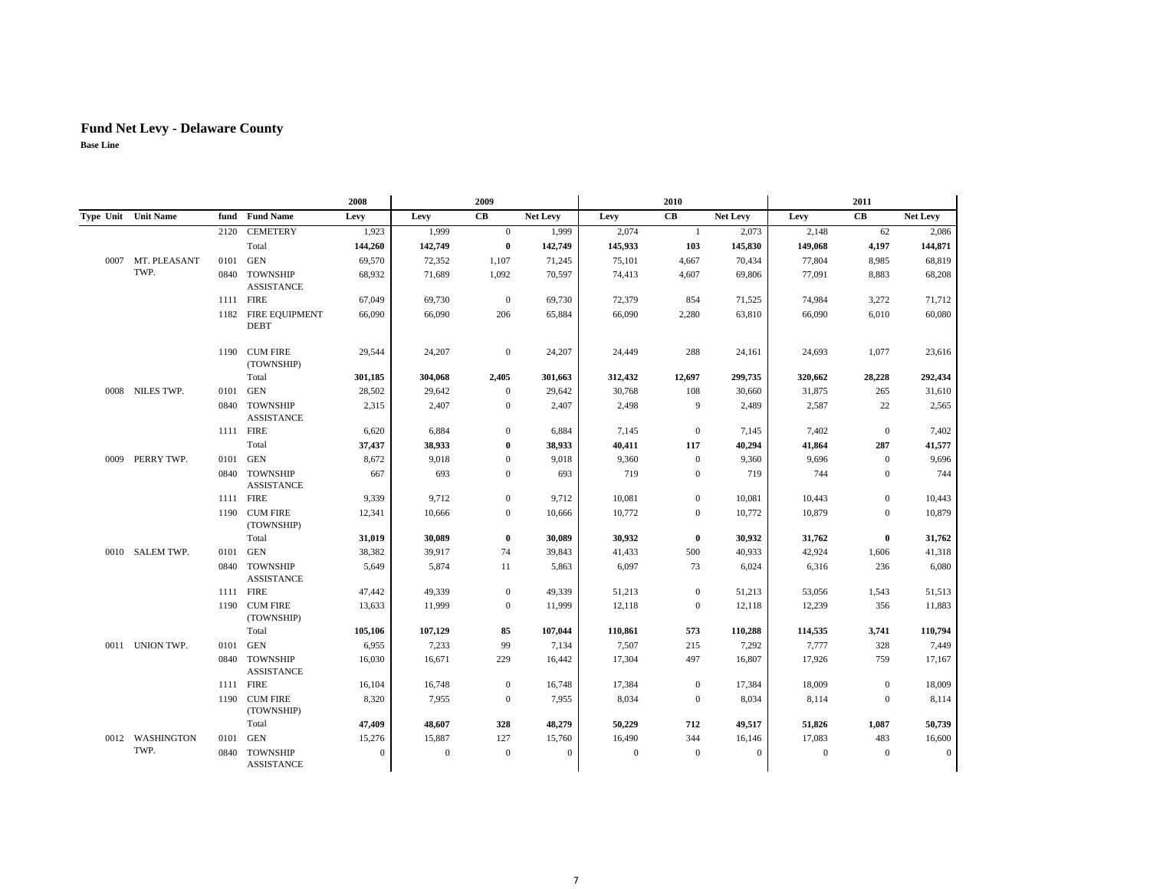## **Fund Net Levy - Delaware County**

|      |                            |      |                                      | 2008             |                  | 2009             |                 |              | 2010           |              |              | 2011           |                  |
|------|----------------------------|------|--------------------------------------|------------------|------------------|------------------|-----------------|--------------|----------------|--------------|--------------|----------------|------------------|
|      | <b>Type Unit Unit Name</b> |      | fund Fund Name                       | Levy             | Levy             | CB               | <b>Net Levy</b> | Levy         | CB             | Net Levy     | Levy         | <b>CB</b>      | Net Levy         |
|      |                            | 2120 | <b>CEMETERY</b>                      | 1,923            | 1,999            | $\overline{0}$   | 1,999           | 2,074        | $\mathbf{1}$   | 2,073        | 2,148        | 62             | 2,086            |
|      |                            |      | Total                                | 144,260          | 142,749          | $\bf{0}$         | 142,749         | 145,933      | 103            | 145,830      | 149,068      | 4,197          | 144,871          |
| 0007 | MT. PLEASANT               | 0101 | <b>GEN</b>                           | 69,570           | 72,352           | 1,107            | 71,245          | 75,101       | 4,667          | 70,434       | 77,804       | 8,985          | 68,819           |
|      | TWP.                       |      | 0840 TOWNSHIP<br><b>ASSISTANCE</b>   | 68,932           | 71,689           | 1,092            | 70,597          | 74,413       | 4,607          | 69,806       | 77,091       | 8,883          | 68,208           |
|      |                            |      | 1111 FIRE                            | 67,049           | 69,730           | $\boldsymbol{0}$ | 69,730          | 72,379       | 854            | 71,525       | 74,984       | 3,272          | 71,712           |
|      |                            |      | 1182 FIRE EQUIPMENT<br><b>DEBT</b>   | 66,090           | 66,090           | 206              | 65,884          | 66,090       | 2,280          | 63,810       | 66,090       | 6,010          | 60,080           |
|      |                            |      | 1190 CUM FIRE<br>(TOWNSHIP)          | 29,544           | 24,207           | $\boldsymbol{0}$ | 24,207          | 24,449       | 288            | 24,161       | 24,693       | 1,077          | 23,616           |
|      |                            |      | Total                                | 301,185          | 304,068          | 2,405            | 301,663         | 312,432      | 12,697         | 299,735      | 320,662      | 28,228         | 292,434          |
|      | 0008 NILES TWP.            |      | 0101 GEN                             | 28,502           | 29,642           | $\overline{0}$   | 29,642          | 30,768       | 108            | 30,660       | 31,875       | 265            | 31,610           |
|      |                            |      | 0840 TOWNSHIP<br><b>ASSISTANCE</b>   | 2,315            | 2,407            | $\mathbf{0}$     | 2,407           | 2,498        | 9              | 2,489        | 2,587        | 22             | 2,565            |
|      |                            |      | 1111 FIRE                            | 6,620            | 6,884            | $\overline{0}$   | 6,884           | 7,145        | $\overline{0}$ | 7,145        | 7,402        | $\overline{0}$ | 7,402            |
|      |                            |      | Total                                | 37,437           | 38,933           | $\mathbf{0}$     | 38,933          | 40,411       | 117            | 40,294       | 41,864       | 287            | 41,577           |
|      | 0009 PERRY TWP.            |      | 0101 GEN                             | 8,672            | 9,018            | $\mathbf{0}$     | 9,018           | 9,360        | $\mathbf{0}$   | 9,360        | 9,696        | $\overline{0}$ | 9,696            |
|      |                            |      | 0840 TOWNSHIP<br><b>ASSISTANCE</b>   | 667              | 693              | $\overline{0}$   | 693             | 719          | $\mathbf{0}$   | 719          | 744          | $\mathbf{0}$   | 744              |
|      |                            |      | 1111 FIRE                            | 9,339            | 9,712            | $\mathbf{0}$     | 9,712           | 10,081       | $\mathbf{0}$   | 10,081       | 10,443       | $\mathbf{0}$   | 10,443           |
|      |                            |      | 1190 CUM FIRE<br>(TOWNSHIP)          | 12,341           | 10,666           | $\overline{0}$   | 10,666          | 10,772       | $\overline{0}$ | 10,772       | 10,879       | $\mathbf{0}$   | 10,879           |
|      |                            |      | Total                                | 31,019           | 30,089           | $\bf{0}$         | 30,089          | 30,932       | $\bf{0}$       | 30,932       | 31,762       | $\bf{0}$       | 31,762           |
|      | 0010 SALEM TWP.            | 0101 | <b>GEN</b>                           | 38,382           | 39,917           | 74               | 39,843          | 41,433       | 500            | 40,933       | 42,924       | 1,606          | 41,318           |
|      |                            |      | 0840 TOWNSHIP<br><b>ASSISTANCE</b>   | 5,649            | 5,874            | 11               | 5,863           | 6,097        | 73             | 6,024        | 6,316        | 236            | 6,080            |
|      |                            |      | 1111 FIRE                            | 47,442           | 49,339           | $\mathbf{0}$     | 49,339          | 51,213       | $\mathbf{0}$   | 51,213       | 53,056       | 1,543          | 51,513           |
|      |                            |      | 1190 CUM FIRE<br>(TOWNSHIP)          | 13,633           | 11,999           | $\overline{0}$   | 11,999          | 12,118       | $\overline{0}$ | 12,118       | 12,239       | 356            | 11,883           |
|      |                            |      | Total                                | 105,106          | 107,129          | 85               | 107,044         | 110,861      | 573            | 110,288      | 114,535      | 3,741          | 110,794          |
|      | 0011 UNION TWP.            | 0101 | <b>GEN</b>                           | 6,955            | 7,233            | 99               | 7,134           | 7,507        | 215            | 7,292        | 7,777        | 328            | 7,449            |
|      |                            |      | 0840 TOWNSHIP<br><b>ASSISTANCE</b>   | 16,030           | 16,671           | 229              | 16,442          | 17,304       | 497            | 16,807       | 17,926       | 759            | 17,167           |
|      |                            |      | 1111 FIRE                            | 16,104           | 16,748           | $\boldsymbol{0}$ | 16,748          | 17,384       | $\mathbf{0}$   | 17,384       | 18,009       | $\overline{0}$ | 18,009           |
|      |                            |      | 1190 CUM FIRE<br>(TOWNSHIP)          | 8,320            | 7,955            | $\boldsymbol{0}$ | 7,955           | 8,034        | $\mathbf{0}$   | 8,034        | 8,114        | $\mathbf{0}$   | 8,114            |
|      |                            |      | Total                                | 47,409           | 48,607           | 328              | 48,279          | 50,229       | 712            | 49,517       | 51,826       | 1,087          | 50,739           |
|      | 0012 WASHINGTON            | 0101 | GEN                                  | 15,276           | 15,887           | 127              | 15,760          | 16,490       | 344            | 16,146       | 17,083       | 483            | 16,600           |
|      | TWP.                       | 0840 | <b>TOWNSHIP</b><br><b>ASSISTANCE</b> | $\boldsymbol{0}$ | $\boldsymbol{0}$ | $\mathbf{0}$     | $\mathbf{0}$    | $\mathbf{0}$ | $\mathbf{0}$   | $\mathbf{0}$ | $\mathbf{0}$ | $\mathbf{0}$   | $\boldsymbol{0}$ |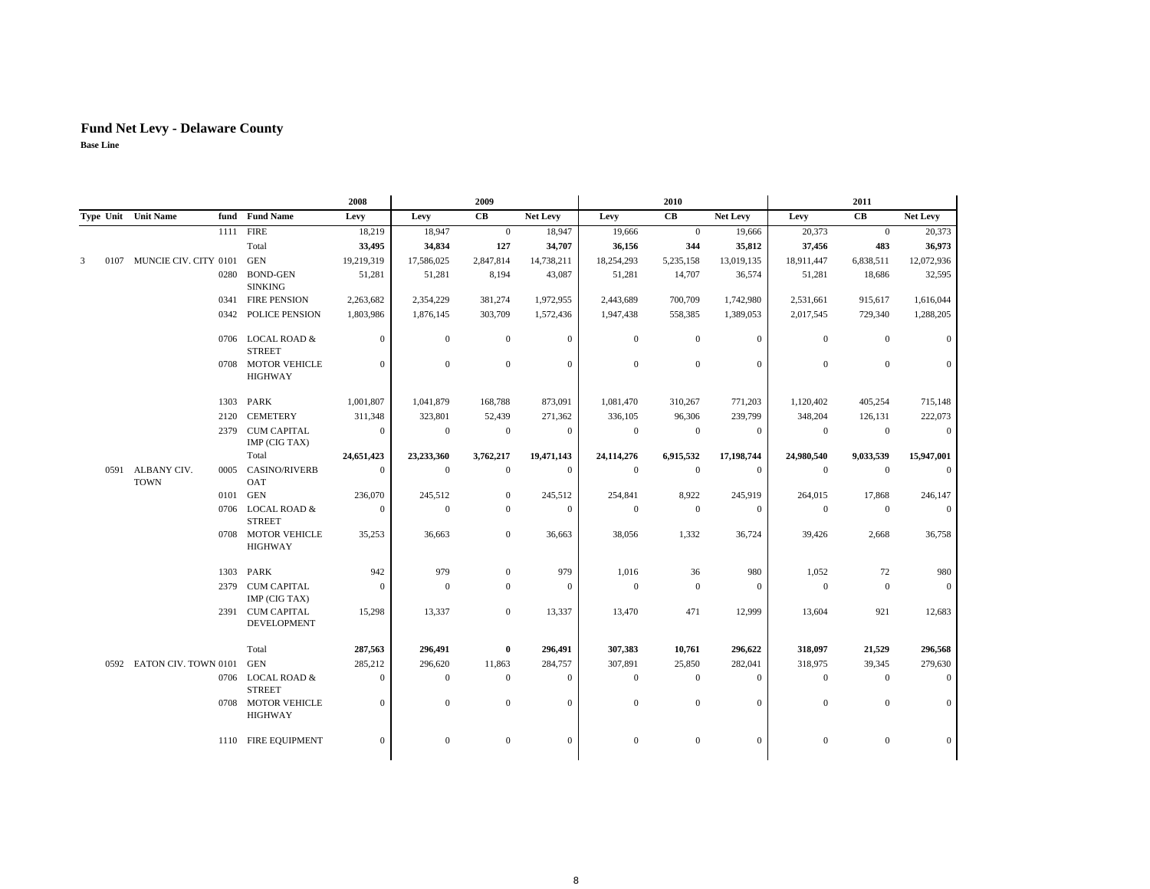## **Fund Net Levy - Delaware County**

|   |      |                                 |      |                                      | 2008           |                  | 2009             |                |                  | 2010             |              |                  | 2011           |                  |
|---|------|---------------------------------|------|--------------------------------------|----------------|------------------|------------------|----------------|------------------|------------------|--------------|------------------|----------------|------------------|
|   |      | Type Unit Unit Name             |      | fund Fund Name                       | Levy           | Levy             | CB               | Net Levy       | Levy             | CB               | Net Levy     | Levy             | CB             | Net Levy         |
|   |      |                                 | 1111 | <b>FIRE</b>                          | 18,219         | 18,947           | $\mathbf{0}$     | 18,947         | 19,666           | $\overline{0}$   | 19,666       | 20,373           | $\mathbf{0}$   | 20,373           |
|   |      |                                 |      | Total                                | 33,495         | 34,834           | 127              | 34,707         | 36,156           | 344              | 35,812       | 37,456           | 483            | 36,973           |
| 3 | 0107 | MUNCIE CIV. CITY 0101           |      | <b>GEN</b>                           | 19,219,319     | 17,586,025       | 2,847,814        | 14,738,211     | 18,254,293       | 5,235,158        | 13,019,135   | 18,911,447       | 6,838,511      | 12,072,936       |
|   |      |                                 | 0280 | <b>BOND-GEN</b><br><b>SINKING</b>    | 51,281         | 51,281           | 8,194            | 43,087         | 51,281           | 14,707           | 36,574       | 51,281           | 18,686         | 32,595           |
|   |      |                                 |      | 0341 FIRE PENSION                    | 2,263,682      | 2,354,229        | 381,274          | 1,972,955      | 2,443,689        | 700,709          | 1,742,980    | 2,531,661        | 915,617        | 1,616,044        |
|   |      |                                 |      | 0342 POLICE PENSION                  | 1,803,986      | 1,876,145        | 303,709          | 1,572,436      | 1,947,438        | 558,385          | 1,389,053    | 2,017,545        | 729,340        | 1,288,205        |
|   |      |                                 |      | 0706 LOCAL ROAD &<br><b>STREET</b>   | $\overline{0}$ | $\mathbf{0}$     | $\mathbf{0}$     | $\overline{0}$ | $\overline{0}$   | $\mathbf{0}$     | $\mathbf{0}$ | $\overline{0}$   | $\overline{0}$ | $\mathbf{0}$     |
|   |      |                                 |      | 0708 MOTOR VEHICLE<br><b>HIGHWAY</b> | $\overline{0}$ | $\mathbf{0}$     | $\boldsymbol{0}$ | $\mathbf{0}$   | $\boldsymbol{0}$ | $\boldsymbol{0}$ | $\mathbf{0}$ | $\mathbf{0}$     | $\mathbf{0}$   | $\mathbf{0}$     |
|   |      |                                 | 1303 | PARK                                 | 1,001,807      | 1,041,879        | 168,788          | 873,091        | 1,081,470        | 310,267          | 771,203      | 1,120,402        | 405,254        | 715,148          |
|   |      |                                 |      | 2120 CEMETERY                        | 311,348        | 323,801          | 52,439           | 271,362        | 336,105          | 96,306           | 239,799      | 348,204          | 126,131        | 222,073          |
|   |      |                                 |      | 2379 CUM CAPITAL<br>IMP (CIG TAX)    | $\mathbf{0}$   | $\mathbf{0}$     | $\boldsymbol{0}$ | $\overline{0}$ | $\overline{0}$   | $\mathbf{0}$     | $\mathbf{0}$ | $\boldsymbol{0}$ | $\overline{0}$ | $\boldsymbol{0}$ |
|   |      |                                 |      | Total                                | 24,651,423     | 23,233,360       | 3,762,217        | 19,471,143     | 24,114,276       | 6,915,532        | 17,198,744   | 24,980,540       | 9,033,539      | 15,947,001       |
|   |      | 0591 ALBANY CIV.<br><b>TOWN</b> | 0005 | <b>CASINO/RIVERB</b><br>OAT          | $\mathbf{0}$   | $\boldsymbol{0}$ | $\boldsymbol{0}$ | $\overline{0}$ | $\mathbf{0}$     | $\mathbf{0}$     | $\mathbf{0}$ | $\mathbf{0}$     | $\overline{0}$ | $\mathbf{0}$     |
|   |      |                                 |      | 0101 GEN                             | 236,070        | 245,512          | $\mathbf{0}$     | 245,512        | 254,841          | 8,922            | 245,919      | 264,015          | 17,868         | 246,147          |
|   |      |                                 |      | 0706 LOCAL ROAD &<br><b>STREET</b>   | $\theta$       | $\mathbf{0}$     | $\mathbf{0}$     | $\theta$       | $\mathbf{0}$     | $\mathbf{0}$     | $\mathbf{0}$ | $\mathbf{0}$     | $\overline{0}$ | $\mathbf{0}$     |
|   |      |                                 |      | 0708 MOTOR VEHICLE<br><b>HIGHWAY</b> | 35,253         | 36,663           | $\mathbf{0}$     | 36,663         | 38,056           | 1,332            | 36,724       | 39,426           | 2,668          | 36,758           |
|   |      |                                 |      | 1303 PARK                            | 942            | 979              | $\boldsymbol{0}$ | 979            | 1,016            | 36               | 980          | 1,052            | 72             | 980              |
|   |      |                                 |      | 2379 CUM CAPITAL<br>IMP (CIG TAX)    | $\mathbf{0}$   | $\theta$         | $\mathbf{0}$     | $\theta$       | $\mathbf{0}$     | $\mathbf{0}$     | $\mathbf{0}$ | $\boldsymbol{0}$ | $\overline{0}$ | $\mathbf{0}$     |
|   |      |                                 |      | 2391 CUM CAPITAL<br>DEVELOPMENT      | 15,298         | 13,337           | $\mathbf{0}$     | 13,337         | 13,470           | 471              | 12,999       | 13,604           | 921            | 12,683           |
|   |      |                                 |      | Total                                | 287,563        | 296,491          | $\bf{0}$         | 296,491        | 307,383          | 10,761           | 296,622      | 318,097          | 21,529         | 296,568          |
|   |      | 0592 EATON CIV. TOWN 0101       |      | GEN                                  | 285,212        | 296,620          | 11,863           | 284,757        | 307,891          | 25,850           | 282,041      | 318,975          | 39,345         | 279,630          |
|   |      |                                 |      | 0706 LOCAL ROAD &<br><b>STREET</b>   | $\mathbf{0}$   | $\mathbf{0}$     | $\mathbf{0}$     | $\overline{0}$ | $\mathbf{0}$     | $\mathbf{0}$     | $\mathbf{0}$ | $\mathbf{0}$     | $\overline{0}$ | $\mathbf{0}$     |
|   |      |                                 |      | 0708 MOTOR VEHICLE<br><b>HIGHWAY</b> | $\mathbf{0}$   | $\mathbf{0}$     | $\mathbf{0}$     | $\theta$       | $\mathbf{0}$     | $\mathbf{0}$     | $\mathbf{0}$ | $\mathbf{0}$     | $\mathbf{0}$   | $\mathbf{0}$     |
|   |      |                                 |      | 1110 FIRE EQUIPMENT                  | $\Omega$       | $\mathbf{0}$     | $\mathbf{0}$     | $\Omega$       | $\mathbf{0}$     | $\mathbf{0}$     | $\Omega$     | $\mathbf{0}$     | $\mathbf{0}$   | $\mathbf{0}$     |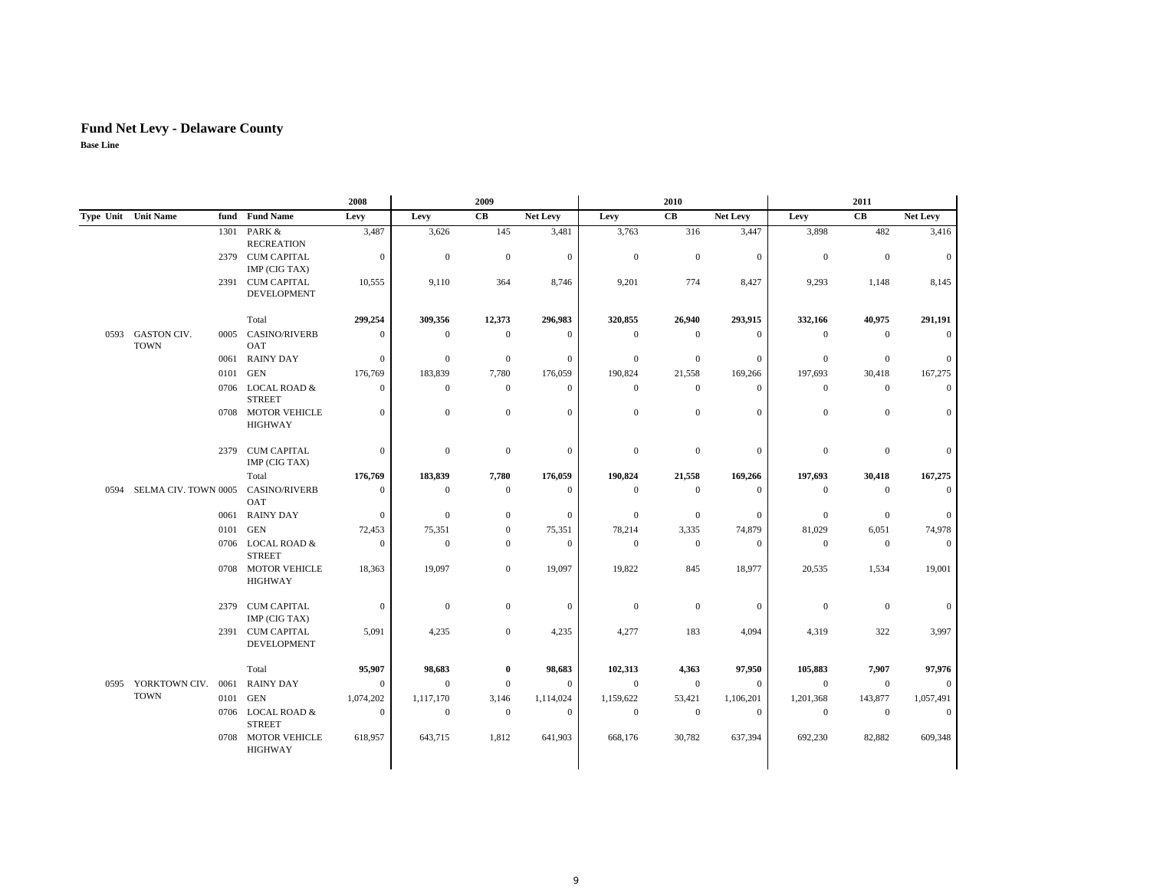|      |                                   |      |                                        | 2008             |              | 2009                 |                  |                | 2010             |                 |                | 2011             |                 |
|------|-----------------------------------|------|----------------------------------------|------------------|--------------|----------------------|------------------|----------------|------------------|-----------------|----------------|------------------|-----------------|
|      | Type Unit Unit Name               |      | fund Fund Name                         | Levy             | Levy         | $\mathbf C\mathbf B$ | <b>Net Levy</b>  | Levy           | CB               | <b>Net Levy</b> | Levy           | CB               | <b>Net Levy</b> |
|      |                                   | 1301 | PARK &<br><b>RECREATION</b>            | 3,487            | 3,626        | 145                  | 3,481            | 3,763          | 316              | 3,447           | 3,898          | 482              | 3,416           |
|      |                                   |      | 2379 CUM CAPITAL<br>IMP (CIG TAX)      | $\mathbf{0}$     | $\mathbf{0}$ | $\theta$             | $\overline{0}$   | $\overline{0}$ | $\overline{0}$   | $\mathbf{0}$    | $\overline{0}$ | $\boldsymbol{0}$ | $\overline{0}$  |
|      |                                   |      | 2391 CUM CAPITAL<br><b>DEVELOPMENT</b> | 10,555           | 9,110        | 364                  | 8,746            | 9,201          | 774              | 8,427           | 9,293          | 1,148            | 8,145           |
|      |                                   |      | Total                                  | 299,254          | 309,356      | 12,373               | 296,983          | 320,855        | 26,940           | 293,915         | 332,166        | 40,975           | 291,191         |
| 0593 | <b>GASTON CIV.</b><br><b>TOWN</b> | 0005 | <b>CASINO/RIVERB</b><br>OAT            | $\mathbf{0}$     | $\mathbf{0}$ | $\mathbf{0}$         | $\theta$         | $\theta$       | $\mathbf{0}$     | $\mathbf{0}$    | $\theta$       | $\mathbf{0}$     | $\Omega$        |
|      |                                   | 0061 | <b>RAINY DAY</b>                       | $\boldsymbol{0}$ | $\mathbf{0}$ | $\mathbf{0}$         | $\boldsymbol{0}$ | $\mathbf{0}$   | $\mathbf{0}$     | $\mathbf{0}$    | $\mathbf{0}$   | $\mathbf{0}$     | $\overline{0}$  |
|      |                                   | 0101 | <b>GEN</b>                             | 176,769          | 183,839      | 7,780                | 176,059          | 190,824        | 21,558           | 169,266         | 197,693        | 30,418           | 167,275         |
|      |                                   |      | 0706 LOCAL ROAD &<br><b>STREET</b>     | $\boldsymbol{0}$ | $\mathbf{0}$ | $\boldsymbol{0}$     | $\overline{0}$   | $\overline{0}$ | $\boldsymbol{0}$ | $\mathbf{0}$    | $\overline{0}$ | $\boldsymbol{0}$ | $\Omega$        |
|      |                                   |      | 0708 MOTOR VEHICLE<br><b>HIGHWAY</b>   | $\mathbf{0}$     | $\mathbf{0}$ | $\overline{0}$       | $\overline{0}$   | $\mathbf{0}$   | $\overline{0}$   | $\mathbf{0}$    | $\mathbf{0}$   | $\mathbf{0}$     | $\overline{0}$  |
|      |                                   |      | 2379 CUM CAPITAL<br>IMP (CIG TAX)      | $\mathbf{0}$     | $\mathbf{0}$ | $\mathbf{0}$         | $\overline{0}$   | $\theta$       | $\overline{0}$   | $\mathbf{0}$    | $\mathbf{0}$   | $\boldsymbol{0}$ | $\overline{0}$  |
|      |                                   |      | Total                                  | 176,769          | 183,839      | 7,780                | 176,059          | 190,824        | 21,558           | 169,266         | 197,693        | 30,418           | 167,275         |
| 0594 | SELMA CIV. TOWN 0005              |      | <b>CASINO/RIVERB</b><br>OAT            | $\mathbf{0}$     | $\Omega$     | $\mathbf{0}$         | $\overline{0}$   | $\theta$       | $\mathbf{0}$     | $\overline{0}$  | $\mathbf{0}$   | $\mathbf{0}$     | $\Omega$        |
|      |                                   |      | 0061 RAINY DAY                         | $\boldsymbol{0}$ | $\mathbf{0}$ | $\boldsymbol{0}$     | $\boldsymbol{0}$ | $\theta$       | $\mathbf{0}$     | $\mathbf{0}$    | $\overline{0}$ | $\boldsymbol{0}$ | $\overline{0}$  |
|      |                                   | 0101 | <b>GEN</b>                             | 72,453           | 75,351       | $\boldsymbol{0}$     | 75,351           | 78,214         | 3,335            | 74,879          | 81,029         | 6,051            | 74,978          |
|      |                                   |      | 0706 LOCAL ROAD &<br><b>STREET</b>     | $\mathbf{0}$     | $\mathbf{0}$ | $\boldsymbol{0}$     | $\mathbf{0}$     | $\overline{0}$ | $\boldsymbol{0}$ | $\mathbf{0}$    | $\overline{0}$ | $\mathbf{0}$     | $\overline{0}$  |
|      |                                   |      | 0708 MOTOR VEHICLE<br><b>HIGHWAY</b>   | 18,363           | 19,097       | $\boldsymbol{0}$     | 19,097           | 19,822         | 845              | 18,977          | 20,535         | 1,534            | 19,001          |
|      |                                   |      | 2379 CUM CAPITAL<br>IMP (CIG TAX)      | $\mathbf{0}$     | $\mathbf{0}$ | $\mathbf{0}$         | $\overline{0}$   | $\overline{0}$ | $\mathbf{0}$     | $\mathbf{0}$    | $\overline{0}$ | $\mathbf{0}$     | $\overline{0}$  |
|      |                                   |      | 2391 CUM CAPITAL<br><b>DEVELOPMENT</b> | 5,091            | 4,235        | $\mathbf{0}$         | 4,235            | 4,277          | 183              | 4,094           | 4,319          | 322              | 3,997           |
|      |                                   |      | Total                                  | 95,907           | 98,683       | 0                    | 98,683           | 102,313        | 4,363            | 97,950          | 105,883        | 7,907            | 97,976          |
|      | 0595 YORKTOWN CIV. 0061           |      | <b>RAINY DAY</b>                       | $\mathbf{0}$     | $\mathbf{0}$ | $\mathbf{0}$         | $\overline{0}$   | $\overline{0}$ | $\mathbf{0}$     | $\mathbf{0}$    | $\overline{0}$ | $\mathbf{0}$     | $\Omega$        |
|      | <b>TOWN</b>                       | 0101 | GEN                                    | 1,074,202        | 1,117,170    | 3,146                | 1,114,024        | 1,159,622      | 53,421           | 1,106,201       | 1,201,368      | 143,877          | 1,057,491       |
|      |                                   |      | 0706 LOCAL ROAD &<br><b>STREET</b>     | $\mathbf{0}$     | $\mathbf{0}$ | $\mathbf{0}$         | $\overline{0}$   | $\mathbf{0}$   | $\mathbf{0}$     | $\mathbf{0}$    | $\overline{0}$ | $\mathbf{0}$     | $\overline{0}$  |
|      |                                   |      | 0708 MOTOR VEHICLE<br><b>HIGHWAY</b>   | 618,957          | 643,715      | 1,812                | 641,903          | 668,176        | 30,782           | 637,394         | 692,230        | 82,882           | 609,348         |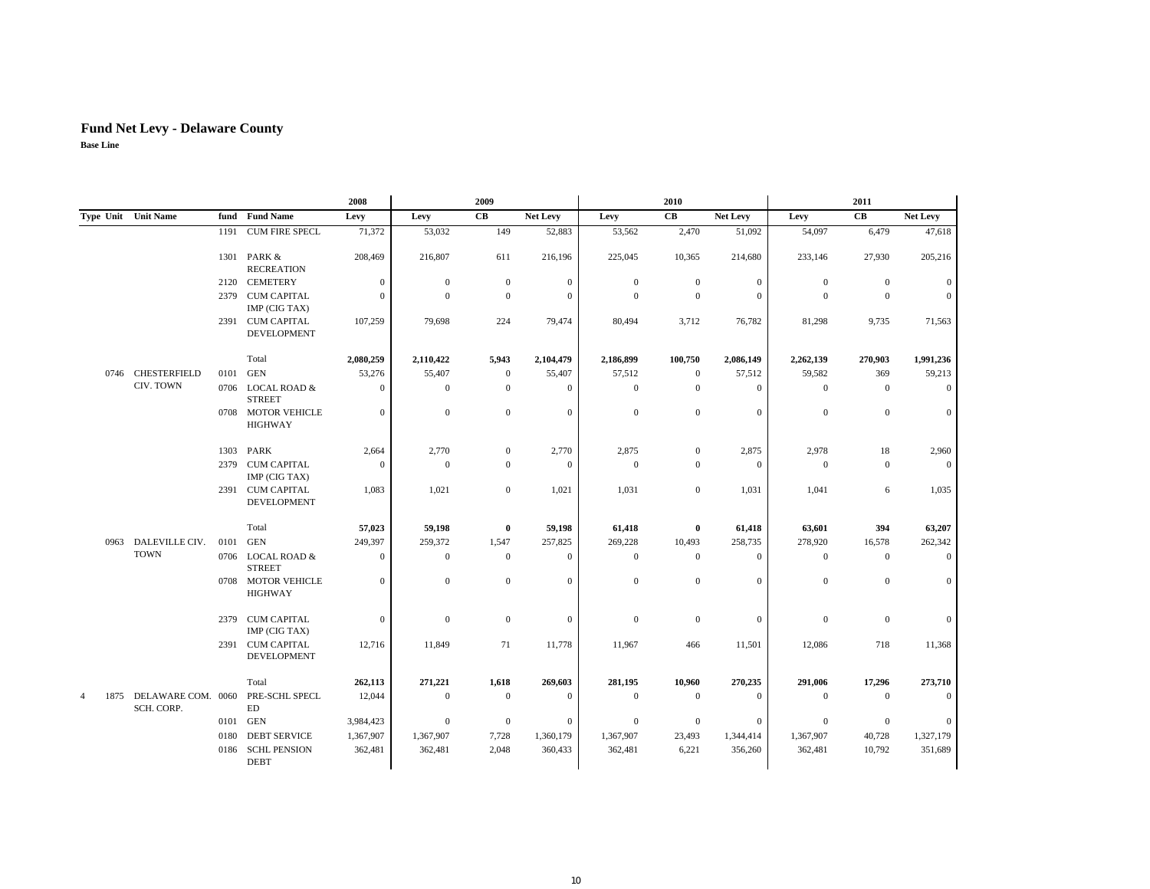|           |                                  |      |                                        | 2008             |                  | 2009                 |                  |                  | 2010             |                 |                  | 2011             |                  |
|-----------|----------------------------------|------|----------------------------------------|------------------|------------------|----------------------|------------------|------------------|------------------|-----------------|------------------|------------------|------------------|
|           | Type Unit Unit Name              | fund | <b>Fund Name</b>                       | Levy             | Levy             | $\mathbf C\mathbf B$ | <b>Net Levy</b>  | Levy             | CB               | <b>Net Levy</b> | Levy             | CB               | Net Levy         |
|           |                                  |      | 1191 CUM FIRE SPECL                    | 71,372           | 53,032           | 149                  | 52,883           | 53,562           | 2,470            | 51,092          | 54,097           | 6,479            | 47,618           |
|           |                                  |      | 1301 PARK &<br><b>RECREATION</b>       | 208,469          | 216,807          | 611                  | 216,196          | 225,045          | 10,365           | 214,680         | 233,146          | 27,930           | 205,216          |
|           |                                  |      | 2120 CEMETERY                          | $\boldsymbol{0}$ | $\mathbf{0}$     | $\mathbf{0}$         | $\boldsymbol{0}$ | $\mathbf{0}$     | $\boldsymbol{0}$ | $\mathbf{0}$    | $\boldsymbol{0}$ | $\mathbf{0}$     | $\mathbf{0}$     |
|           |                                  |      | 2379 CUM CAPITAL<br>IMP (CIG TAX)      | $\mathbf{0}$     | $\theta$         | $\overline{0}$       | $\mathbf{0}$     | $\overline{0}$   | $\mathbf{0}$     | $\mathbf{0}$    | $\mathbf{0}$     | $\mathbf{0}$     | $\mathbf{0}$     |
|           |                                  |      | 2391 CUM CAPITAL<br><b>DEVELOPMENT</b> | 107,259          | 79,698           | 224                  | 79,474           | 80,494           | 3,712            | 76,782          | 81,298           | 9,735            | 71,563           |
|           |                                  |      | Total                                  | 2,080,259        | 2,110,422        | 5,943                | 2,104,479        | 2,186,899        | 100,750          | 2,086,149       | 2,262,139        | 270,903          | 1,991,236        |
|           | 0746 CHESTERFIELD                |      | 0101 GEN                               | 53,276           | 55,407           | $\mathbf{0}$         | 55,407           | 57,512           | $\mathbf{0}$     | 57,512          | 59,582           | 369              | 59,213           |
|           | CIV. TOWN                        |      | 0706 LOCAL ROAD &<br><b>STREET</b>     | $\mathbf{0}$     | $\mathbf{0}$     | $\mathbf{0}$         | $\mathbf{0}$     | $\mathbf{0}$     | $\mathbf{0}$     | $\mathbf{0}$    | $\boldsymbol{0}$ | $\mathbf{0}$     | $\mathbf{0}$     |
|           |                                  |      | 0708 MOTOR VEHICLE<br><b>HIGHWAY</b>   | $\boldsymbol{0}$ | $\mathbf{0}$     | $\boldsymbol{0}$     | $\mathbf{0}$     | $\mathbf{0}$     | $\boldsymbol{0}$ | $\mathbf{0}$    | $\boldsymbol{0}$ | $\mathbf{0}$     | $\boldsymbol{0}$ |
|           |                                  | 1303 | PARK                                   | 2,664            | 2,770            | $\boldsymbol{0}$     | 2,770            | 2,875            | $\boldsymbol{0}$ | 2,875           | 2,978            | 18               | 2,960            |
|           |                                  |      | 2379 CUM CAPITAL<br>IMP (CIG TAX)      | $\mathbf{0}$     | $\boldsymbol{0}$ | $\boldsymbol{0}$     | $\mathbf{0}$     | $\mathbf{0}$     | $\mathbf{0}$     | $\overline{0}$  | $\mathbf{0}$     | $\mathbf{0}$     | $\mathbf{0}$     |
|           |                                  |      | 2391 CUM CAPITAL<br><b>DEVELOPMENT</b> | 1,083            | 1,021            | $\mathbf{0}$         | 1,021            | 1,031            | $\mathbf{0}$     | 1,031           | 1,041            | 6                | 1,035            |
|           |                                  |      | Total                                  | 57,023           | 59,198           | $\bf{0}$             | 59,198           | 61,418           | $\bf{0}$         | 61,418          | 63,601           | 394              | 63,207           |
| 0963      | DALEVILLE CIV.                   |      | 0101 GEN                               | 249,397          | 259,372          | 1,547                | 257,825          | 269,228          | 10,493           | 258,735         | 278,920          | 16,578           | 262,342          |
|           | <b>TOWN</b>                      |      | 0706 LOCAL ROAD &<br><b>STREET</b>     | $\mathbf{0}$     | $\mathbf{0}$     | $\mathbf{0}$         | $\mathbf{0}$     | $\mathbf{0}$     | $\mathbf{0}$     | $\Omega$        | $\boldsymbol{0}$ | $\mathbf{0}$     | $\mathbf{0}$     |
|           |                                  |      | 0708 MOTOR VEHICLE<br><b>HIGHWAY</b>   | $\boldsymbol{0}$ | $\mathbf{0}$     | $\mathbf{0}$         | $\mathbf{0}$     | $\boldsymbol{0}$ | $\mathbf{0}$     | $\mathbf{0}$    | $\boldsymbol{0}$ | $\mathbf{0}$     | $\mathbf{0}$     |
|           |                                  |      | 2379 CUM CAPITAL<br>IMP (CIG TAX)      | $\boldsymbol{0}$ | $\mathbf{0}$     | $\mathbf{0}$         | $\mathbf{0}$     | $\mathbf{0}$     | $\boldsymbol{0}$ | $\mathbf{0}$    | $\boldsymbol{0}$ | $\boldsymbol{0}$ | $\boldsymbol{0}$ |
|           |                                  |      | 2391 CUM CAPITAL<br><b>DEVELOPMENT</b> | 12,716           | 11,849           | 71                   | 11,778           | 11,967           | 466              | 11,501          | 12,086           | 718              | 11,368           |
|           |                                  |      | Total                                  | 262,113          | 271,221          | 1,618                | 269,603          | 281,195          | 10,960           | 270,235         | 291,006          | 17,296           | 273,710          |
| 1875<br>4 | DELAWARE COM. 0060<br>SCH. CORP. |      | PRE-SCHL SPECL<br>ED                   | 12,044           | $\boldsymbol{0}$ | $\boldsymbol{0}$     | $\mathbf{0}$     | $\boldsymbol{0}$ | $\boldsymbol{0}$ | $\mathbf{0}$    | $\mathbf{0}$     | $\mathbf{0}$     | $\boldsymbol{0}$ |
|           |                                  |      | 0101 GEN                               | 3,984,423        | $\mathbf{0}$     | $\mathbf{0}$         | $\mathbf{0}$     | $\mathbf{0}$     | $\mathbf{0}$     | $\theta$        | $\boldsymbol{0}$ | $\mathbf{0}$     | $\mathbf{0}$     |
|           |                                  | 0180 | <b>DEBT SERVICE</b>                    | 1,367,907        | 1,367,907        | 7,728                | 1,360,179        | 1,367,907        | 23,493           | 1,344,414       | 1,367,907        | 40,728           | 1,327,179        |
|           |                                  |      | 0186 SCHL PENSION<br><b>DEBT</b>       | 362,481          | 362,481          | 2,048                | 360,433          | 362,481          | 6,221            | 356,260         | 362,481          | 10,792           | 351,689          |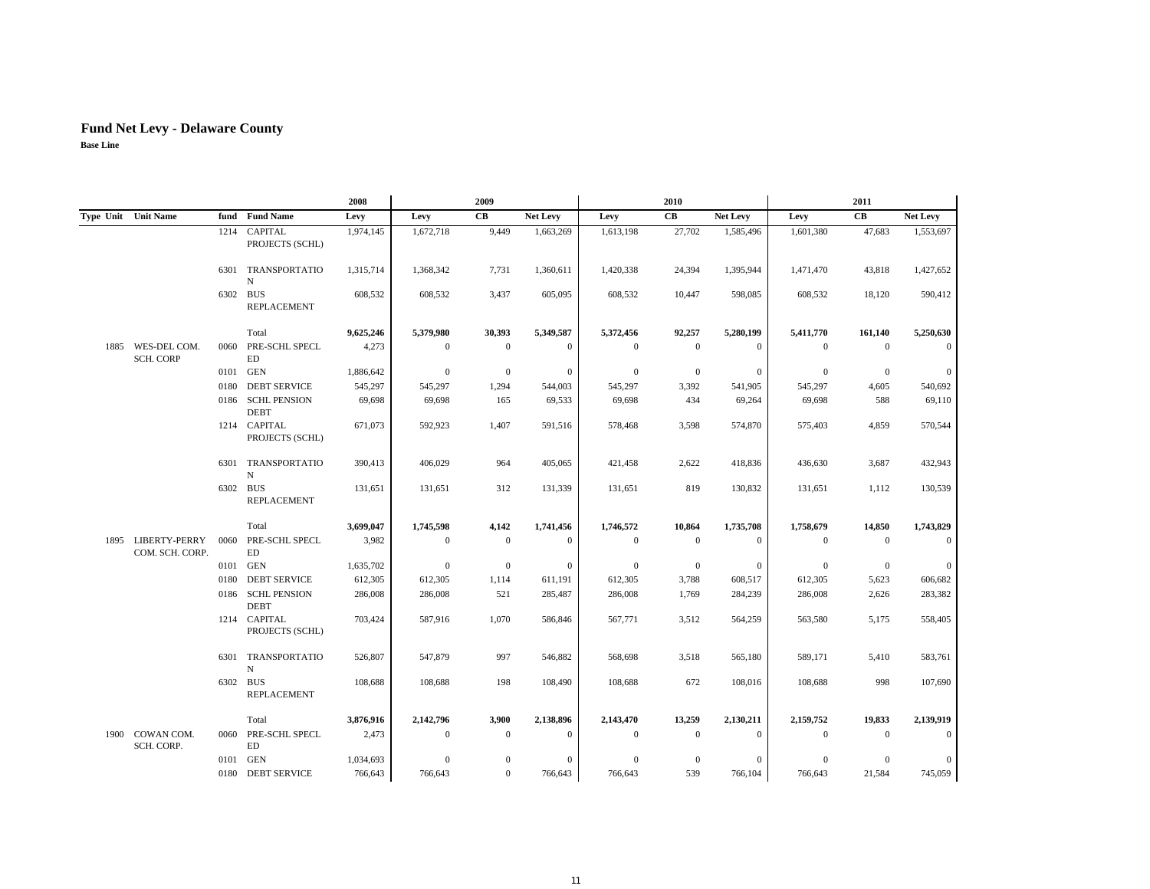## **Fund Net Levy - Delaware County**

|  |                                       |      |                                   | 2008      |              | 2009         |              |                | 2010         |                 |                | 2011           |                 |
|--|---------------------------------------|------|-----------------------------------|-----------|--------------|--------------|--------------|----------------|--------------|-----------------|----------------|----------------|-----------------|
|  | Type Unit Unit Name                   |      | fund Fund Name                    | Levy      | Levy         | CB           | Net Levy     | Levy           | CB           | <b>Net Levy</b> | Levy           | CB             | <b>Net Levy</b> |
|  |                                       |      | 1214 CAPITAL<br>PROJECTS (SCHL)   | 1,974,145 | 1,672,718    | 9,449        | 1,663,269    | 1,613,198      | 27,702       | 1,585,496       | 1,601,380      | 47,683         | 1,553,697       |
|  |                                       |      | 6301 TRANSPORTATIO<br>N           | 1,315,714 | 1,368,342    | 7,731        | 1,360,611    | 1,420,338      | 24,394       | 1,395,944       | 1,471,470      | 43,818         | 1,427,652       |
|  |                                       |      | 6302 BUS<br><b>REPLACEMENT</b>    | 608,532   | 608,532      | 3,437        | 605,095      | 608,532        | 10,447       | 598,085         | 608,532        | 18,120         | 590,412         |
|  |                                       |      | Total                             | 9,625,246 | 5,379,980    | 30,393       | 5,349,587    | 5,372,456      | 92,257       | 5,280,199       | 5,411,770      | 161,140        | 5,250,630       |
|  | 1885 WES-DEL COM.<br><b>SCH. CORP</b> |      | 0060 PRE-SCHL SPECL<br>ED         | 4,273     | $\mathbf{0}$ | $\mathbf{0}$ | $\mathbf{0}$ | $\overline{0}$ | $\mathbf{0}$ | $\theta$        | $\mathbf{0}$   | $\Omega$       | $\Omega$        |
|  |                                       |      | 0101 GEN                          | 1,886,642 | $\theta$     | $\mathbf{0}$ | $\mathbf{0}$ | $\overline{0}$ | $\mathbf{0}$ | $\mathbf{0}$    | $\mathbf{0}$   | $\overline{0}$ | $\mathbf{0}$    |
|  |                                       | 0180 | <b>DEBT SERVICE</b>               | 545,297   | 545,297      | 1,294        | 544,003      | 545,297        | 3,392        | 541,905         | 545,297        | 4,605          | 540,692         |
|  |                                       |      | 0186 SCHL PENSION<br><b>DEBT</b>  | 69,698    | 69,698       | 165          | 69,533       | 69,698         | 434          | 69,264          | 69,698         | 588            | 69,110          |
|  |                                       |      | 1214 CAPITAL<br>PROJECTS (SCHL)   | 671,073   | 592,923      | 1,407        | 591,516      | 578,468        | 3,598        | 574,870         | 575,403        | 4,859          | 570,544         |
|  |                                       |      | 6301 TRANSPORTATIO<br>N           | 390,413   | 406,029      | 964          | 405,065      | 421,458        | 2,622        | 418,836         | 436,630        | 3,687          | 432,943         |
|  |                                       |      | 6302 BUS<br><b>REPLACEMENT</b>    | 131,651   | 131,651      | 312          | 131,339      | 131,651        | 819          | 130,832         | 131,651        | 1,112          | 130,539         |
|  |                                       |      | Total                             | 3,699,047 | 1,745,598    | 4,142        | 1,741,456    | 1,746,572      | 10,864       | 1,735,708       | 1,758,679      | 14,850         | 1,743,829       |
|  | 1895 LIBERTY-PERRY<br>COM. SCH. CORP. | 0060 | PRE-SCHL SPECL<br>ED              | 3,982     | $\mathbf{0}$ | $\mathbf{0}$ | $\mathbf{0}$ | $\theta$       | $\mathbf{0}$ | $\mathbf{0}$    | $\overline{0}$ | $\theta$       | $\overline{0}$  |
|  |                                       |      | 0101 GEN                          | 1,635,702 | $\mathbf{0}$ | $\mathbf{0}$ | $\mathbf{0}$ | $\overline{0}$ | $\mathbf{0}$ | $\mathbf{0}$    | $\theta$       | $\theta$       | $\mathbf{0}$    |
|  |                                       | 0180 | <b>DEBT SERVICE</b>               | 612,305   | 612,305      | 1,114        | 611,191      | 612,305        | 3,788        | 608,517         | 612,305        | 5,623          | 606,682         |
|  |                                       |      | 0186 SCHL PENSION<br><b>DEBT</b>  | 286,008   | 286,008      | 521          | 285,487      | 286,008        | 1,769        | 284,239         | 286,008        | 2,626          | 283,382         |
|  |                                       |      | 1214 CAPITAL<br>PROJECTS (SCHL)   | 703,424   | 587,916      | 1,070        | 586,846      | 567,771        | 3,512        | 564,259         | 563,580        | 5,175          | 558,405         |
|  |                                       |      | 6301 TRANSPORTATIO<br>$_{\rm N}$  | 526,807   | 547,879      | 997          | 546,882      | 568,698        | 3,518        | 565,180         | 589,171        | 5,410          | 583,761         |
|  |                                       |      | 6302 BUS<br><b>REPLACEMENT</b>    | 108,688   | 108,688      | 198          | 108,490      | 108,688        | 672          | 108,016         | 108,688        | 998            | 107,690         |
|  |                                       |      | Total                             | 3,876,916 | 2,142,796    | 3,900        | 2,138,896    | 2,143,470      | 13,259       | 2,130,211       | 2,159,752      | 19,833         | 2,139,919       |
|  | 1900 COWAN COM.<br>SCH. CORP.         |      | 0060 PRE-SCHL SPECL<br>${\rm ED}$ | 2,473     | $\theta$     | $\mathbf{0}$ | $\mathbf{0}$ | $\theta$       | $\mathbf{0}$ | $\theta$        | $\overline{0}$ | $\Omega$       |                 |
|  |                                       | 0101 | GEN                               | 1,034,693 | $\theta$     | $\Omega$     | $\mathbf{0}$ | $\theta$       | $\mathbf{0}$ | $\Omega$        | $\theta$       | $\Omega$       | $\mathbf{0}$    |
|  |                                       |      | 0180 DEBT SERVICE                 | 766,643   | 766,643      | $\mathbf{0}$ | 766,643      | 766,643        | 539          | 766,104         | 766,643        | 21,584         | 745,059         |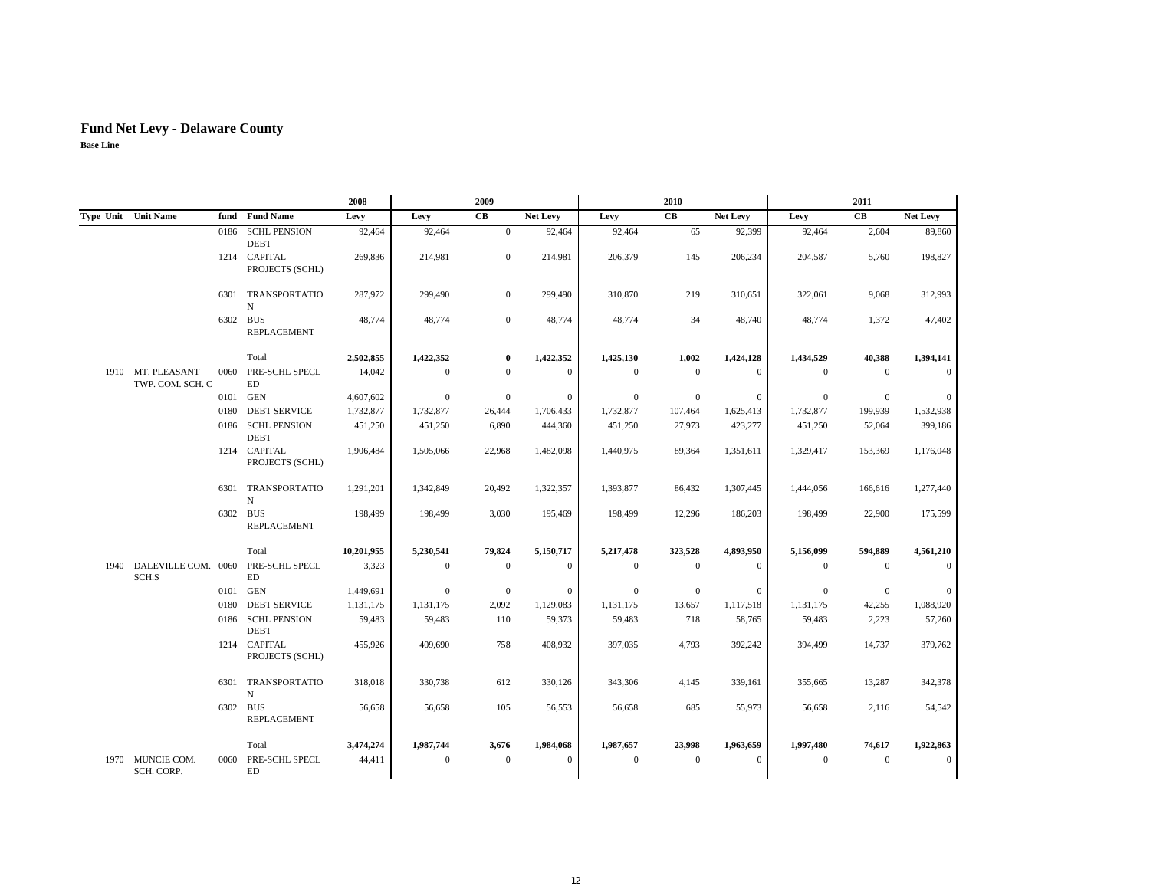|      |                                             |          |                                    | 2008       |              | 2009             |                 |                | 2010         |                 |                | 2011           |              |
|------|---------------------------------------------|----------|------------------------------------|------------|--------------|------------------|-----------------|----------------|--------------|-----------------|----------------|----------------|--------------|
|      | Type Unit Unit Name                         |          | fund Fund Name                     | Levy       | Levy         | CB               | <b>Net Levy</b> | Levy           | <b>CB</b>    | <b>Net Levy</b> | Levy           | CB             | Net Levy     |
|      |                                             | 0186     | <b>SCHL PENSION</b><br><b>DEBT</b> | 92,464     | 92,464       | $\overline{0}$   | 92,464          | 92,464         | 65           | 92,399          | 92,464         | 2,604          | 89,860       |
|      |                                             |          | 1214 CAPITAL<br>PROJECTS (SCHL)    | 269,836    | 214.981      | $\mathbf{0}$     | 214,981         | 206,379        | 145          | 206,234         | 204,587        | 5.760          | 198,827      |
|      |                                             |          | 6301 TRANSPORTATIO<br>N            | 287,972    | 299,490      | $\mathbf{0}$     | 299,490         | 310,870        | 219          | 310,651         | 322,061        | 9,068          | 312,993      |
|      |                                             | 6302 BUS | <b>REPLACEMENT</b>                 | 48,774     | 48,774       | $\mathbf{0}$     | 48,774          | 48,774         | 34           | 48,740          | 48,774         | 1,372          | 47,402       |
|      |                                             |          | Total                              | 2,502,855  | 1,422,352    | $\bf{0}$         | 1,422,352       | 1,425,130      | 1,002        | 1,424,128       | 1,434,529      | 40,388         | 1,394,141    |
|      | 1910 MT. PLEASANT<br>TWP. COM. SCH. C       |          | 0060 PRE-SCHL SPECL<br>ED          | 14.042     | $\mathbf{0}$ | $\mathbf{0}$     | $\mathbf{0}$    | $\overline{0}$ | $\mathbf{0}$ | $\mathbf{0}$    | $\overline{0}$ | $\theta$       | $\Omega$     |
|      |                                             |          | 0101 GEN                           | 4,607,602  | $\mathbf{0}$ | $\mathbf{0}$     | $\mathbf{0}$    | $\overline{0}$ | $\mathbf{0}$ | $\mathbf{0}$    | $\mathbf{0}$   | $\overline{0}$ | $\mathbf{0}$ |
|      |                                             | 0180     | <b>DEBT SERVICE</b>                | 1,732,877  | 1,732,877    | 26,444           | 1,706,433       | 1,732,877      | 107,464      | 1,625,413       | 1,732,877      | 199,939        | 1,532,938    |
|      |                                             |          | 0186 SCHL PENSION<br><b>DEBT</b>   | 451,250    | 451,250      | 6,890            | 444,360         | 451,250        | 27,973       | 423,277         | 451,250        | 52,064         | 399,186      |
|      |                                             |          | 1214 CAPITAL<br>PROJECTS (SCHL)    | 1,906,484  | 1,505,066    | 22,968           | 1,482,098       | 1,440,975      | 89,364       | 1,351,611       | 1,329,417      | 153,369        | 1,176,048    |
|      |                                             |          | 6301 TRANSPORTATIO<br>N            | 1,291,201  | 1,342,849    | 20,492           | 1,322,357       | 1,393,877      | 86,432       | 1,307,445       | 1,444,056      | 166,616        | 1,277,440    |
|      |                                             | 6302 BUS | <b>REPLACEMENT</b>                 | 198,499    | 198,499      | 3,030            | 195,469         | 198,499        | 12,296       | 186,203         | 198,499        | 22,900         | 175,599      |
|      |                                             |          | Total                              | 10,201,955 | 5,230,541    | 79,824           | 5,150,717       | 5,217,478      | 323,528      | 4,893,950       | 5,156,099      | 594,889        | 4,561,210    |
| 1940 | DALEVILLE COM. 0060 PRE-SCHL SPECL<br>SCH.S |          | ${\rm ED}$                         | 3,323      | $\mathbf{0}$ | $\boldsymbol{0}$ | $\mathbf{0}$    | $\overline{0}$ | $\mathbf{0}$ | $\theta$        | $\mathbf{0}$   | $\Omega$       | $\theta$     |
|      |                                             | 0101     | GEN                                | 1,449,691  | $\mathbf{0}$ | $\mathbf{0}$     | $\mathbf{0}$    | $\overline{0}$ | $\mathbf{0}$ | $\mathbf{0}$    | $\mathbf{0}$   | $\mathbf{0}$   | $\mathbf{0}$ |
|      |                                             | 0180     | <b>DEBT SERVICE</b>                | 1,131,175  | 1,131,175    | 2,092            | 1,129,083       | 1,131,175      | 13,657       | 1,117,518       | 1,131,175      | 42,255         | 1,088,920    |
|      |                                             |          | 0186 SCHL PENSION<br><b>DEBT</b>   | 59,483     | 59,483       | 110              | 59,373          | 59,483         | 718          | 58,765          | 59,483         | 2,223          | 57,260       |
|      |                                             |          | 1214 CAPITAL<br>PROJECTS (SCHL)    | 455.926    | 409,690      | 758              | 408,932         | 397,035        | 4,793        | 392,242         | 394,499        | 14,737         | 379,762      |
|      |                                             |          | 6301 TRANSPORTATIO<br>N            | 318,018    | 330,738      | 612              | 330,126         | 343,306        | 4,145        | 339,161         | 355,665        | 13,287         | 342,378      |
|      |                                             | 6302 BUS | <b>REPLACEMENT</b>                 | 56,658     | 56,658       | 105              | 56,553          | 56,658         | 685          | 55,973          | 56,658         | 2,116          | 54,542       |
|      |                                             |          | Total                              | 3,474,274  | 1,987,744    | 3,676            | 1,984,068       | 1,987,657      | 23,998       | 1,963,659       | 1,997,480      | 74,617         | 1,922,863    |
|      | 1970 MUNCIE COM.<br>SCH. CORP.              | 0060     | PRE-SCHL SPECL<br>ED               | 44,411     | $\theta$     | $\mathbf{0}$     | $\mathbf{0}$    | $\overline{0}$ | $\mathbf{0}$ | $\theta$        | $\overline{0}$ | $\overline{0}$ | $\theta$     |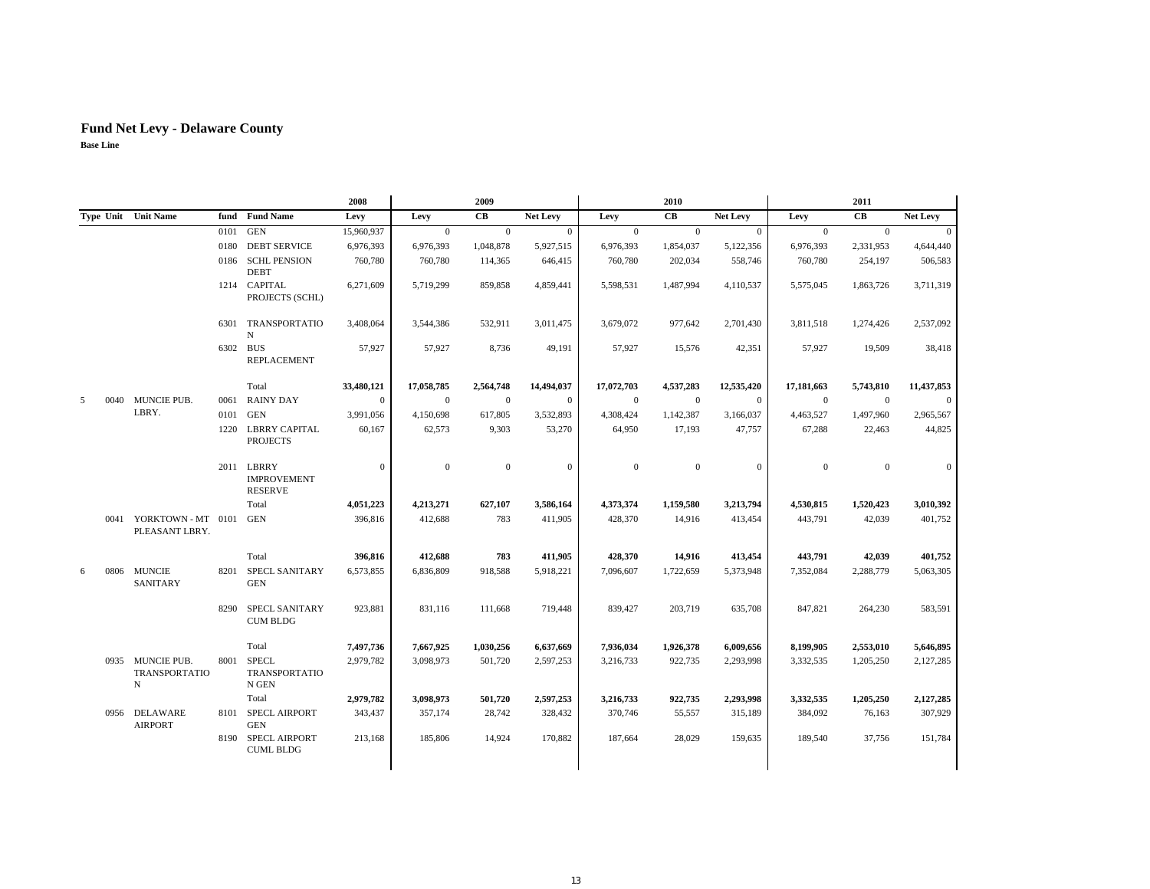|   |      |                                               |          |                                                    | 2008             |              | 2009           |                 |                | 2010         |                 |              | 2011             |                 |
|---|------|-----------------------------------------------|----------|----------------------------------------------------|------------------|--------------|----------------|-----------------|----------------|--------------|-----------------|--------------|------------------|-----------------|
|   |      | Type Unit Unit Name                           |          | fund Fund Name                                     | Levy             | Levy         | CВ             | <b>Net Levy</b> | Levy           | <b>CB</b>    | <b>Net Levy</b> | Levy         | CB               | <b>Net Levy</b> |
|   |      |                                               | 0101     | <b>GEN</b>                                         | 15,960,937       | $\mathbf{0}$ | $\mathbf{0}$   | $\theta$        | $\mathbf{0}$   | $\mathbf{0}$ | $\overline{0}$  | $\mathbf{0}$ | $\mathbf{0}$     | $\overline{0}$  |
|   |      |                                               | 0180     | <b>DEBT SERVICE</b>                                | 6,976,393        | 6,976,393    | 1,048,878      | 5,927,515       | 6,976,393      | 1,854,037    | 5,122,356       | 6,976,393    | 2,331,953        | 4,644,440       |
|   |      |                                               |          | 0186 SCHL PENSION<br><b>DEBT</b>                   | 760,780          | 760,780      | 114,365        | 646,415         | 760,780        | 202,034      | 558,746         | 760,780      | 254,197          | 506,583         |
|   |      |                                               |          | 1214 CAPITAL<br>PROJECTS (SCHL)                    | 6,271,609        | 5,719,299    | 859,858        | 4,859,441       | 5,598,531      | 1,487,994    | 4,110,537       | 5,575,045    | 1,863,726        | 3,711,319       |
|   |      |                                               |          | 6301 TRANSPORTATIO<br>N                            | 3,408,064        | 3,544,386    | 532,911        | 3,011,475       | 3,679,072      | 977,642      | 2,701,430       | 3,811,518    | 1,274,426        | 2,537,092       |
|   |      |                                               | 6302 BUS | <b>REPLACEMENT</b>                                 | 57,927           | 57,927       | 8,736          | 49,191          | 57,927         | 15,576       | 42,351          | 57,927       | 19,509           | 38,418          |
|   |      |                                               |          | Total                                              | 33,480,121       | 17,058,785   | 2,564,748      | 14,494,037      | 17,072,703     | 4,537,283    | 12,535,420      | 17,181,663   | 5,743,810        | 11,437,853      |
| 5 | 0040 | MUNCIE PUB.                                   | 0061     | <b>RAINY DAY</b>                                   | $\mathbf{0}$     | $\mathbf{0}$ | $\mathbf{0}$   | $\theta$        | $\overline{0}$ | $\mathbf{0}$ | $\mathbf{0}$    | $\mathbf{0}$ | $\mathbf{0}$     | $\theta$        |
|   |      | LBRY.                                         | 0101     | <b>GEN</b>                                         | 3,991,056        | 4,150,698    | 617,805        | 3,532,893       | 4,308,424      | 1,142,387    | 3,166,037       | 4,463,527    | 1,497,960        | 2,965,567       |
|   |      |                                               |          | 1220 LBRRY CAPITAL<br><b>PROJECTS</b>              | 60,167           | 62,573       | 9,303          | 53,270          | 64,950         | 17,193       | 47,757          | 67,288       | 22,463           | 44,825          |
|   |      |                                               |          | 2011 LBRRY<br><b>IMPROVEMENT</b><br><b>RESERVE</b> | $\boldsymbol{0}$ | $\mathbf{0}$ | $\overline{0}$ | $\mathbf{0}$    | $\theta$       | $\mathbf{0}$ | $\mathbf{0}$    | $\Omega$     | $\boldsymbol{0}$ | $\overline{0}$  |
|   |      |                                               |          | Total                                              | 4,051,223        | 4,213,271    | 627,107        | 3,586,164       | 4,373,374      | 1,159,580    | 3,213,794       | 4,530,815    | 1,520,423        | 3,010,392       |
|   | 0041 | YORKTOWN - MT 0101<br>PLEASANT LBRY.          |          | <b>GEN</b>                                         | 396,816          | 412,688      | 783            | 411,905         | 428,370        | 14,916       | 413,454         | 443,791      | 42,039           | 401,752         |
|   |      |                                               |          | Total                                              | 396,816          | 412,688      | 783            | 411,905         | 428,370        | 14,916       | 413,454         | 443,791      | 42,039           | 401,752         |
| 6 | 0806 | <b>MUNCIE</b><br><b>SANITARY</b>              |          | 8201 SPECL SANITARY<br><b>GEN</b>                  | 6,573,855        | 6,836,809    | 918,588        | 5,918,221       | 7,096,607      | 1,722,659    | 5,373,948       | 7,352,084    | 2,288,779        | 5,063,305       |
|   |      |                                               |          | 8290 SPECL SANITARY<br><b>CUM BLDG</b>             | 923,881          | 831,116      | 111,668        | 719,448         | 839,427        | 203,719      | 635,708         | 847,821      | 264,230          | 583,591         |
|   |      |                                               |          | Total                                              | 7,497,736        | 7,667,925    | 1,030,256      | 6,637,669       | 7,936,034      | 1,926,378    | 6,009,656       | 8,199,905    | 2,553,010        | 5,646,895       |
|   |      | 0935 MUNCIE PUB.<br><b>TRANSPORTATIO</b><br>N |          | 8001 SPECL<br><b>TRANSPORTATIO</b><br>N GEN        | 2,979,782        | 3,098,973    | 501,720        | 2,597,253       | 3,216,733      | 922,735      | 2,293,998       | 3,332,535    | 1,205,250        | 2,127,285       |
|   |      |                                               |          | Total                                              | 2,979,782        | 3,098,973    | 501,720        | 2,597,253       | 3,216,733      | 922,735      | 2,293,998       | 3,332,535    | 1,205,250        | 2,127,285       |
|   |      | 0956 DELAWARE<br><b>AIRPORT</b>               |          | 8101 SPECL AIRPORT<br><b>GEN</b>                   | 343,437          | 357,174      | 28,742         | 328,432         | 370,746        | 55,557       | 315,189         | 384,092      | 76,163           | 307,929         |
|   |      |                                               |          | 8190 SPECL AIRPORT<br><b>CUML BLDG</b>             | 213,168          | 185,806      | 14,924         | 170,882         | 187,664        | 28,029       | 159,635         | 189,540      | 37,756           | 151,784         |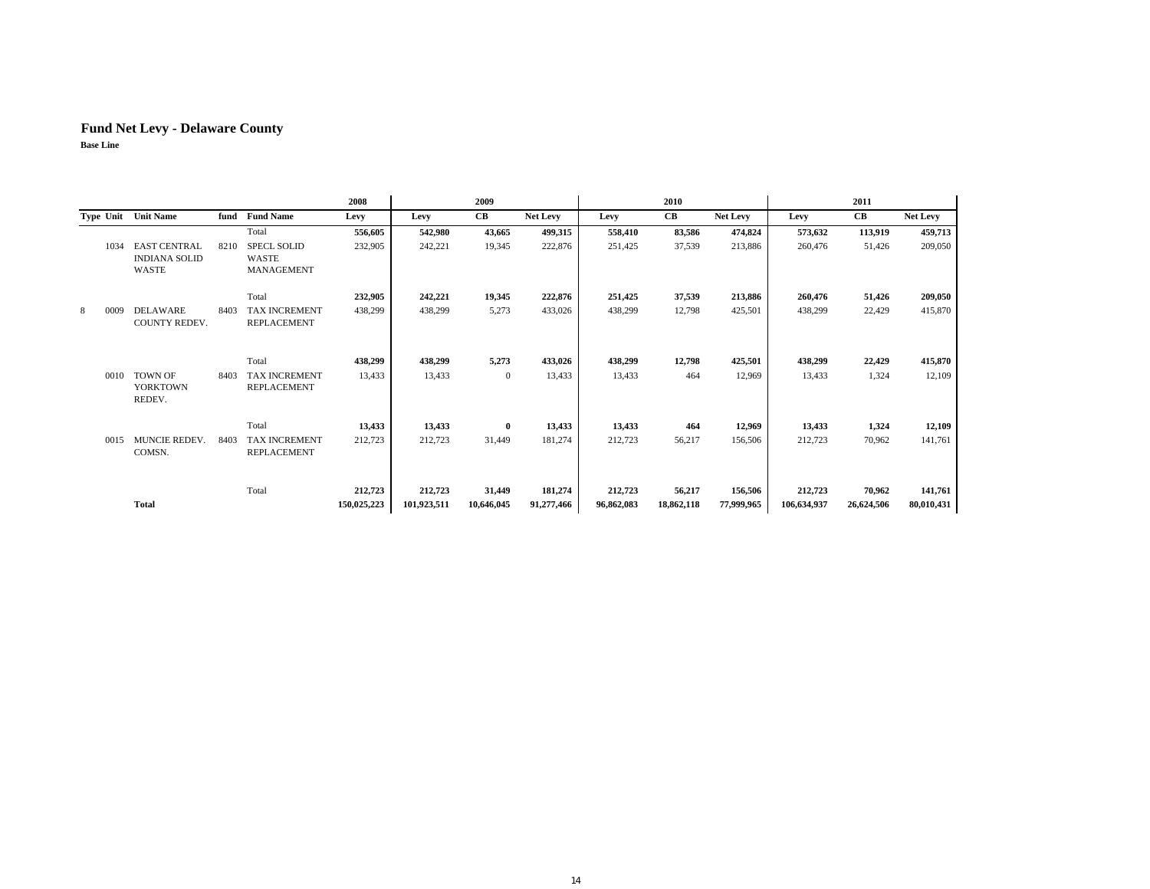|   |           |                                                             |      |                                                  | 2008                   |                        | 2009                 |                       |                       | 2010                 |                       |                        | 2011                 |                       |
|---|-----------|-------------------------------------------------------------|------|--------------------------------------------------|------------------------|------------------------|----------------------|-----------------------|-----------------------|----------------------|-----------------------|------------------------|----------------------|-----------------------|
|   | Type Unit | <b>Unit Name</b>                                            | fund | <b>Fund Name</b>                                 | Levy                   | Levy                   | $\mathbf C\mathbf B$ | <b>Net Levy</b>       | Levy                  | CB                   | Net Levy              | Levy                   | CB                   | <b>Net Levy</b>       |
|   |           |                                                             |      | Total                                            | 556,605                | 542,980                | 43,665               | 499,315               | 558,410               | 83,586               | 474,824               | 573,632                | 113,919              | 459,713               |
|   | 1034      | <b>EAST CENTRAL</b><br><b>INDIANA SOLID</b><br><b>WASTE</b> | 8210 | <b>SPECL SOLID</b><br>WASTE<br><b>MANAGEMENT</b> | 232,905                | 242,221                | 19,345               | 222,876               | 251,425               | 37,539               | 213,886               | 260,476                | 51,426               | 209,050               |
|   |           |                                                             |      | Total                                            | 232,905                | 242,221                | 19,345               | 222,876               | 251,425               | 37,539               | 213,886               | 260,476                | 51,426               | 209,050               |
| 8 | 0009      | DELAWARE<br><b>COUNTY REDEV.</b>                            | 8403 | <b>TAX INCREMENT</b><br><b>REPLACEMENT</b>       | 438,299                | 438,299                | 5,273                | 433,026               | 438,299               | 12,798               | 425,501               | 438,299                | 22,429               | 415,870               |
|   |           |                                                             |      | Total                                            | 438,299                | 438,299                | 5,273                | 433,026               | 438,299               | 12,798               | 425,501               | 438,299                | 22,429               | 415,870               |
|   | 0010      | <b>TOWN OF</b><br><b>YORKTOWN</b><br>REDEV.                 | 8403 | TAX INCREMENT<br><b>REPLACEMENT</b>              | 13,433                 | 13,433                 | $\mathbf{0}$         | 13,433                | 13,433                | 464                  | 12,969                | 13,433                 | 1,324                | 12,109                |
|   |           |                                                             |      | Total                                            | 13,433                 | 13,433                 | $\bf{0}$             | 13,433                | 13,433                | 464                  | 12,969                | 13,433                 | 1,324                | 12,109                |
|   | 0015      | MUNCIE REDEV.<br>COMSN.                                     | 8403 | <b>TAX INCREMENT</b><br><b>REPLACEMENT</b>       | 212,723                | 212,723                | 31,449               | 181,274               | 212,723               | 56,217               | 156,506               | 212,723                | 70,962               | 141,761               |
|   |           | <b>Total</b>                                                |      | Total                                            | 212,723<br>150,025,223 | 212,723<br>101,923,511 | 31,449<br>10,646,045 | 181,274<br>91,277,466 | 212,723<br>96,862,083 | 56,217<br>18,862,118 | 156,506<br>77,999,965 | 212,723<br>106,634,937 | 70,962<br>26,624,506 | 141,761<br>80,010,431 |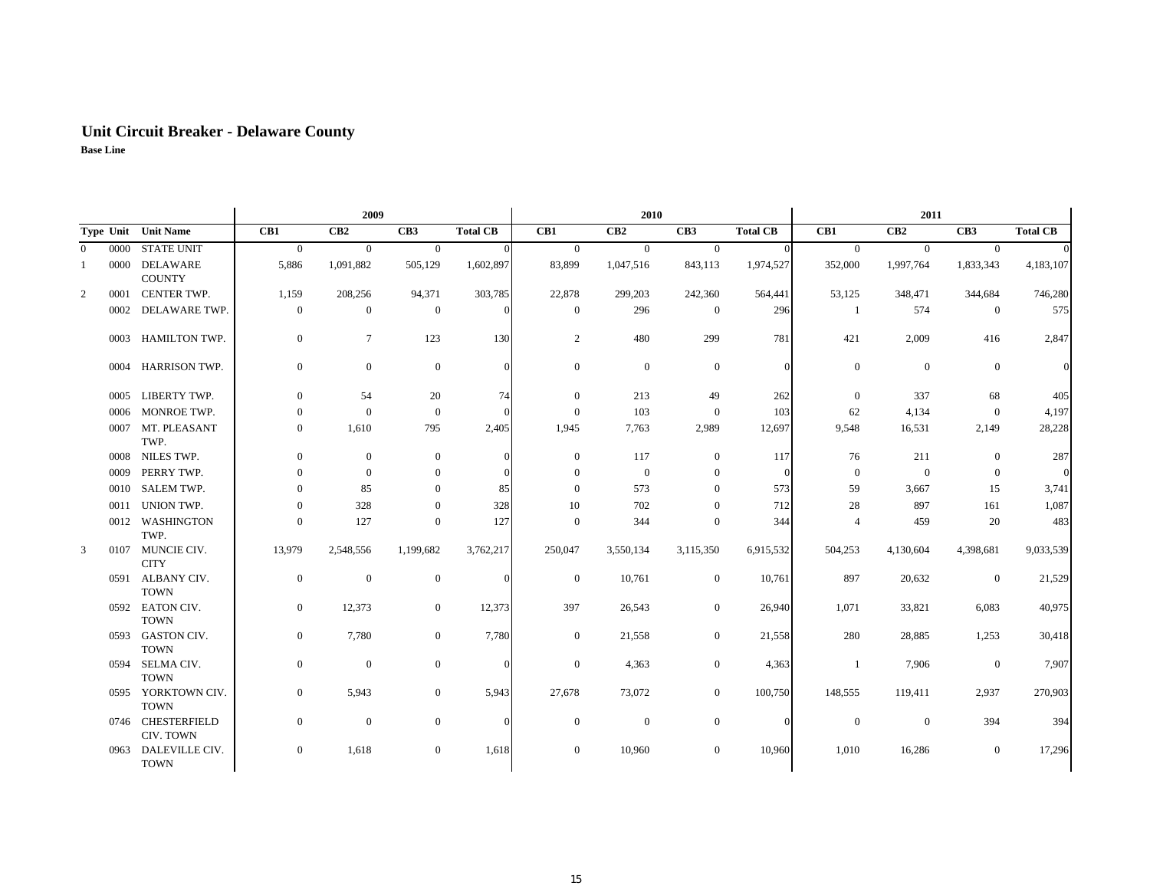## **Unit Circuit Breaker - Delaware County Base Line**

|                |      |                                   |                  | 2009           |                  |                 |                  | 2010             |                  |                 |                  | 2011           |                  |                 |
|----------------|------|-----------------------------------|------------------|----------------|------------------|-----------------|------------------|------------------|------------------|-----------------|------------------|----------------|------------------|-----------------|
|                |      | Type Unit Unit Name               | CB1              | CB2            | CB <sub>3</sub>  | <b>Total CB</b> | CB1              | CB2              | CB <sub>3</sub>  | <b>Total CB</b> | CB1              | CB2            | CB3              | <b>Total CB</b> |
| $\overline{0}$ | 0000 | <b>STATE UNIT</b>                 | $\overline{0}$   | $\mathbf{0}$   | $\overline{0}$   |                 | $\mathbf{0}$     | $\overline{0}$   | $\overline{0}$   | $\Omega$        | $\mathbf{0}$     | $\overline{0}$ | $\overline{0}$   |                 |
| 1              | 0000 | <b>DELAWARE</b><br><b>COUNTY</b>  | 5,886            | 1,091,882      | 505,129          | 1,602,897       | 83,899           | 1,047,516        | 843,113          | 1,974,527       | 352,000          | 1,997,764      | 1,833,343        | 4,183,107       |
| $\overline{2}$ | 0001 | CENTER TWP.                       | 1,159            | 208,256        | 94,371           | 303,785         | 22,878           | 299,203          | 242,360          | 564,441         | 53,125           | 348,471        | 344,684          | 746,280         |
|                | 0002 | DELAWARE TWP.                     | $\mathbf{0}$     | $\mathbf{0}$   | $\overline{0}$   |                 | $\boldsymbol{0}$ | 296              | $\boldsymbol{0}$ | 296             | -1               | 574            | $\boldsymbol{0}$ | 575             |
|                | 0003 | HAMILTON TWP.                     | $\mathbf{0}$     | $\tau$         | 123              | 130             | $\overline{c}$   | 480              | 299              | 781             | 421              | 2,009          | 416              | 2,847           |
|                | 0004 | HARRISON TWP.                     | $\boldsymbol{0}$ | $\mathbf{0}$   | $\mathbf{0}$     |                 | $\boldsymbol{0}$ | $\boldsymbol{0}$ | $\mathbf{0}$     | $\sqrt{ }$      | $\boldsymbol{0}$ | $\mathbf{0}$   | $\boldsymbol{0}$ |                 |
|                | 0005 | LIBERTY TWP.                      | $\overline{0}$   | 54             | 20               | 74              | $\mathbf{0}$     | 213              | 49               | 262             | $\overline{0}$   | 337            | 68               | 405             |
|                | 0006 | MONROE TWP.                       | $\mathbf{0}$     | $\overline{0}$ | $\overline{0}$   |                 | $\Omega$         | 103              | $\overline{0}$   | 103             | 62               | 4,134          | $\overline{0}$   | 4,197           |
|                | 0007 | MT. PLEASANT<br>TWP.              | $\overline{0}$   | 1,610          | 795              | 2,405           | 1,945            | 7,763            | 2,989            | 12,697          | 9,548            | 16,531         | 2,149            | 28,228          |
|                | 0008 | NILES TWP.                        | $\overline{0}$   | $\mathbf{0}$   | $\boldsymbol{0}$ |                 | $\mathbf{0}$     | 117              | $\boldsymbol{0}$ | 117             | 76               | 211            | $\mathbf{0}$     | 287             |
|                | 0009 | PERRY TWP.                        | $\overline{0}$   | $\overline{0}$ | $\mathbf{0}$     |                 | $\Omega$         | $\boldsymbol{0}$ | $\mathbf{0}$     | $\Omega$        | $\boldsymbol{0}$ | $\mathbf{0}$   | $\mathbf{0}$     |                 |
|                | 0010 | <b>SALEM TWP.</b>                 | $\mathbf{0}$     | 85             | $\overline{0}$   | 85              | $\Omega$         | 573              | $\mathbf{0}$     | 573             | 59               | 3,667          | 15               | 3,741           |
|                | 0011 | UNION TWP.                        | $\Omega$         | 328            | $\mathbf{0}$     | 328             | 10               | 702              | $\mathbf{0}$     | 712             | 28               | 897            | 161              | 1,087           |
|                | 0012 | <b>WASHINGTON</b><br>TWP.         | $\boldsymbol{0}$ | 127            | $\mathbf{0}$     | 127             | $\mathbf{0}$     | 344              | $\mathbf{0}$     | 344             | $\overline{4}$   | 459            | 20               | 483             |
| 3              | 0107 | MUNCIE CIV.<br><b>CITY</b>        | 13,979           | 2,548,556      | 1,199,682        | 3,762,217       | 250,047          | 3,550,134        | 3,115,350        | 6,915,532       | 504,253          | 4,130,604      | 4,398,681        | 9,033,539       |
|                |      | 0591 ALBANY CIV.<br><b>TOWN</b>   | $\mathbf{0}$     | $\mathbf{0}$   | $\overline{0}$   |                 | $\boldsymbol{0}$ | 10,761           | $\boldsymbol{0}$ | 10,761          | 897              | 20,632         | $\mathbf{0}$     | 21,529          |
|                |      | 0592 EATON CIV.<br><b>TOWN</b>    | $\mathbf{0}$     | 12,373         | $\overline{0}$   | 12,373          | 397              | 26,543           | $\mathbf{0}$     | 26,940          | 1,071            | 33,821         | 6,083            | 40,975          |
|                | 0593 | <b>GASTON CIV.</b><br><b>TOWN</b> | $\mathbf{0}$     | 7,780          | $\overline{0}$   | 7,780           | $\mathbf{0}$     | 21,558           | $\boldsymbol{0}$ | 21,558          | 280              | 28,885         | 1,253            | 30,418          |
|                | 0594 | SELMA CIV.<br><b>TOWN</b>         | $\mathbf{0}$     | $\theta$       | $\overline{0}$   |                 | $\mathbf{0}$     | 4,363            | $\mathbf{0}$     | 4,363           | $\mathbf{1}$     | 7,906          | $\mathbf{0}$     | 7,907           |
|                | 0595 | YORKTOWN CIV.<br><b>TOWN</b>      | $\mathbf{0}$     | 5,943          | $\overline{0}$   | 5,943           | 27,678           | 73,072           | $\boldsymbol{0}$ | 100,750         | 148,555          | 119,411        | 2,937            | 270,903         |
|                |      | 0746 CHESTERFIELD<br>CIV. TOWN    | $\boldsymbol{0}$ | $\theta$       | $\mathbf{0}$     |                 | $\boldsymbol{0}$ | $\boldsymbol{0}$ | $\boldsymbol{0}$ | $\sqrt{ }$      | $\boldsymbol{0}$ | $\mathbf{0}$   | 394              | 394             |
|                | 0963 | DALEVILLE CIV.<br><b>TOWN</b>     | $\boldsymbol{0}$ | 1,618          | $\mathbf{0}$     | 1,618           | $\mathbf{0}$     | 10,960           | $\mathbf{0}$     | 10,960          | 1,010            | 16,286         | $\boldsymbol{0}$ | 17,296          |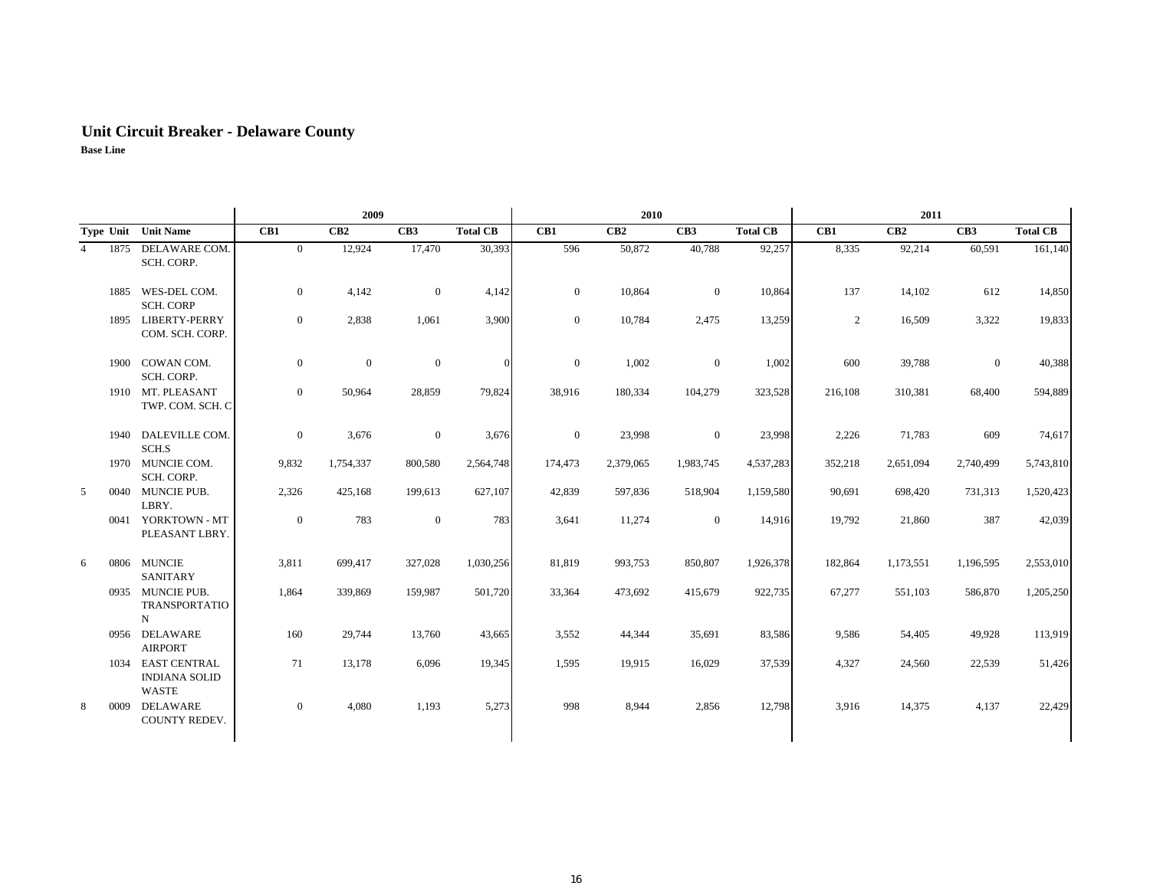# **Unit Circuit Breaker - Delaware County**

|                        |                                                             |                | 2009         |              |                 |              | 2010      |                 |                 |                | 2011      |                 |                 |
|------------------------|-------------------------------------------------------------|----------------|--------------|--------------|-----------------|--------------|-----------|-----------------|-----------------|----------------|-----------|-----------------|-----------------|
|                        | Type Unit Unit Name                                         | CB1            | CB2          | CB3          | <b>Total CB</b> | CB1          | CB2       | CB <sub>3</sub> | <b>Total CB</b> | CB1            | CB2       | CB <sub>3</sub> | <b>Total CB</b> |
| 1875<br>$\overline{4}$ | DELAWARE COM.<br>SCH. CORP.                                 | $\overline{0}$ | 12,924       | 17,470       | 30,393          | 596          | 50,872    | 40,788          | 92,257          | 8,335          | 92,214    | 60,591          | 161,140         |
| 1885                   | WES-DEL COM.<br><b>SCH. CORP</b>                            | $\overline{0}$ | 4,142        | $\mathbf{0}$ | 4,142           | $\mathbf{0}$ | 10,864    | $\overline{0}$  | 10,864          | 137            | 14,102    | 612             | 14,850          |
| 1895                   | <b>LIBERTY-PERRY</b><br>COM. SCH. CORP.                     | $\overline{0}$ | 2,838        | 1,061        | 3,900           | $\mathbf{0}$ | 10,784    | 2,475           | 13,259          | $\overline{2}$ | 16,509    | 3,322           | 19,833          |
| 1900                   | COWAN COM.<br>SCH. CORP.                                    | $\mathbf{0}$   | $\mathbf{0}$ | $\mathbf{0}$ | $\Omega$        | $\mathbf{0}$ | 1,002     | $\overline{0}$  | 1,002           | 600            | 39,788    | $\mathbf{0}$    | 40,388          |
|                        | 1910 MT. PLEASANT<br>TWP. COM. SCH. C                       | $\overline{0}$ | 50,964       | 28,859       | 79,824          | 38,916       | 180,334   | 104,279         | 323,528         | 216,108        | 310,381   | 68,400          | 594,889         |
| 1940                   | DALEVILLE COM.<br>SCH.S                                     | $\mathbf{0}$   | 3,676        | $\mathbf{0}$ | 3,676           | $\mathbf{0}$ | 23,998    | $\mathbf{0}$    | 23,998          | 2,226          | 71,783    | 609             | 74,617          |
|                        | 1970 MUNCIE COM.<br>SCH. CORP.                              | 9,832          | 1,754,337    | 800,580      | 2,564,748       | 174,473      | 2,379,065 | 1,983,745       | 4,537,283       | 352,218        | 2,651,094 | 2,740,499       | 5,743,810       |
| 5<br>0040              | MUNCIE PUB.<br>LBRY.                                        | 2,326          | 425,168      | 199,613      | 627,107         | 42,839       | 597,836   | 518,904         | 1,159,580       | 90,691         | 698,420   | 731,313         | 1,520,423       |
|                        | 0041 YORKTOWN - MT<br>PLEASANT LBRY.                        | $\mathbf{0}$   | 783          | $\mathbf{0}$ | 783             | 3,641        | 11,274    | $\mathbf{0}$    | 14,916          | 19,792         | 21,860    | 387             | 42,039          |
| 6<br>0806              | <b>MUNCIE</b><br><b>SANITARY</b>                            | 3.811          | 699,417      | 327,028      | 1,030,256       | 81,819       | 993,753   | 850,807         | 1,926,378       | 182,864        | 1,173,551 | 1,196,595       | 2,553,010       |
|                        | 0935 MUNCIE PUB.<br><b>TRANSPORTATIO</b><br>$\mathbf N$     | 1,864          | 339,869      | 159,987      | 501,720         | 33,364       | 473,692   | 415,679         | 922,735         | 67,277         | 551,103   | 586,870         | 1,205,250       |
|                        | 0956 DELAWARE<br><b>AIRPORT</b>                             | 160            | 29,744       | 13,760       | 43,665          | 3,552        | 44,344    | 35,691          | 83,586          | 9,586          | 54,405    | 49,928          | 113,919         |
| 1034                   | <b>EAST CENTRAL</b><br><b>INDIANA SOLID</b><br><b>WASTE</b> | 71             | 13,178       | 6,096        | 19,345          | 1,595        | 19,915    | 16,029          | 37,539          | 4,327          | 24,560    | 22,539          | 51,426          |
| 8<br>0009              | DELAWARE<br><b>COUNTY REDEV.</b>                            | $\overline{0}$ | 4,080        | 1,193        | 5,273           | 998          | 8,944     | 2,856           | 12,798          | 3,916          | 14,375    | 4,137           | 22,429          |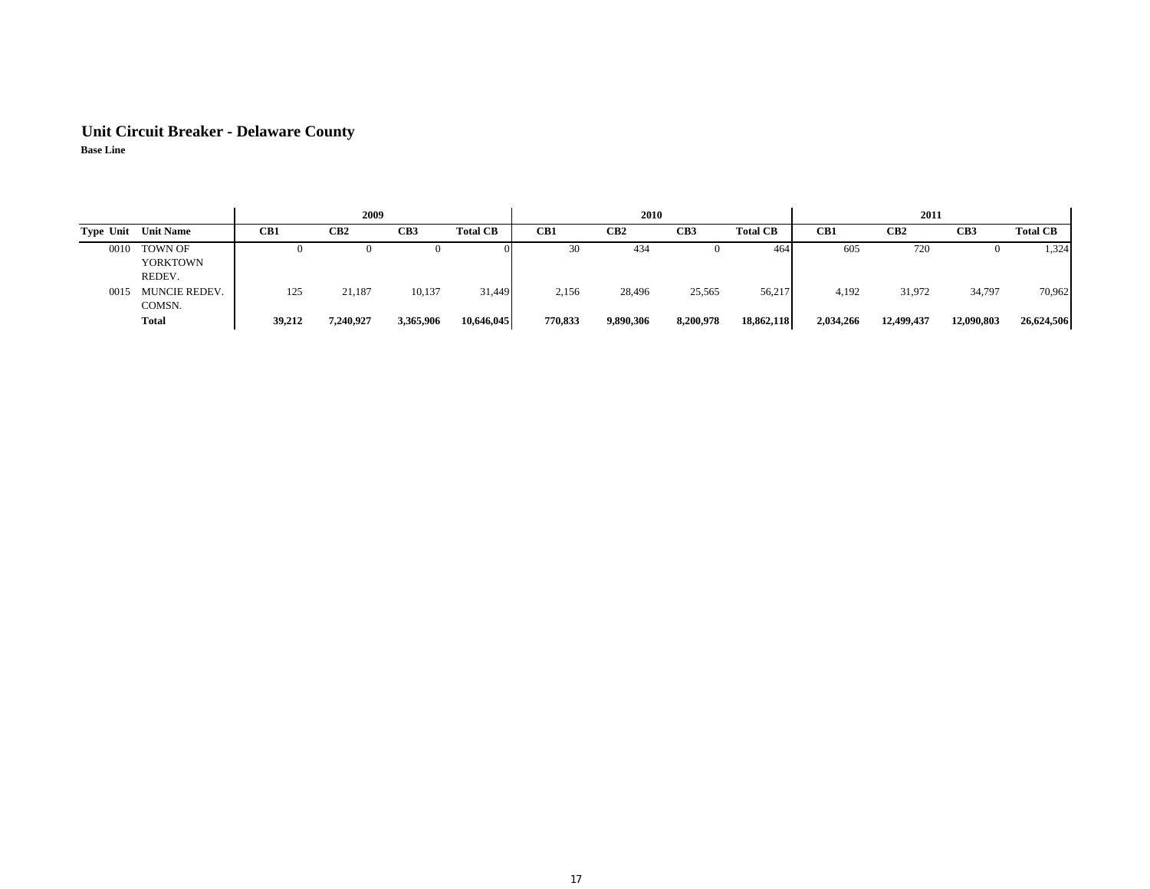## **Unit Circuit Breaker - Delaware County Base Line**

|      |                                      |          | 2009      |           |                 |         | <b>2010</b>     |                 |                 |           | 2011            |            |                 |
|------|--------------------------------------|----------|-----------|-----------|-----------------|---------|-----------------|-----------------|-----------------|-----------|-----------------|------------|-----------------|
|      | <b>Type Unit Unit Name</b>           | CB1      | CB2       | CB3       | <b>Total CB</b> | CB1     | CB <sub>2</sub> | CB <sub>3</sub> | <b>Total CB</b> | CB1       | CB <sub>2</sub> | CB3        | <b>Total CB</b> |
| 0010 | TOWN OF<br><b>YORKTOWN</b><br>REDEV. | $\theta$ |           |           |                 | 30      | 434             |                 | 464             | 605       | 720             |            | 1,324           |
| 0015 | <b>MUNCIE REDEV.</b><br>COMSN.       | 125      | 21,187    | 10,137    | 31,449          | 2,156   | 28,496          | 25,565          | 56,217          | 4,192     | 31,972          | 34,797     | 70,962          |
|      | Total                                | 39,212   | 7,240,927 | 3,365,906 | 10,646,045      | 770,833 | 9,890,306       | 8,200,978       | 18,862,118      | 2,034,266 | 12,499,437      | 12,090,803 | 26,624,506      |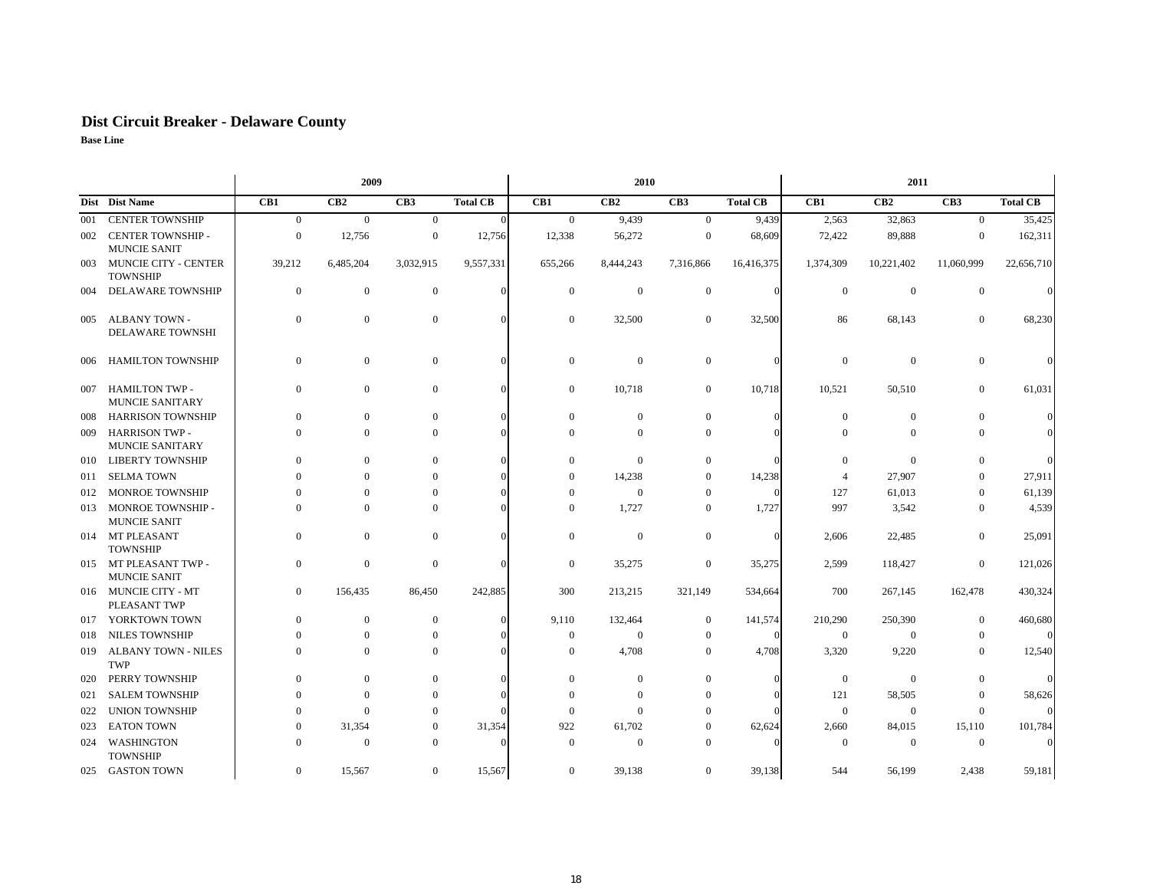## **Dist Circuit Breaker - Delaware County**

|     |                                                 |                | 2009             |                  |                 |                  | 2010           |                  |                 |                  | 2011             |                |                 |
|-----|-------------------------------------------------|----------------|------------------|------------------|-----------------|------------------|----------------|------------------|-----------------|------------------|------------------|----------------|-----------------|
|     | Dist Dist Name                                  | CB1            | CB2              | CB3              | <b>Total CB</b> | CB1              | CB2            | CB <sub>3</sub>  | <b>Total CB</b> | CB1              | CB2              | CB3            | <b>Total CB</b> |
| 001 | <b>CENTER TOWNSHIP</b>                          | $\overline{0}$ | $\overline{0}$   | $\overline{0}$   | $\Omega$        | $\mathbf{0}$     | 9,439          | $\overline{0}$   | 9,439           | 2,563            | 32,863           | $\mathbf{0}$   | 35,425          |
| 002 | <b>CENTER TOWNSHIP -</b><br><b>MUNCIE SANIT</b> | $\overline{0}$ | 12,756           | $\boldsymbol{0}$ | 12,756          | 12,338           | 56,272         | $\overline{0}$   | 68,609          | 72,422           | 89,888           | $\overline{0}$ | 162,311         |
| 003 | <b>MUNCIE CITY - CENTER</b><br><b>TOWNSHIP</b>  | 39,212         | 6,485,204        | 3,032,915        | 9,557,331       | 655,266          | 8,444,243      | 7,316,866        | 16,416,375      | 1,374,309        | 10,221,402       | 11,060,999     | 22,656,710      |
| 004 | <b>DELAWARE TOWNSHIP</b>                        | $\mathbf{0}$   | $\boldsymbol{0}$ | $\mathbf{0}$     | $\Omega$        | $\mathbf{0}$     | $\overline{0}$ | $\mathbf{0}$     | $\Omega$        | $\boldsymbol{0}$ | $\boldsymbol{0}$ | $\mathbf{0}$   |                 |
| 005 | ALBANY TOWN -<br><b>DELAWARE TOWNSHI</b>        | $\mathbf{0}$   | $\overline{0}$   | $\overline{0}$   |                 | $\mathbf{0}$     | 32,500         | $\mathbf{0}$     | 32,500          | 86               | 68,143           | $\overline{0}$ | 68,230          |
| 006 | <b>HAMILTON TOWNSHIP</b>                        | $\mathbf{0}$   | 0                | $\mathbf{0}$     | $\Omega$        | $\boldsymbol{0}$ | $\overline{0}$ | $\mathbf{0}$     | $\Omega$        | $\boldsymbol{0}$ | $\boldsymbol{0}$ | $\overline{0}$ |                 |
| 007 | <b>HAMILTON TWP -</b><br><b>MUNCIE SANITARY</b> | $\Omega$       | $\overline{0}$   | $\mathbf{0}$     |                 | $\mathbf{0}$     | 10,718         | $\overline{0}$   | 10,718          | 10,521           | 50,510           | $\overline{0}$ | 61,031          |
| 008 | <b>HARRISON TOWNSHIP</b>                        | $\mathbf{0}$   | $\boldsymbol{0}$ | $\mathbf{0}$     |                 | $\mathbf{0}$     | $\mathbf{0}$   | $\boldsymbol{0}$ | $\Omega$        | $\mathbf{0}$     | $\boldsymbol{0}$ | $\Omega$       |                 |
| 009 | <b>HARRISON TWP -</b><br>MUNCIE SANITARY        | $\Omega$       | $\overline{0}$   | $\mathbf{0}$     |                 | $\Omega$         | $\overline{0}$ | $\mathbf{0}$     | $\Omega$        | $\Omega$         | $\mathbf{0}$     | $\Omega$       |                 |
| 010 | <b>LIBERTY TOWNSHIP</b>                         | $\Omega$       | 0                | $\overline{0}$   |                 | $\overline{0}$   | $\overline{0}$ | $\overline{0}$   |                 | $\mathbf{0}$     | $\mathbf{0}$     | $\overline{0}$ |                 |
| 011 | <b>SELMA TOWN</b>                               | $\Omega$       | 0                | $\overline{0}$   |                 | $\mathbf{0}$     | 14,238         | $\theta$         | 14,238          | 4                | 27,907           | $\overline{0}$ | 27,911          |
| 012 | <b>MONROE TOWNSHIP</b>                          | $\Omega$       | $\Omega$         | $\overline{0}$   |                 | $\Omega$         | $\overline{0}$ | $\Omega$         | $\Omega$        | 127              | 61,013           | $\overline{0}$ | 61,139          |
| 013 | MONROE TOWNSHIP -<br><b>MUNCIE SANIT</b>        | $\Omega$       | $\overline{0}$   | $\overline{0}$   |                 | $\mathbf{0}$     | 1,727          | $\Omega$         | 1,727           | 997              | 3,542            | $\overline{0}$ | 4,539           |
|     | 014 MT PLEASANT<br><b>TOWNSHIP</b>              | $\Omega$       | $\overline{0}$   | $\mathbf{0}$     |                 | $\Omega$         | $\overline{0}$ | $\mathbf{0}$     | $\Omega$        | 2,606            | 22,485           | $\Omega$       | 25,091          |
| 015 | MT PLEASANT TWP -<br><b>MUNCIE SANIT</b>        | $\Omega$       | $\overline{0}$   | $\mathbf{0}$     |                 | $\Omega$         | 35,275         | $\mathbf{0}$     | 35,275          | 2,599            | 118,427          | $\overline{0}$ | 121,026         |
|     | 016 MUNCIE CITY - MT<br>PLEASANT TWP            | $\overline{0}$ | 156,435          | 86,450           | 242,885         | 300              | 213,215        | 321,149          | 534,664         | 700              | 267,145          | 162,478        | 430,324         |
| 017 | YORKTOWN TOWN                                   | $\Omega$       | $\overline{0}$   | $\overline{0}$   |                 | 9,110            | 132,464        | $\mathbf{0}$     | 141,574         | 210,290          | 250,390          | $\overline{0}$ | 460,680         |
| 018 | <b>NILES TOWNSHIP</b>                           | $\Omega$       | $\overline{0}$   | $\overline{0}$   |                 | $\mathbf{0}$     | $\overline{0}$ | $\Omega$         | $\Omega$        | $\mathbf{0}$     | $\overline{0}$   | $\Omega$       |                 |
| 019 | <b>ALBANY TOWN - NILES</b><br>TWP               | $\Omega$       | $\overline{0}$   | $\overline{0}$   |                 | $\Omega$         | 4,708          | $\overline{0}$   | 4,708           | 3,320            | 9,220            | $\Omega$       | 12,540          |
| 020 | PERRY TOWNSHIP                                  | $\Omega$       | $\overline{0}$   | $\mathbf{0}$     |                 | $\overline{0}$   | $\mathbf{0}$   | $\Omega$         | $\Omega$        | $\boldsymbol{0}$ | $\Omega$         | $\overline{0}$ |                 |
| 021 | <b>SALEM TOWNSHIP</b>                           | $\Omega$       | $\Omega$         | $\overline{0}$   |                 | $\Omega$         | $\overline{0}$ | $\Omega$         | $\Omega$        | 121              | 58,505           | $\Omega$       | 58,626          |
| 022 | <b>UNION TOWNSHIP</b>                           | $\theta$       | $\Omega$         | $\Omega$         |                 | $\Omega$         | $\Omega$       | $\theta$         | $\Omega$        | $\mathbf{0}$     | $\overline{0}$   | $\Omega$       |                 |
| 023 | <b>EATON TOWN</b>                               | $\Omega$       | 31,354           | $\overline{0}$   | 31,354          | 922              | 61,702         | $\Omega$         | 62,624          | 2,660            | 84,015           | 15,110         | 101,784         |
| 024 | <b>WASHINGTON</b><br><b>TOWNSHIP</b>            | $\Omega$       | $\overline{0}$   | $\Omega$         | $\Omega$        | $\Omega$         | $\overline{0}$ | $\Omega$         | $\Omega$        | $\Omega$         | $\overline{0}$   | $\overline{0}$ |                 |
| 025 | GASTON TOWN                                     | $\overline{0}$ | 15,567           | $\mathbf{0}$     | 15,567          | $\mathbf{0}$     | 39,138         | $\boldsymbol{0}$ | 39,138          | 544              | 56,199           | 2,438          | 59,181          |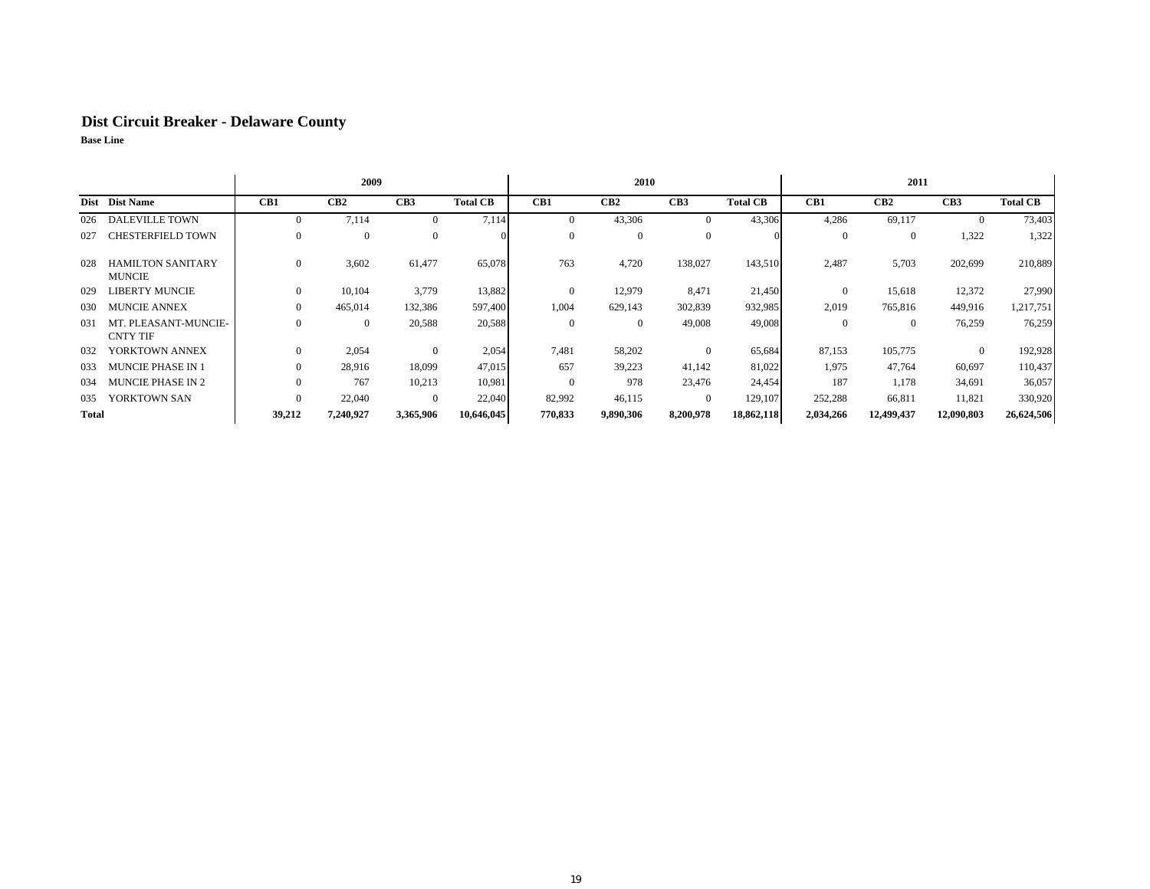## **Dist Circuit Breaker - Delaware County**

|              |                                           | 2009     |           |           |                 |          | 2010            |           |                 |           | 2011       |                 |                 |
|--------------|-------------------------------------------|----------|-----------|-----------|-----------------|----------|-----------------|-----------|-----------------|-----------|------------|-----------------|-----------------|
|              | Dist Dist Name                            | CB1      | CB2       | CB3       | <b>Total CB</b> | CB1      | CB <sub>2</sub> | CB3       | <b>Total CB</b> | CB1       | CB2        | CB <sub>3</sub> | <b>Total CB</b> |
| 026          | <b>DALEVILLE TOWN</b>                     | $\Omega$ | 7,114     | $\Omega$  | 7,114           |          | 43,306          | $\Omega$  | 43,306          | 4,286     | 69,117     | $\mathbf{0}$    | 73,403          |
| 027          | CHESTERFIELD TOWN                         | $\Omega$ |           | $\Omega$  | $^{\circ}$      | $\Omega$ | $\Omega$        | $\Omega$  |                 | $\Omega$  | $\Omega$   | 1,322           | 1,322           |
| 028          | <b>HAMILTON SANITARY</b><br><b>MUNCIE</b> | $\Omega$ | 3,602     | 61,477    | 65,078          | 763      | 4,720           | 138,027   | 143,510         | 2,487     | 5,703      | 202,699         | 210,889         |
| 029          | LIBERTY MUNCIE                            | $\Omega$ | 10,104    | 3,779     | 13,882          |          | 12,979          | 8,471     | 21,450          | $\Omega$  | 15,618     | 12,372          | 27,990          |
| 030          | <b>MUNCIE ANNEX</b>                       | $\Omega$ | 465,014   | 132,386   | 597,400         | 1,004    | 629,143         | 302,839   | 932,985         | 2,019     | 765,816    | 449,916         | 1,217,751       |
| 031          | MT. PLEASANT-MUNCIE-<br><b>CNTY TIF</b>   | $\Omega$ | $\Omega$  | 20,588    | 20,588          | $\Omega$ | $\theta$        | 49,008    | 49,008          | $\Omega$  | $\Omega$   | 76,259          | 76,259          |
| 032          | YORKTOWN ANNEX                            | $\Omega$ | 2,054     | $\Omega$  | 2,054           | 7.481    | 58,202          | $\Omega$  | 65,684          | 87,153    | 105,775    | $\overline{0}$  | 192,928         |
| 033          | MUNCIE PHASE IN 1                         | $\Omega$ | 28.916    | 18,099    | 47,015          | 657      | 39,223          | 41,142    | 81,022          | 1,975     | 47,764     | 60,697          | 110,437         |
| 034          | <b>MUNCIE PHASE IN 2</b>                  | $\Omega$ | 767       | 10,213    | 10,981          | $\Omega$ | 978             | 23,476    | 24,454          | 187       | 1,178      | 34,691          | 36,057          |
| 035          | YORKTOWN SAN                              | $\Omega$ | 22,040    | $\Omega$  | 22,040          | 82,992   | 46,115          | $\Omega$  | 129,107         | 252,288   | 66,811     | 11,821          | 330,920         |
| <b>Total</b> |                                           | 39,212   | 7,240,927 | 3,365,906 | 10,646,045      | 770,833  | 9,890,306       | 8,200,978 | 18,862,118      | 2,034,266 | 12,499,437 | 12,090,803      | 26,624,506      |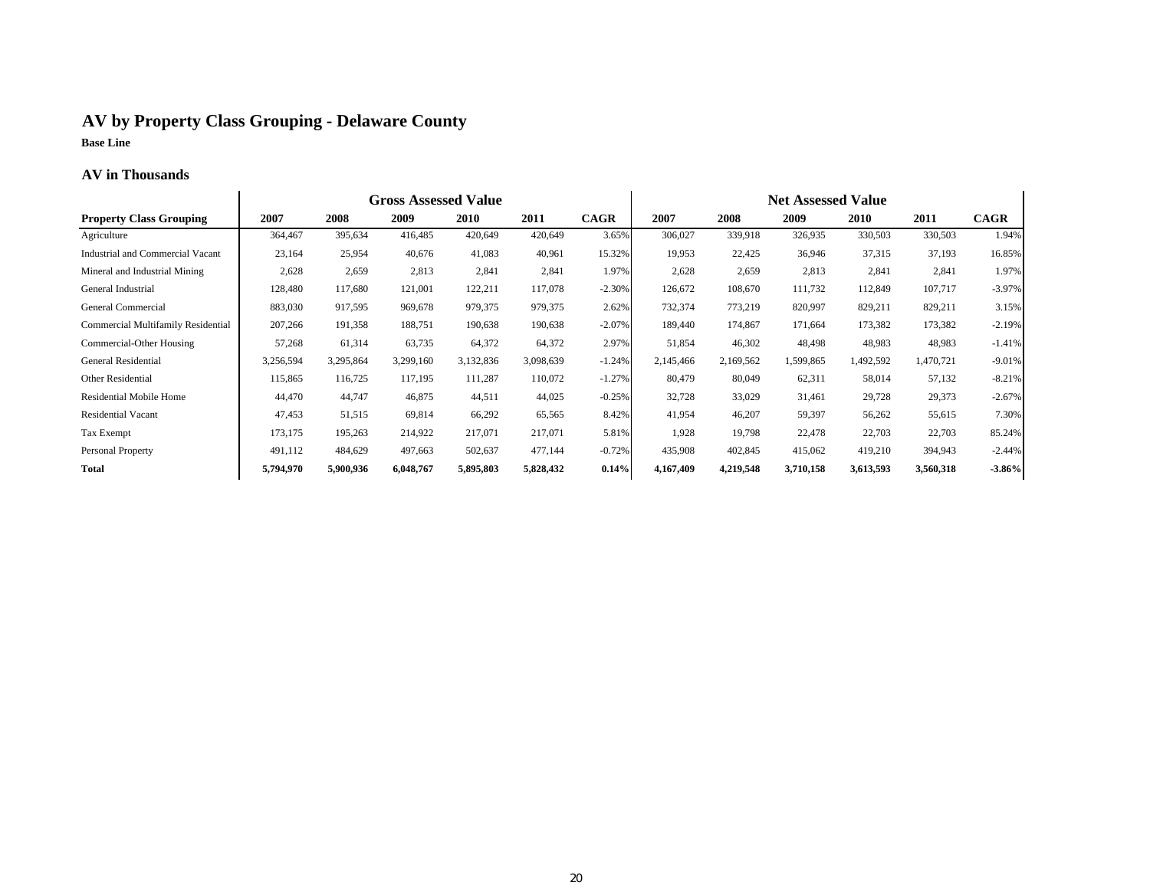## **AV by Property Class Grouping - Delaware County Base Line**

#### **AV in Thousands**

|                                    |           |           | <b>Gross Assessed Value</b> |             |           |             |           |           | <b>Net Assessed Value</b> |           |           |             |
|------------------------------------|-----------|-----------|-----------------------------|-------------|-----------|-------------|-----------|-----------|---------------------------|-----------|-----------|-------------|
| <b>Property Class Grouping</b>     | 2007      | 2008      | 2009                        | <b>2010</b> | 2011      | <b>CAGR</b> | 2007      | 2008      | 2009                      | 2010      | 2011      | <b>CAGR</b> |
| Agriculture                        | 364,467   | 395,634   | 416,485                     | 420,649     | 420,649   | 3.65%       | 306,027   | 339,918   | 326,935                   | 330,503   | 330,503   | 1.94%       |
| Industrial and Commercial Vacant   | 23,164    | 25,954    | 40,676                      | 41,083      | 40,961    | 15.32%      | 19,953    | 22,425    | 36,946                    | 37,315    | 37,193    | 16.85%      |
| Mineral and Industrial Mining      | 2,628     | 2,659     | 2,813                       | 2,841       | 2,841     | 1.97%       | 2,628     | 2,659     | 2,813                     | 2,841     | 2,841     | 1.97%       |
| General Industrial                 | 128,480   | 117,680   | 121,001                     | 122,211     | 117,078   | $-2.30%$    | 126,672   | 108,670   | 111,732                   | 112,849   | 107,717   | $-3.97%$    |
| General Commercial                 | 883,030   | 917,595   | 969,678                     | 979,375     | 979,375   | 2.62%       | 732,374   | 773,219   | 820,997                   | 829,211   | 829,211   | 3.15%       |
| Commercial Multifamily Residential | 207,266   | 191,358   | 188,751                     | 190,638     | 190,638   | $-2.07%$    | 189,440   | 174,867   | 171,664                   | 173,382   | 173,382   | $-2.19%$    |
| Commercial-Other Housing           | 57,268    | 61,314    | 63,735                      | 64,372      | 64,372    | 2.97%       | 51,854    | 46,302    | 48,498                    | 48,983    | 48,983    | $-1.41%$    |
| General Residential                | 3,256,594 | 3,295,864 | 3,299,160                   | 3,132,836   | 3,098,639 | $-1.24%$    | 2,145,466 | 2,169,562 | 1,599,865                 | 1,492,592 | 1,470,721 | $-9.01%$    |
| Other Residential                  | 115,865   | 116,725   | 117,195                     | 111,287     | 110,072   | $-1.27%$    | 80,479    | 80,049    | 62,311                    | 58,014    | 57,132    | $-8.21%$    |
| Residential Mobile Home            | 44,470    | 44,747    | 46,875                      | 44,511      | 44,025    | $-0.25%$    | 32,728    | 33,029    | 31,461                    | 29,728    | 29,373    | $-2.67%$    |
| <b>Residential Vacant</b>          | 47,453    | 51,515    | 69,814                      | 66,292      | 65,565    | 8.42%       | 41,954    | 46,207    | 59,397                    | 56,262    | 55,615    | 7.30%       |
| Tax Exempt                         | 173,175   | 195,263   | 214,922                     | 217,071     | 217,071   | 5.81%       | 1,928     | 19,798    | 22,478                    | 22,703    | 22,703    | 85.24%      |
| Personal Property                  | 491,112   | 484,629   | 497,663                     | 502,637     | 477,144   | $-0.72%$    | 435,908   | 402,845   | 415,062                   | 419,210   | 394,943   | $-2.44%$    |
| <b>Total</b>                       | 5,794,970 | 5,900,936 | 6,048,767                   | 5,895,803   | 5,828,432 | 0.14%       | 4,167,409 | 4,219,548 | 3,710,158                 | 3,613,593 | 3,560,318 | $-3.86%$    |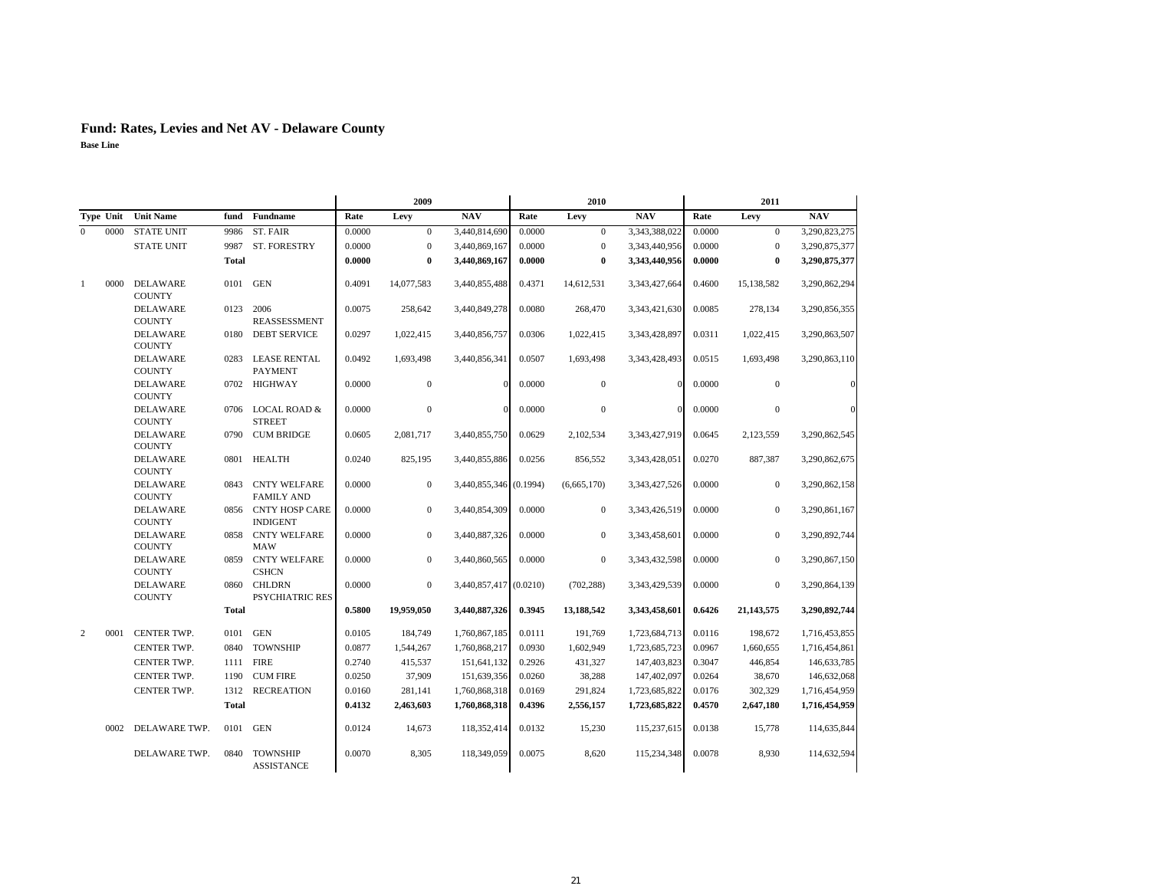|                  |                                  |              |                                          |        | 2009             |                        |        | 2010             |               |        | 2011           |               |
|------------------|----------------------------------|--------------|------------------------------------------|--------|------------------|------------------------|--------|------------------|---------------|--------|----------------|---------------|
| Type Unit        | <b>Unit Name</b>                 | fund         | Fundname                                 | Rate   | Levy             | <b>NAV</b>             | Rate   | Levy             | <b>NAV</b>    | Rate   | Levy           | <b>NAV</b>    |
| $\Omega$<br>0000 | <b>STATE UNIT</b>                | 9986         | ST. FAIR                                 | 0.0000 | $\mathbf{0}$     | 3,440,814,690          | 0.0000 | $\overline{0}$   | 3,343,388,022 | 0.0000 | $\overline{0}$ | 3,290,823,275 |
|                  | <b>STATE UNIT</b>                | 9987         | <b>ST. FORESTRY</b>                      | 0.0000 | $\mathbf{0}$     | 3,440,869,167          | 0.0000 | $\mathbf{0}$     | 3,343,440,956 | 0.0000 | $\mathbf{0}$   | 3,290,875,377 |
|                  |                                  | <b>Total</b> |                                          | 0.0000 | $\bf{0}$         | 3,440,869,167          | 0.0000 | $\bf{0}$         | 3,343,440,956 | 0.0000 | $\bf{0}$       | 3,290,875,377 |
| 0000<br>-1       | <b>DELAWARE</b><br><b>COUNTY</b> | 0101         | <b>GEN</b>                               | 0.4091 | 14,077,583       | 3,440,855,488          | 0.4371 | 14,612,531       | 3,343,427,664 | 0.4600 | 15,138,582     | 3,290,862,294 |
|                  | <b>DELAWARE</b><br><b>COUNTY</b> | 0123         | 2006<br><b>REASSESSMENT</b>              | 0.0075 | 258,642          | 3,440,849,278          | 0.0080 | 268,470          | 3,343,421,630 | 0.0085 | 278,134        | 3,290,856,355 |
|                  | <b>DELAWARE</b><br><b>COUNTY</b> | 0180         | <b>DEBT SERVICE</b>                      | 0.0297 | 1,022,415        | 3,440,856,757          | 0.0306 | 1,022,415        | 3,343,428,897 | 0.0311 | 1,022,415      | 3,290,863,507 |
|                  | <b>DELAWARE</b><br><b>COUNTY</b> | 0283         | <b>LEASE RENTAL</b><br><b>PAYMENT</b>    | 0.0492 | 1,693,498        | 3,440,856,341          | 0.0507 | 1,693,498        | 3,343,428,493 | 0.0515 | 1,693,498      | 3,290,863,110 |
|                  | <b>DELAWARE</b><br><b>COUNTY</b> |              | 0702 HIGHWAY                             | 0.0000 | $\mathbf{0}$     | $\Omega$               | 0.0000 | $\mathbf{0}$     | $\Omega$      | 0.0000 | $\overline{0}$ |               |
|                  | <b>DELAWARE</b><br><b>COUNTY</b> |              | 0706 LOCAL ROAD &<br><b>STREET</b>       | 0.0000 | $\mathbf{0}$     | $\Omega$               | 0.0000 | $\boldsymbol{0}$ | $\mathbf{0}$  | 0.0000 | $\mathbf{0}$   |               |
|                  | <b>DELAWARE</b><br><b>COUNTY</b> |              | 0790 CUM BRIDGE                          | 0.0605 | 2,081,717        | 3,440,855,750          | 0.0629 | 2,102,534        | 3,343,427,919 | 0.0645 | 2,123,559      | 3,290,862,545 |
|                  | <b>DELAWARE</b><br><b>COUNTY</b> | 0801         | <b>HEALTH</b>                            | 0.0240 | 825,195          | 3,440,855,886          | 0.0256 | 856,552          | 3,343,428,051 | 0.0270 | 887,387        | 3,290,862,675 |
|                  | <b>DELAWARE</b><br><b>COUNTY</b> | 0843         | <b>CNTY WELFARE</b><br><b>FAMILY AND</b> | 0.0000 | $\mathbf{0}$     | 3,440,855,346 (0.1994) |        | (6,665,170)      | 3,343,427,526 | 0.0000 | $\mathbf{0}$   | 3,290,862,158 |
|                  | <b>DELAWARE</b><br><b>COUNTY</b> |              | 0856 CNTY HOSP CARE<br><b>INDIGENT</b>   | 0.0000 | $\boldsymbol{0}$ | 3,440,854,309          | 0.0000 | $\mathbf{0}$     | 3,343,426,519 | 0.0000 | $\mathbf{0}$   | 3,290,861,167 |
|                  | <b>DELAWARE</b><br><b>COUNTY</b> |              | 0858 CNTY WELFARE<br><b>MAW</b>          | 0.0000 | $\boldsymbol{0}$ | 3,440,887,326          | 0.0000 | $\mathbf{0}$     | 3,343,458,601 | 0.0000 | $\mathbf{0}$   | 3,290,892,744 |
|                  | <b>DELAWARE</b><br><b>COUNTY</b> |              | 0859 CNTY WELFARE<br><b>CSHCN</b>        | 0.0000 | $\mathbf{0}$     | 3,440,860,565          | 0.0000 | $\mathbf{0}$     | 3,343,432,598 | 0.0000 | $\mathbf{0}$   | 3,290,867,150 |
|                  | <b>DELAWARE</b><br><b>COUNTY</b> | 0860         | <b>CHLDRN</b><br>PSYCHIATRIC RES         | 0.0000 | $\mathbf{0}$     | 3,440,857,417 (0.0210) |        | (702, 288)       | 3,343,429,539 | 0.0000 | $\mathbf{0}$   | 3,290,864,139 |
|                  |                                  | <b>Total</b> |                                          | 0.5800 | 19,959,050       | 3,440,887,326          | 0.3945 | 13,188,542       | 3,343,458,601 | 0.6426 | 21,143,575     | 3,290,892,744 |
| 2<br>0001        | CENTER TWP.                      | 0101         | <b>GEN</b>                               | 0.0105 | 184,749          | 1,760,867,185          | 0.0111 | 191,769          | 1,723,684,713 | 0.0116 | 198,672        | 1,716,453,855 |
|                  | CENTER TWP.                      | 0840         | <b>TOWNSHIP</b>                          | 0.0877 | 1,544,267        | 1,760,868,217          | 0.0930 | 1,602,949        | 1,723,685,723 | 0.0967 | 1,660,655      | 1,716,454,861 |
|                  | CENTER TWP.                      | 1111         | <b>FIRE</b>                              | 0.2740 | 415,537          | 151,641,132            | 0.2926 | 431,327          | 147,403,823   | 0.3047 | 446,854        | 146,633,785   |
|                  | CENTER TWP.                      | 1190         | <b>CUM FIRE</b>                          | 0.0250 | 37,909           | 151,639,356            | 0.0260 | 38,288           | 147,402,097   | 0.0264 | 38,670         | 146,632,068   |
|                  | CENTER TWP.                      | 1312         | <b>RECREATION</b>                        | 0.0160 | 281,141          | 1,760,868,318          | 0.0169 | 291,824          | 1,723,685,822 | 0.0176 | 302,329        | 1,716,454,959 |
|                  |                                  | <b>Total</b> |                                          | 0.4132 | 2,463,603        | 1,760,868,318          | 0.4396 | 2,556,157        | 1,723,685,822 | 0.4570 | 2,647,180      | 1,716,454,959 |
| 0002             | DELAWARE TWP.                    | 0101         | <b>GEN</b>                               | 0.0124 | 14,673           | 118,352,414            | 0.0132 | 15,230           | 115,237,615   | 0.0138 | 15,778         | 114,635,844   |
|                  | DELAWARE TWP.                    | 0840         | <b>TOWNSHIP</b><br><b>ASSISTANCE</b>     | 0.0070 | 8,305            | 118,349,059            | 0.0075 | 8,620            | 115,234,348   | 0.0078 | 8,930          | 114,632,594   |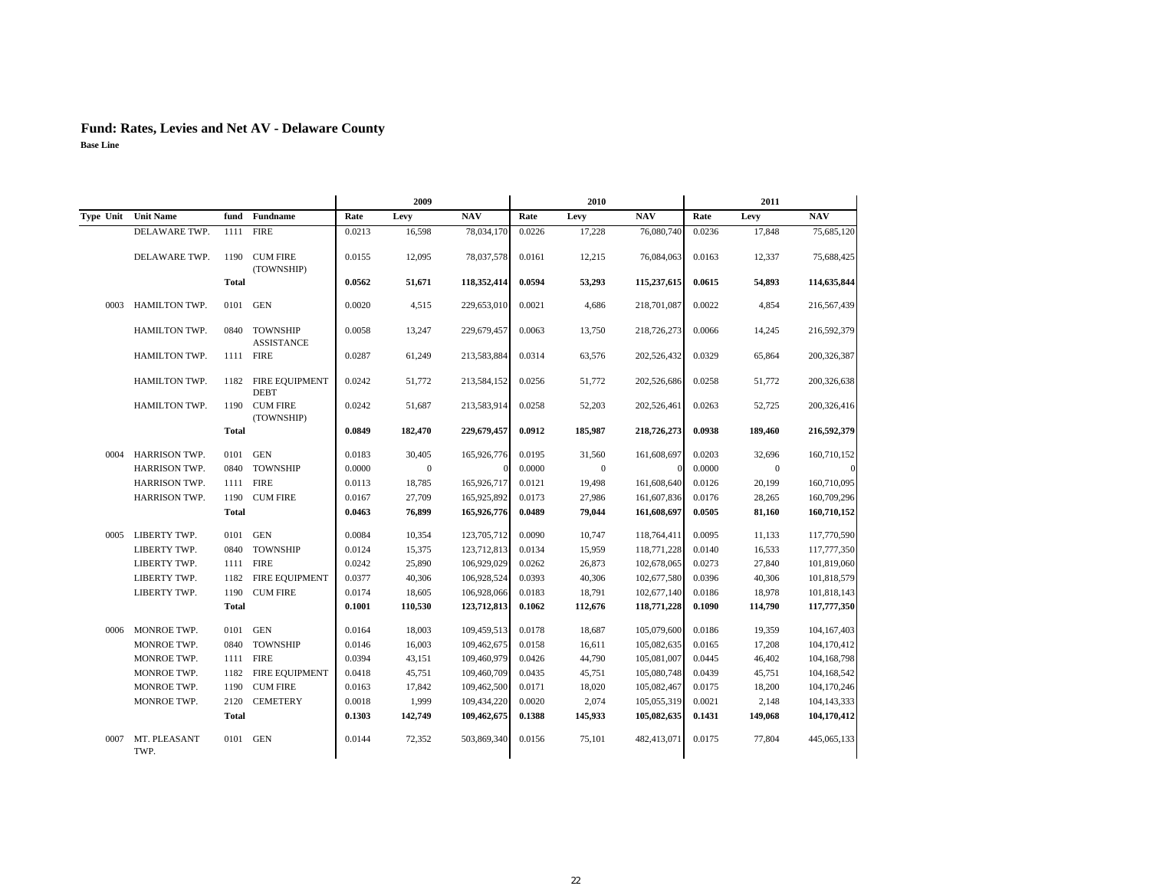|      |                      |              |                                      |        | 2009         |             |        | 2010         |             |        | 2011         |               |
|------|----------------------|--------------|--------------------------------------|--------|--------------|-------------|--------|--------------|-------------|--------|--------------|---------------|
|      | Type Unit Unit Name  |              | fund Fundname                        | Rate   | Levy         | <b>NAV</b>  | Rate   | Levy         | <b>NAV</b>  | Rate   | Levy         | <b>NAV</b>    |
|      | DELAWARE TWP.        | 1111         | <b>FIRE</b>                          | 0.0213 | 16,598       | 78,034,170  | 0.0226 | 17,228       | 76,080,740  | 0.0236 | 17,848       | 75,685,120    |
|      | DELAWARE TWP.        | 1190         | <b>CUM FIRE</b><br>(TOWNSHIP)        | 0.0155 | 12,095       | 78,037,578  | 0.0161 | 12,215       | 76,084,063  | 0.0163 | 12,337       | 75,688,425    |
|      |                      | <b>Total</b> |                                      | 0.0562 | 51,671       | 118,352,414 | 0.0594 | 53,293       | 115,237,615 | 0.0615 | 54,893       | 114,635,844   |
| 0003 | <b>HAMILTON TWP.</b> | 0101 GEN     |                                      | 0.0020 | 4.515        | 229,653,010 | 0.0021 | 4,686        | 218,701,087 | 0.0022 | 4,854        | 216,567,439   |
|      | HAMILTON TWP.        | 0840         | <b>TOWNSHIP</b><br><b>ASSISTANCE</b> | 0.0058 | 13,247       | 229,679,457 | 0.0063 | 13,750       | 218,726,273 | 0.0066 | 14,245       | 216,592,379   |
|      | HAMILTON TWP.        |              | 1111 FIRE                            | 0.0287 | 61,249       | 213,583,884 | 0.0314 | 63,576       | 202,526,432 | 0.0329 | 65,864       | 200,326,387   |
|      | HAMILTON TWP.        | 1182         | FIRE EQUIPMENT<br><b>DEBT</b>        | 0.0242 | 51,772       | 213,584,152 | 0.0256 | 51,772       | 202,526,686 | 0.0258 | 51,772       | 200,326,638   |
|      | HAMILTON TWP.        |              | 1190 CUM FIRE<br>(TOWNSHIP)          | 0.0242 | 51,687       | 213,583,914 | 0.0258 | 52,203       | 202,526,461 | 0.0263 | 52,725       | 200,326,416   |
|      |                      | <b>Total</b> |                                      | 0.0849 | 182,470      | 229,679,457 | 0.0912 | 185,987      | 218,726,273 | 0.0938 | 189,460      | 216,592,379   |
| 0004 | <b>HARRISON TWP.</b> | 0101         | <b>GEN</b>                           | 0.0183 | 30,405       | 165,926,776 | 0.0195 | 31.560       | 161,608,697 | 0.0203 | 32,696       | 160,710,152   |
|      | HARRISON TWP.        | 0840         | <b>TOWNSHIP</b>                      | 0.0000 | $\mathbf{0}$ |             | 0.0000 | $\mathbf{0}$ |             | 0.0000 | $\mathbf{0}$ | $\Omega$      |
|      | HARRISON TWP.        |              | 1111 FIRE                            | 0.0113 | 18,785       | 165,926,717 | 0.0121 | 19,498       | 161,608,640 | 0.0126 | 20,199       | 160,710,095   |
|      | HARRISON TWP.        | 1190         | <b>CUM FIRE</b>                      | 0.0167 | 27,709       | 165,925,892 | 0.0173 | 27,986       | 161,607,836 | 0.0176 | 28,265       | 160,709,296   |
|      |                      | <b>Total</b> |                                      | 0.0463 | 76,899       | 165,926,776 | 0.0489 | 79,044       | 161,608,697 | 0.0505 | 81,160       | 160,710,152   |
| 0005 | LIBERTY TWP.         | 0101 GEN     |                                      | 0.0084 | 10,354       | 123,705,712 | 0.0090 | 10,747       | 118,764,411 | 0.0095 | 11,133       | 117,770,590   |
|      | LIBERTY TWP.         |              | 0840 TOWNSHIP                        | 0.0124 | 15,375       | 123,712,813 | 0.0134 | 15,959       | 118,771,228 | 0.0140 | 16,533       | 117,777,350   |
|      | LIBERTY TWP.         |              | 1111 FIRE                            | 0.0242 | 25,890       | 106,929,029 | 0.0262 | 26,873       | 102,678,065 | 0.0273 | 27,840       | 101,819,060   |
|      | LIBERTY TWP.         |              | 1182 FIRE EQUIPMENT                  | 0.0377 | 40,306       | 106,928,524 | 0.0393 | 40,306       | 102,677,580 | 0.0396 | 40,306       | 101,818,579   |
|      | LIBERTY TWP.         | 1190         | <b>CUM FIRE</b>                      | 0.0174 | 18,605       | 106,928,066 | 0.0183 | 18,791       | 102,677,140 | 0.0186 | 18,978       | 101,818,143   |
|      |                      | <b>Total</b> |                                      | 0.1001 | 110,530      | 123,712,813 | 0.1062 | 112,676      | 118,771,228 | 0.1090 | 114,790      | 117,777,350   |
| 0006 | <b>MONROE TWP.</b>   | 0101 GEN     |                                      | 0.0164 | 18,003       | 109,459,513 | 0.0178 | 18,687       | 105,079,600 | 0.0186 | 19.359       | 104, 167, 403 |
|      | MONROE TWP.          | 0840         | <b>TOWNSHIP</b>                      | 0.0146 | 16,003       | 109,462,675 | 0.0158 | 16,611       | 105,082,635 | 0.0165 | 17,208       | 104,170,412   |
|      | MONROE TWP.          |              | 1111 FIRE                            | 0.0394 | 43,151       | 109,460,979 | 0.0426 | 44,790       | 105,081,007 | 0.0445 | 46.402       | 104,168,798   |
|      | MONROE TWP.          |              | 1182 FIRE EQUIPMENT                  | 0.0418 | 45,751       | 109,460,709 | 0.0435 | 45,751       | 105,080,748 | 0.0439 | 45,751       | 104,168,542   |
|      | MONROE TWP.          | 1190         | <b>CUM FIRE</b>                      | 0.0163 | 17,842       | 109,462,500 | 0.0171 | 18,020       | 105,082,467 | 0.0175 | 18,200       | 104,170,246   |
|      | MONROE TWP.          | 2120         | <b>CEMETERY</b>                      | 0.0018 | 1,999        | 109,434,220 | 0.0020 | 2,074        | 105,055,319 | 0.0021 | 2,148        | 104, 143, 333 |
|      |                      | <b>Total</b> |                                      | 0.1303 | 142,749      | 109,462,675 | 0.1388 | 145,933      | 105,082,635 | 0.1431 | 149,068      | 104,170,412   |
| 0007 | MT. PLEASANT<br>TWP. | 0101 GEN     |                                      | 0.0144 | 72,352       | 503,869,340 | 0.0156 | 75,101       | 482,413,071 | 0.0175 | 77,804       | 445,065,133   |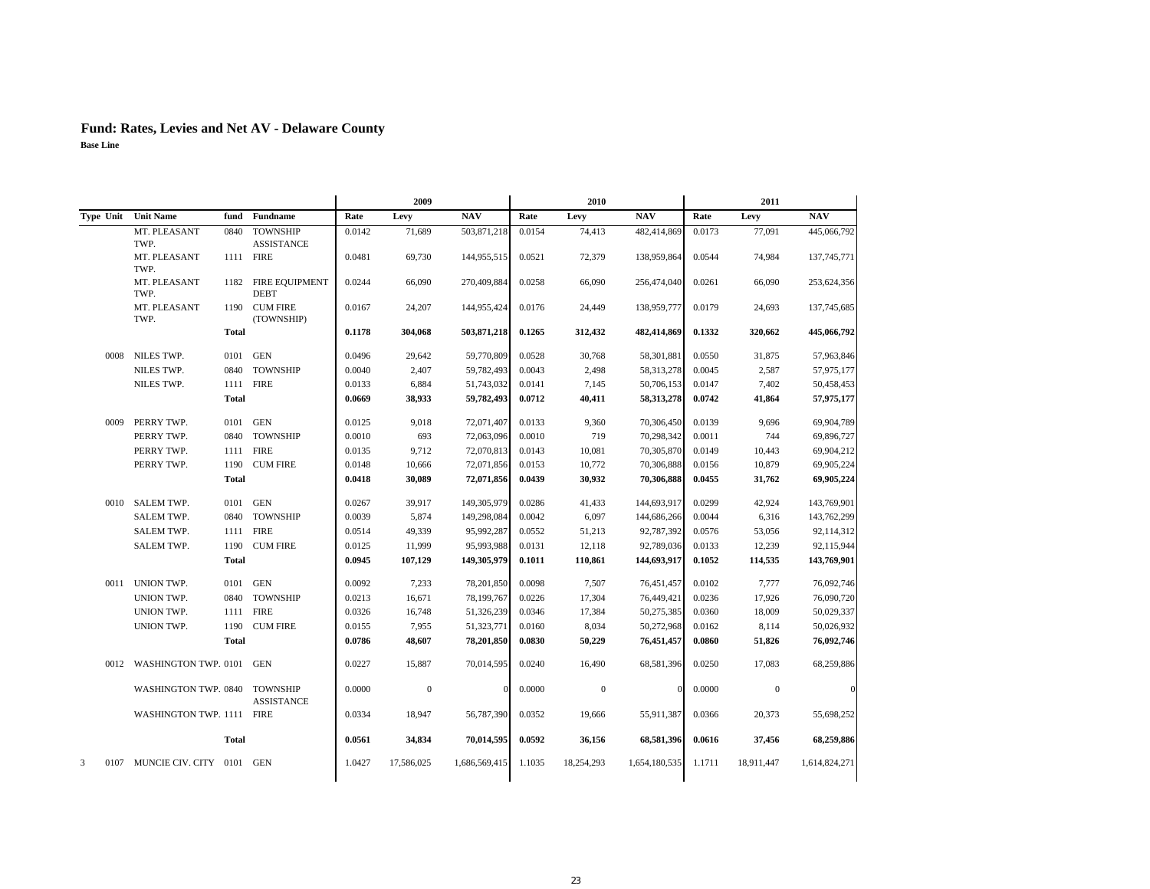|      |                                |              |                                      |        | 2009           |               |        | 2010             |               |        | 2011         |               |
|------|--------------------------------|--------------|--------------------------------------|--------|----------------|---------------|--------|------------------|---------------|--------|--------------|---------------|
|      | Type Unit Unit Name            |              | fund Fundname                        | Rate   | Levy           | <b>NAV</b>    | Rate   | Levy             | <b>NAV</b>    | Rate   | Levy         | <b>NAV</b>    |
|      | MT. PLEASANT<br>TWP.           | 0840         | <b>TOWNSHIP</b><br><b>ASSISTANCE</b> | 0.0142 | 71,689         | 503,871,218   | 0.0154 | 74,413           | 482,414,869   | 0.0173 | 77,091       | 445,066,792   |
|      | MT. PLEASANT<br>TWP.           |              | 1111 FIRE                            | 0.0481 | 69,730         | 144,955,515   | 0.0521 | 72,379           | 138,959,864   | 0.0544 | 74,984       | 137,745,771   |
|      | MT. PLEASANT<br>TWP.           |              | 1182 FIRE EQUIPMENT<br><b>DEBT</b>   | 0.0244 | 66,090         | 270,409,884   | 0.0258 | 66,090           | 256,474,040   | 0.0261 | 66,090       | 253,624,356   |
|      | MT. PLEASANT<br>TWP.           |              | 1190 CUM FIRE<br>(TOWNSHIP)          | 0.0167 | 24,207         | 144,955,424   | 0.0176 | 24,449           | 138,959,777   | 0.0179 | 24,693       | 137,745,685   |
|      |                                | <b>Total</b> |                                      | 0.1178 | 304,068        | 503,871,218   | 0.1265 | 312,432          | 482,414,869   | 0.1332 | 320,662      | 445,066,792   |
|      | 0008 NILES TWP.                | 0101         | <b>GEN</b>                           | 0.0496 | 29,642         | 59,770,809    | 0.0528 | 30,768           | 58,301,881    | 0.0550 | 31,875       | 57,963,846    |
|      | NILES TWP.                     |              | 0840 TOWNSHIP                        | 0.0040 | 2,407          | 59,782,493    | 0.0043 | 2,498            | 58,313,278    | 0.0045 | 2,587        | 57,975,177    |
|      | NILES TWP.                     |              | 1111 FIRE                            | 0.0133 | 6,884          | 51,743,032    | 0.0141 | 7,145            | 50,706,153    | 0.0147 | 7,402        | 50,458,453    |
|      |                                | <b>Total</b> |                                      | 0.0669 | 38,933         | 59,782,493    | 0.0712 | 40,411           | 58,313,278    | 0.0742 | 41,864       | 57,975,177    |
| 0009 | PERRY TWP.                     | 0101         | <b>GEN</b>                           | 0.0125 | 9,018          | 72,071,407    | 0.0133 | 9,360            | 70,306,450    | 0.0139 | 9,696        | 69,904,789    |
|      | PERRY TWP.                     | 0840         | <b>TOWNSHIP</b>                      | 0.0010 | 693            | 72,063,096    | 0.0010 | 719              | 70,298,342    | 0.0011 | 744          | 69,896,727    |
|      | PERRY TWP.                     | 1111         | <b>FIRE</b>                          | 0.0135 | 9,712          | 72,070,813    | 0.0143 | 10,081           | 70,305,870    | 0.0149 | 10,443       | 69,904,212    |
|      | PERRY TWP.                     | 1190         | <b>CUM FIRE</b>                      | 0.0148 | 10,666         | 72,071,856    | 0.0153 | 10,772           | 70,306,888    | 0.0156 | 10,879       | 69,905,224    |
|      |                                | <b>Total</b> |                                      | 0.0418 | 30,089         | 72,071,856    | 0.0439 | 30,932           | 70,306,888    | 0.0455 | 31,762       | 69,905,224    |
|      | 0010 SALEM TWP.                |              | 0101 GEN                             | 0.0267 | 39,917         | 149, 305, 979 | 0.0286 | 41,433           | 144,693,917   | 0.0299 | 42,924       | 143,769,901   |
|      | SALEM TWP.                     |              | 0840 TOWNSHIP                        | 0.0039 | 5,874          | 149,298,084   | 0.0042 | 6,097            | 144,686,266   | 0.0044 | 6,316        | 143,762,299   |
|      | SALEM TWP.                     |              | 1111 FIRE                            | 0.0514 | 49,339         | 95,992,287    | 0.0552 | 51,213           | 92,787,392    | 0.0576 | 53,056       | 92,114,312    |
|      | <b>SALEM TWP.</b>              | 1190         | <b>CUM FIRE</b>                      | 0.0125 | 11,999         | 95,993,988    | 0.0131 | 12,118           | 92,789,036    | 0.0133 | 12,239       | 92,115,944    |
|      |                                | <b>Total</b> |                                      | 0.0945 | 107,129        | 149,305,979   | 0.1011 | 110,861          | 144,693,917   | 0.1052 | 114,535      | 143,769,901   |
|      | 0011 UNION TWP.                | 0101         | <b>GEN</b>                           | 0.0092 | 7,233          | 78,201,850    | 0.0098 | 7,507            | 76,451,457    | 0.0102 | 7,777        | 76,092,746    |
|      | UNION TWP.                     |              | 0840 TOWNSHIP                        | 0.0213 | 16,671         | 78,199,767    | 0.0226 | 17,304           | 76,449,421    | 0.0236 | 17,926       | 76,090,720    |
|      | UNION TWP.                     |              | 1111 FIRE                            | 0.0326 | 16,748         | 51,326,239    | 0.0346 | 17,384           | 50,275,385    | 0.0360 | 18,009       | 50,029,337    |
|      | UNION TWP.                     | 1190         | <b>CUM FIRE</b>                      | 0.0155 | 7,955          | 51,323,771    | 0.0160 | 8,034            | 50,272,968    | 0.0162 | 8,114        | 50,026,932    |
|      |                                | <b>Total</b> |                                      | 0.0786 | 48,607         | 78,201,850    | 0.0830 | 50,229           | 76,451,457    | 0.0860 | 51,826       | 76,092,746    |
|      | 0012 WASHINGTON TWP. 0101 GEN  |              |                                      | 0.0227 | 15,887         | 70,014,595    | 0.0240 | 16,490           | 68,581,396    | 0.0250 | 17,083       | 68,259,886    |
|      | WASHINGTON TWP. 0840 TOWNSHIP  |              | <b>ASSISTANCE</b>                    | 0.0000 | $\overline{0}$ | $\Omega$      | 0.0000 | $\boldsymbol{0}$ | $\Omega$      | 0.0000 | $\mathbf{0}$ | $\theta$      |
|      | WASHINGTON TWP. 1111 FIRE      |              |                                      | 0.0334 | 18,947         | 56,787,390    | 0.0352 | 19,666           | 55,911,387    | 0.0366 | 20,373       | 55,698,252    |
|      |                                | <b>Total</b> |                                      | 0.0561 | 34,834         | 70,014,595    | 0.0592 | 36,156           | 68,581,396    | 0.0616 | 37,456       | 68,259,886    |
| 3    | 0107 MUNCIE CIV. CITY 0101 GEN |              |                                      | 1.0427 | 17,586,025     | 1,686,569,415 | 1.1035 | 18,254,293       | 1,654,180,535 | 1.1711 | 18,911,447   | 1,614,824,271 |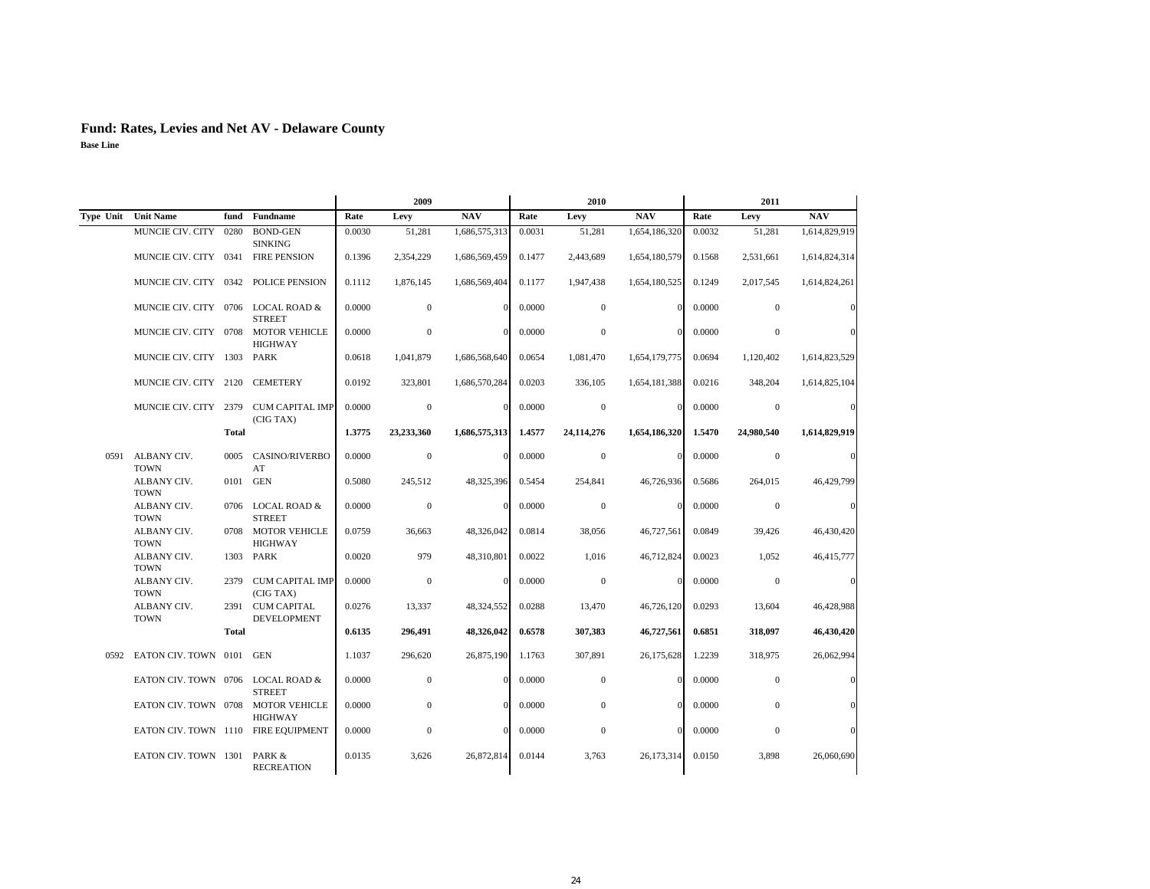|      |                                     |              |                                        |        | 2009           |               |        | 2010             |               | 2011   |                  |               |  |
|------|-------------------------------------|--------------|----------------------------------------|--------|----------------|---------------|--------|------------------|---------------|--------|------------------|---------------|--|
|      | Type Unit Unit Name                 | fund         | Fundname                               | Rate   | Levy           | <b>NAV</b>    | Rate   | Levy             | <b>NAV</b>    | Rate   | Levy             | <b>NAV</b>    |  |
|      | MUNCIE CIV. CITY                    | 0280         | <b>BOND-GEN</b><br><b>SINKING</b>      | 0.0030 | 51,281         | 1,686,575,313 | 0.0031 | 51,281           | 1,654,186,320 | 0.0032 | 51,281           | 1,614,829,919 |  |
|      | MUNCIE CIV. CITY 0341               |              | <b>FIRE PENSION</b>                    | 0.1396 | 2,354,229      | 1,686,569,459 | 0.1477 | 2,443,689        | 1,654,180,579 | 0.1568 | 2,531,661        | 1,614,824,314 |  |
|      | MUNCIE CIV. CITY 0342               |              | <b>POLICE PENSION</b>                  | 0.1112 | 1.876.145      | 1,686,569,404 | 0.1177 | 1,947,438        | 1,654,180,525 | 0.1249 | 2,017,545        | 1,614,824,261 |  |
|      | MUNCIE CIV. CITY 0706 LOCAL ROAD &  |              | <b>STREET</b>                          | 0.0000 | $\overline{0}$ | $\mathbf{0}$  | 0.0000 | $\mathbf{0}$     | $\Omega$      | 0.0000 | $\mathbf{0}$     |               |  |
|      | MUNCIE CIV. CITY 0708               |              | <b>MOTOR VEHICLE</b><br><b>HIGHWAY</b> | 0.0000 | $\mathbf{0}$   | $\theta$      | 0.0000 | $\boldsymbol{0}$ | $\Omega$      | 0.0000 | $\boldsymbol{0}$ |               |  |
|      | MUNCIE CIV. CITY 1303               |              | PARK                                   | 0.0618 | 1,041,879      | 1,686,568,640 | 0.0654 | 1,081,470        | 1,654,179,775 | 0.0694 | 1,120,402        | 1,614,823,529 |  |
|      | MUNCIE CIV. CITY 2120               |              | <b>CEMETERY</b>                        | 0.0192 | 323,801        | 1,686,570,284 | 0.0203 | 336,105          | 1,654,181,388 | 0.0216 | 348,204          | 1,614,825,104 |  |
|      | MUNCIE CIV. CITY 2379               |              | <b>CUM CAPITAL IMP</b><br>(CIG TAX)    | 0.0000 | $\mathbf{0}$   | $\theta$      | 0.0000 | $\mathbf{0}$     | $\Omega$      | 0.0000 | $\mathbf{0}$     | $\mathcal{C}$ |  |
|      |                                     | <b>Total</b> |                                        | 1.3775 | 23,233,360     | 1,686,575,313 | 1.4577 | 24,114,276       | 1,654,186,320 | 1.5470 | 24,980,540       | 1,614,829,919 |  |
| 0591 | ALBANY CIV.<br><b>TOWN</b>          | 0005         | <b>CASINO/RIVERBO</b><br>AT            | 0.0000 | $\mathbf{0}$   | $\theta$      | 0.0000 | $\mathbf{0}$     |               | 0.0000 | $\mathbf{0}$     |               |  |
|      | ALBANY CIV.<br><b>TOWN</b>          |              | 0101 GEN                               | 0.5080 | 245,512        | 48,325,396    | 0.5454 | 254,841          | 46,726,936    | 0.5686 | 264,015          | 46,429,799    |  |
|      | ALBANY CIV.<br><b>TOWN</b>          |              | 0706 LOCAL ROAD &<br><b>STREET</b>     | 0.0000 | $\overline{0}$ | $\Omega$      | 0.0000 | $\mathbf{0}$     | $\Omega$      | 0.0000 | $\mathbf{0}$     | C             |  |
|      | ALBANY CIV.<br><b>TOWN</b>          | 0708         | <b>MOTOR VEHICLE</b><br><b>HIGHWAY</b> | 0.0759 | 36,663         | 48,326,042    | 0.0814 | 38,056           | 46,727,561    | 0.0849 | 39,426           | 46,430,420    |  |
|      | ALBANY CIV.<br><b>TOWN</b>          |              | 1303 PARK                              | 0.0020 | 979            | 48,310,801    | 0.0022 | 1.016            | 46,712,824    | 0.0023 | 1.052            | 46,415,777    |  |
|      | ALBANY CIV.<br><b>TOWN</b>          | 2379         | <b>CUM CAPITAL IMP</b><br>(CIG TAX)    | 0.0000 | $\mathbf{0}$   | $\theta$      | 0.0000 | $\mathbf{0}$     | $\Omega$      | 0.0000 | $\mathbf{0}$     | $\epsilon$    |  |
|      | ALBANY CIV.<br><b>TOWN</b>          |              | 2391 CUM CAPITAL<br><b>DEVELOPMENT</b> | 0.0276 | 13,337         | 48,324,552    | 0.0288 | 13,470           | 46,726,120    | 0.0293 | 13,604           | 46,428,988    |  |
|      |                                     | <b>Total</b> |                                        | 0.6135 | 296,491        | 48,326,042    | 0.6578 | 307,383          | 46,727,561    | 0.6851 | 318,097          | 46,430,420    |  |
| 0592 | EATON CIV. TOWN 0101 GEN            |              |                                        | 1.1037 | 296,620        | 26,875,190    | 1.1763 | 307,891          | 26,175,628    | 1.2239 | 318,975          | 26,062,994    |  |
|      | EATON CIV. TOWN 0706 LOCAL ROAD &   |              | <b>STREET</b>                          | 0.0000 | $\overline{0}$ | $\Omega$      | 0.0000 | $\mathbf{0}$     | $\Omega$      | 0.0000 | $\mathbf{0}$     |               |  |
|      | EATON CIV. TOWN 0708                |              | <b>MOTOR VEHICLE</b><br><b>HIGHWAY</b> | 0.0000 | $\overline{0}$ | $\Omega$      | 0.0000 | $\mathbf{0}$     |               | 0.0000 | $\mathbf{0}$     |               |  |
|      | EATON CIV. TOWN 1110 FIRE EQUIPMENT |              |                                        | 0.0000 | $\mathbf{0}$   | $\Omega$      | 0.0000 | $\mathbf{0}$     | $\Omega$      | 0.0000 | $\mathbf{0}$     |               |  |
|      | EATON CIV. TOWN 1301                |              | PARK &<br><b>RECREATION</b>            | 0.0135 | 3,626          | 26,872,814    | 0.0144 | 3,763            | 26,173,314    | 0.0150 | 3,898            | 26,060,690    |  |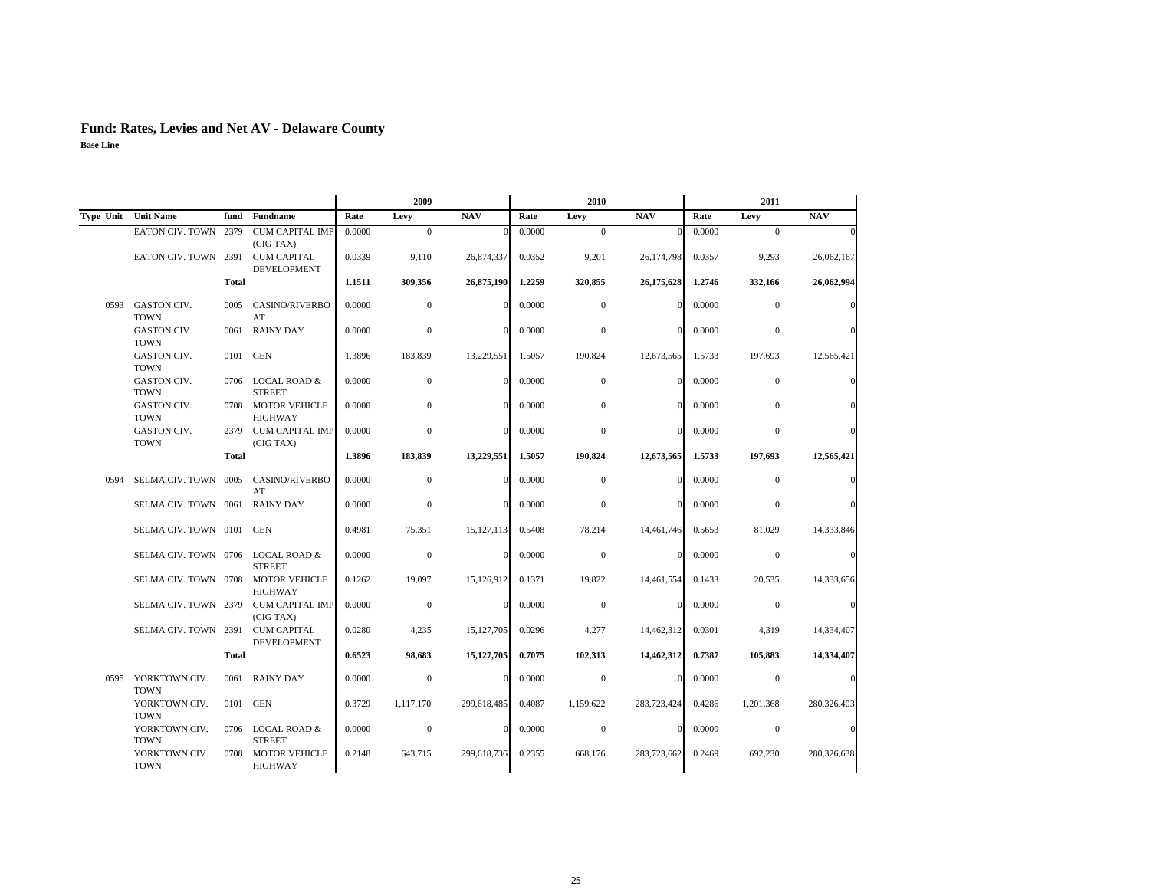|                     |                                   |              |                                          | 2009   |                |              | 2010   |                | 2011        |        |                |             |
|---------------------|-----------------------------------|--------------|------------------------------------------|--------|----------------|--------------|--------|----------------|-------------|--------|----------------|-------------|
| Type Unit Unit Name |                                   | fund         | <b>Fundname</b>                          | Rate   | Levy           | <b>NAV</b>   | Rate   | Levy           | <b>NAV</b>  | Rate   | Levy           | <b>NAV</b>  |
|                     | EATON CIV. TOWN 2379              |              | <b>CUM CAPITAL IMP</b><br>(CIG TAX)      | 0.0000 | $\mathbf{0}$   |              | 0.0000 | $\mathbf{0}$   |             | 0.0000 | $\mathbf{0}$   |             |
|                     | EATON CIV. TOWN 2391              |              | <b>CUM CAPITAL</b><br>DEVELOPMENT        | 0.0339 | 9,110          | 26,874,337   | 0.0352 | 9,201          | 26,174,798  | 0.0357 | 9,293          | 26,062,167  |
|                     |                                   | <b>Total</b> |                                          | 1.1511 | 309,356        | 26,875,190   | 1.2259 | 320,855        | 26,175,628  | 1.2746 | 332,166        | 26,062,994  |
| 0593                | <b>GASTON CIV.</b><br><b>TOWN</b> | 0005         | <b>CASINO/RIVERBO</b><br>AT              | 0.0000 | $\overline{0}$ | $\Omega$     | 0.0000 | $\mathbf{0}$   | $\Omega$    | 0.0000 | $\mathbf{0}$   | C           |
|                     | <b>GASTON CIV.</b><br><b>TOWN</b> | 0061         | <b>RAINY DAY</b>                         | 0.0000 | $\mathbf{0}$   | $\Omega$     | 0.0000 | $\mathbf{0}$   | $\Omega$    | 0.0000 | $\overline{0}$ |             |
|                     | <b>GASTON CIV.</b><br><b>TOWN</b> | 0101 GEN     |                                          | 1.3896 | 183,839        | 13,229,551   | 1.5057 | 190,824        | 12,673,565  | 1.5733 | 197,693        | 12,565,421  |
|                     | GASTON CIV.<br><b>TOWN</b>        | 0706         | <b>LOCAL ROAD &amp;</b><br><b>STREET</b> | 0.0000 | $\theta$       | $\Omega$     | 0.0000 | $\mathbf{0}$   | $\Omega$    | 0.0000 | $\mathbf{0}$   |             |
|                     | GASTON CIV.<br><b>TOWN</b>        | 0708         | <b>MOTOR VEHICLE</b><br><b>HIGHWAY</b>   | 0.0000 | $\mathbf{0}$   | $\Omega$     | 0.0000 | $\mathbf{0}$   | $\Omega$    | 0.0000 | $\mathbf{0}$   |             |
|                     | GASTON CIV.<br><b>TOWN</b>        |              | 2379 CUM CAPITAL IMP<br>(CIG TAX)        | 0.0000 | $\mathbf{0}$   | $\Omega$     | 0.0000 | $\mathbf{0}$   | $\Omega$    | 0.0000 | $\mathbf{0}$   |             |
|                     |                                   | <b>Total</b> |                                          | 1.3896 | 183,839        | 13,229,551   | 1.5057 | 190,824        | 12,673,565  | 1.5733 | 197,693        | 12,565,421  |
| 0594                | SELMA CIV. TOWN 0005              |              | <b>CASINO/RIVERBO</b><br>AT              | 0.0000 | $\overline{0}$ | $\mathbf{0}$ | 0.0000 | $\mathbf{0}$   | $\Omega$    | 0.0000 | $\mathbf{0}$   |             |
|                     | SELMA CIV. TOWN 0061              |              | <b>RAINY DAY</b>                         | 0.0000 | $\overline{0}$ | $\Omega$     | 0.0000 | $\mathbf{0}$   | $\Omega$    | 0.0000 | $\mathbf{0}$   |             |
|                     | SELMA CIV. TOWN 0101              |              | <b>GEN</b>                               | 0.4981 | 75,351         | 15,127,113   | 0.5408 | 78,214         | 14,461,746  | 0.5653 | 81,029         | 14,333,846  |
|                     | SELMA CIV. TOWN 0706              |              | <b>LOCAL ROAD &amp;</b><br><b>STREET</b> | 0.0000 | $\overline{0}$ | $\Omega$     | 0.0000 | $\mathbf{0}$   | $\Omega$    | 0.0000 | $\mathbf{0}$   |             |
|                     | SELMA CIV. TOWN 0708              |              | <b>MOTOR VEHICLE</b><br><b>HIGHWAY</b>   | 0.1262 | 19,097         | 15,126,912   | 0.1371 | 19,822         | 14,461,554  | 0.1433 | 20,535         | 14,333,656  |
|                     | SELMA CIV. TOWN 2379              |              | <b>CUM CAPITAL IMP</b><br>(CIG TAX)      | 0.0000 | $\overline{0}$ | $\Omega$     | 0.0000 | $\overline{0}$ | $\Omega$    | 0.0000 | $\mathbf{0}$   | $\epsilon$  |
|                     | SELMA CIV. TOWN 2391              |              | <b>CUM CAPITAL</b><br>DEVELOPMENT        | 0.0280 | 4,235          | 15, 127, 705 | 0.0296 | 4,277          | 14,462,312  | 0.0301 | 4,319          | 14,334,407  |
|                     |                                   | Total        |                                          | 0.6523 | 98,683         | 15,127,705   | 0.7075 | 102,313        | 14,462,312  | 0.7387 | 105,883        | 14,334,407  |
| 0595                | YORKTOWN CIV.<br><b>TOWN</b>      | 0061         | <b>RAINY DAY</b>                         | 0.0000 | $\overline{0}$ | $\theta$     | 0.0000 | $\theta$       | $\Omega$    | 0.0000 | $\mathbf{0}$   | C           |
|                     | YORKTOWN CIV.<br><b>TOWN</b>      | 0101         | <b>GEN</b>                               | 0.3729 | 1.117.170      | 299,618,485  | 0.4087 | 1,159,622      | 283,723,424 | 0.4286 | 1,201,368      | 280,326,403 |
|                     | YORKTOWN CIV.<br><b>TOWN</b>      |              | 0706 LOCAL ROAD &<br><b>STREET</b>       | 0.0000 | $\overline{0}$ | $\mathbf{0}$ | 0.0000 | $\mathbf{0}$   | $\Omega$    | 0.0000 | $\mathbf{0}$   |             |
|                     | YORKTOWN CIV.<br><b>TOWN</b>      | 0708         | <b>MOTOR VEHICLE</b><br><b>HIGHWAY</b>   | 0.2148 | 643,715        | 299,618,736  | 0.2355 | 668,176        | 283,723,662 | 0.2469 | 692,230        | 280,326,638 |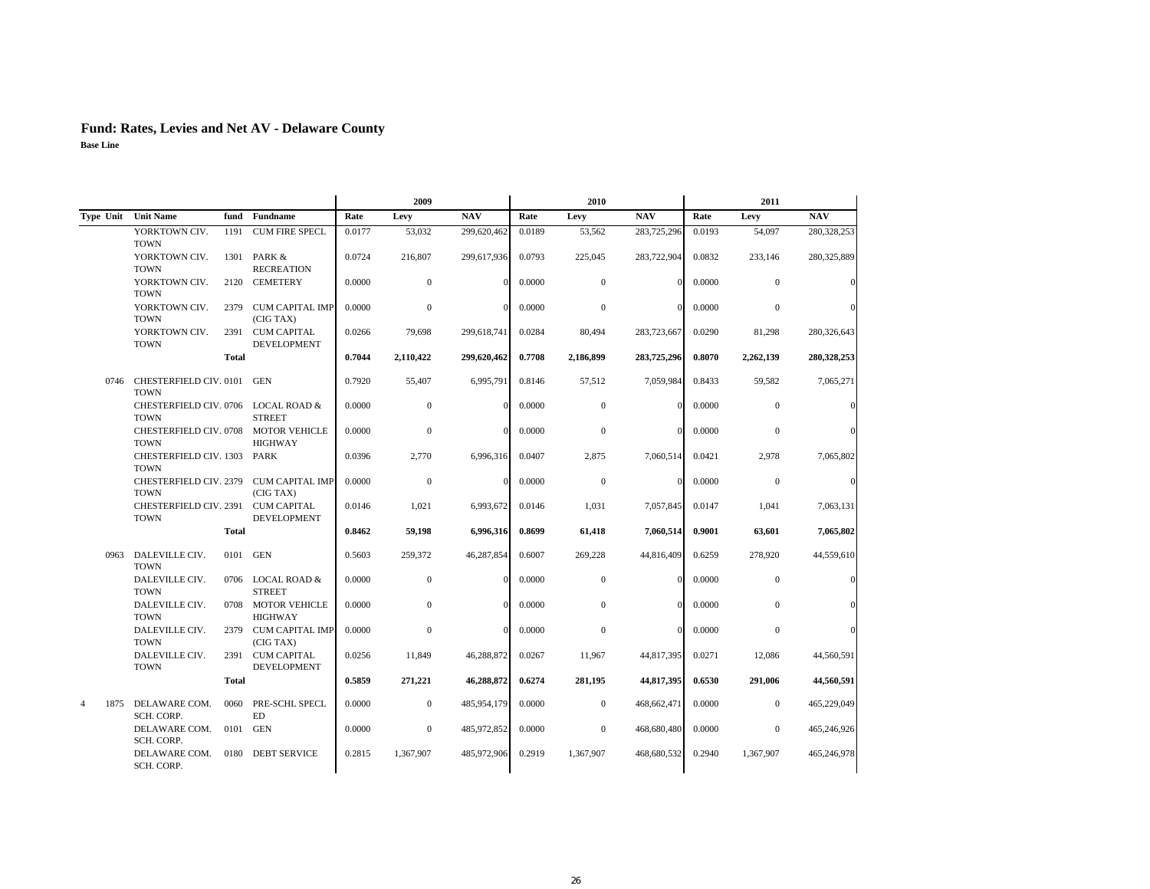|                        |                                       |              |                                          |        | 2009           |             |        | 2010         |             |        | 2011           |               |
|------------------------|---------------------------------------|--------------|------------------------------------------|--------|----------------|-------------|--------|--------------|-------------|--------|----------------|---------------|
| Type Unit              | <b>Unit Name</b>                      | fund         | <b>Fundname</b>                          | Rate   | Levy           | <b>NAV</b>  | Rate   | Levy         | <b>NAV</b>  | Rate   | Levy           | <b>NAV</b>    |
|                        | YORKTOWN CIV.<br><b>TOWN</b>          | 1191         | <b>CUM FIRE SPECL</b>                    | 0.0177 | 53,032         | 299,620,462 | 0.0189 | 53,562       | 283,725,296 | 0.0193 | 54,097         | 280,328,253   |
|                        | YORKTOWN CIV.<br><b>TOWN</b>          | 1301         | PARK &<br><b>RECREATION</b>              | 0.0724 | 216,807        | 299,617,936 | 0.0793 | 225,045      | 283,722,904 | 0.0832 | 233,146        | 280,325,889   |
|                        | YORKTOWN CIV.<br><b>TOWN</b>          | 2120         | <b>CEMETERY</b>                          | 0.0000 | $\mathbf{0}$   | $\Omega$    | 0.0000 | $\mathbf{0}$ | $\Omega$    | 0.0000 | $\overline{0}$ |               |
|                        | YORKTOWN CIV.<br><b>TOWN</b>          | 2379         | CUM CAPITAL IMP<br>(CIG TAX)             | 0.0000 | $\mathbf{0}$   | $\Omega$    | 0.0000 | $\mathbf{0}$ | $\Omega$    | 0.0000 | $\mathbf{0}$   |               |
|                        | YORKTOWN CIV.<br><b>TOWN</b>          | 2391         | <b>CUM CAPITAL</b><br><b>DEVELOPMENT</b> | 0.0266 | 79,698         | 299.618.741 | 0.0284 | 80,494       | 283,723,667 | 0.0290 | 81,298         | 280,326,643   |
|                        |                                       | <b>Total</b> |                                          | 0.7044 | 2.110.422      | 299,620,462 | 0.7708 | 2.186.899    | 283,725,296 | 0.8070 | 2,262,139      | 280,328,253   |
| 0746                   | CHESTERFIELD CIV. 0101<br><b>TOWN</b> |              | <b>GEN</b>                               | 0.7920 | 55,407         | 6,995,791   | 0.8146 | 57,512       | 7,059,984   | 0.8433 | 59,582         | 7,065,271     |
|                        | CHESTERFIELD CIV. 0706<br><b>TOWN</b> |              | <b>LOCAL ROAD &amp;</b><br><b>STREET</b> | 0.0000 | $\mathbf{0}$   | $\Omega$    | 0.0000 | $\mathbf{0}$ | $\Omega$    | 0.0000 | $\mathbf{0}$   |               |
|                        | CHESTERFIELD CIV. 0708<br><b>TOWN</b> |              | <b>MOTOR VEHICLE</b><br><b>HIGHWAY</b>   | 0.0000 | $\mathbf{0}$   | $\Omega$    | 0.0000 | $\Omega$     | $\Omega$    | 0.0000 | $\theta$       |               |
|                        | CHESTERFIELD CIV. 1303<br><b>TOWN</b> |              | <b>PARK</b>                              | 0.0396 | 2.770          | 6,996,316   | 0.0407 | 2,875        | 7,060,514   | 0.0421 | 2,978          | 7,065,802     |
|                        | CHESTERFIELD CIV. 2379<br><b>TOWN</b> |              | <b>CUM CAPITAL IMP</b><br>(CIG TAX)      | 0.0000 | $\mathbf{0}$   | $\Omega$    | 0.0000 | $\theta$     | $\Omega$    | 0.0000 | $\mathbf{0}$   | $\mathcal{C}$ |
|                        | CHESTERFIELD CIV. 2391<br><b>TOWN</b> |              | <b>CUM CAPITAL</b><br><b>DEVELOPMENT</b> | 0.0146 | 1,021          | 6,993,672   | 0.0146 | 1,031        | 7,057,845   | 0.0147 | 1,041          | 7,063,131     |
|                        |                                       | <b>Total</b> |                                          | 0.8462 | 59,198         | 6,996,316   | 0.8699 | 61,418       | 7,060,514   | 0.9001 | 63,601         | 7,065,802     |
| 0963                   | DALEVILLE CIV.<br><b>TOWN</b>         | 0101         | <b>GEN</b>                               | 0.5603 | 259,372        | 46,287,854  | 0.6007 | 269,228      | 44,816,409  | 0.6259 | 278,920        | 44,559,610    |
|                        | DALEVILLE CIV.<br><b>TOWN</b>         | 0706         | <b>LOCAL ROAD &amp;</b><br><b>STREET</b> | 0.0000 | $\mathbf{0}$   | $\Omega$    | 0.0000 | $\mathbf{0}$ | 0           | 0.0000 | $\overline{0}$ |               |
|                        | DALEVILLE CIV.<br><b>TOWN</b>         |              | 0708 MOTOR VEHICLE<br><b>HIGHWAY</b>     | 0.0000 | $\mathbf{0}$   | $\Omega$    | 0.0000 | $\Omega$     | $\Omega$    | 0.0000 | $\mathbf{0}$   |               |
|                        | DALEVILLE CIV.<br><b>TOWN</b>         | 2379         | <b>CUM CAPITAL IMP</b><br>(CIG TAX)      | 0.0000 | $\mathbf{0}$   | $\Omega$    | 0.0000 | $\mathbf{0}$ | $\Omega$    | 0.0000 | $\mathbf{0}$   |               |
|                        | DALEVILLE CIV.<br><b>TOWN</b>         | 2391         | <b>CUM CAPITAL</b><br><b>DEVELOPMENT</b> | 0.0256 | 11,849         | 46,288,872  | 0.0267 | 11,967       | 44,817,395  | 0.0271 | 12,086         | 44,560,591    |
|                        |                                       | <b>Total</b> |                                          | 0.5859 | 271,221        | 46,288,872  | 0.6274 | 281,195      | 44,817,395  | 0.6530 | 291,006        | 44,560,591    |
| $\overline{4}$<br>1875 | DELAWARE COM.<br><b>SCH. CORP.</b>    | 0060         | PRE-SCHL SPECL<br>ED                     | 0.0000 | $\overline{0}$ | 485,954,179 | 0.0000 | $\mathbf{0}$ | 468,662,471 | 0.0000 | $\overline{0}$ | 465,229,049   |
|                        | DELAWARE COM.<br>SCH. CORP.           | 0101         | GEN                                      | 0.0000 | $\mathbf{0}$   | 485,972,852 | 0.0000 | $\mathbf{0}$ | 468,680,480 | 0.0000 | $\overline{0}$ | 465,246,926   |
|                        | DELAWARE COM.<br>SCH. CORP.           | 0180         | <b>DEBT SERVICE</b>                      | 0.2815 | 1,367,907      | 485,972,906 | 0.2919 | 1.367.907    | 468,680,532 | 0.2940 | 1,367,907      | 465,246,978   |
|                        |                                       |              |                                          |        |                |             |        |              |             |        |                |               |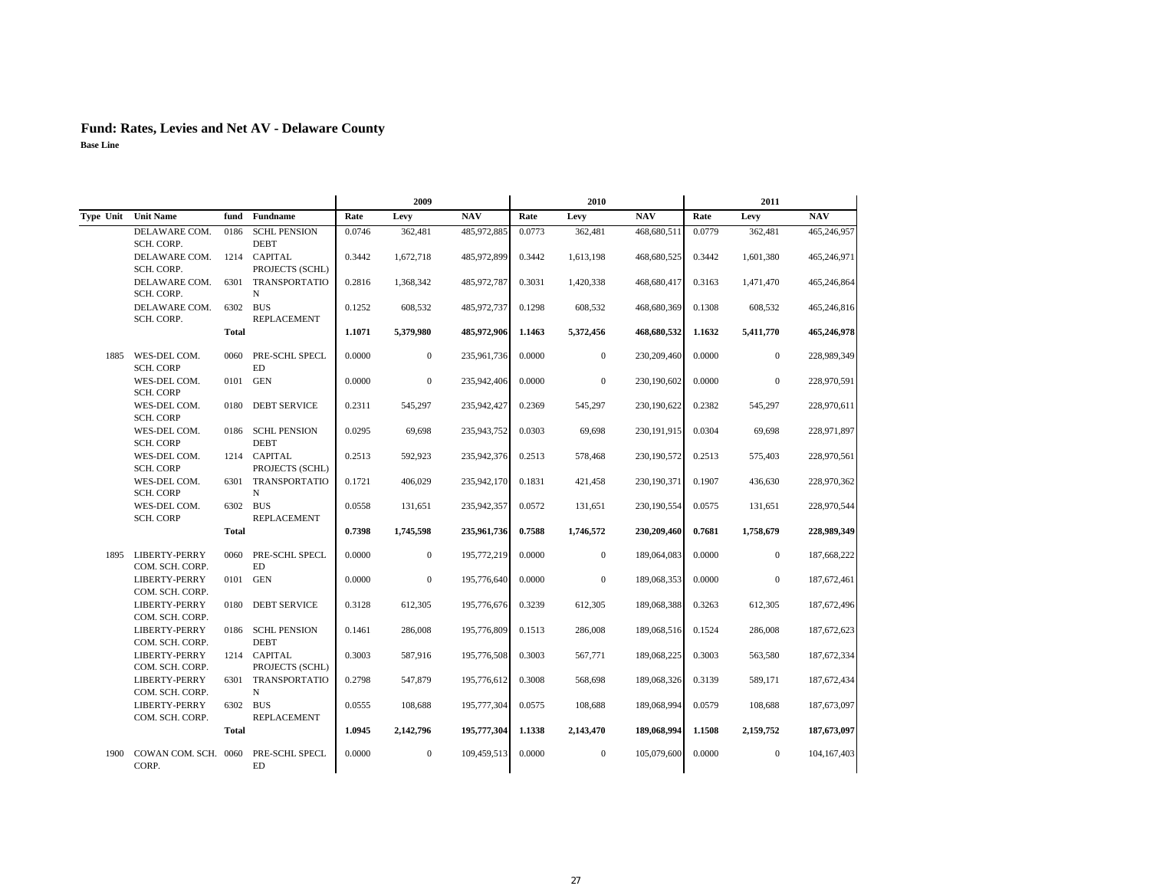|           |                                       |              |                                    | 2009   |                |             |        | 2010             |               | 2011   |                  |             |  |
|-----------|---------------------------------------|--------------|------------------------------------|--------|----------------|-------------|--------|------------------|---------------|--------|------------------|-------------|--|
| Type Unit | <b>Unit Name</b>                      | fund         | <b>Fundname</b>                    | Rate   | Levy           | <b>NAV</b>  | Rate   | Levy             | <b>NAV</b>    | Rate   | Levy             | <b>NAV</b>  |  |
|           | DELAWARE COM.<br>SCH. CORP.           | 0186         | <b>SCHL PENSION</b><br><b>DEBT</b> | 0.0746 | 362,481        | 485,972,885 | 0.0773 | 362,481          | 468,680,511   | 0.0779 | 362,481          | 465,246,957 |  |
|           | DELAWARE COM.<br>SCH. CORP.           |              | 1214 CAPITAL<br>PROJECTS (SCHL)    | 0.3442 | 1,672,718      | 485,972,899 | 0.3442 | 1,613,198        | 468,680,525   | 0.3442 | 1,601,380        | 465,246,971 |  |
|           | DELAWARE COM.<br>SCH. CORP.           | 6301         | <b>TRANSPORTATIO</b><br>N          | 0.2816 | 1,368,342      | 485,972,787 | 0.3031 | 1,420,338        | 468,680,417   | 0.3163 | 1,471,470        | 465,246,864 |  |
|           | DELAWARE COM.<br>SCH. CORP.           | 6302 BUS     | REPLACEMENT                        | 0.1252 | 608,532        | 485,972,737 | 0.1298 | 608,532          | 468,680,369   | 0.1308 | 608,532          | 465,246,816 |  |
|           |                                       | <b>Total</b> |                                    | 1.1071 | 5,379,980      | 485,972,906 | 1.1463 | 5,372,456        | 468,680,532   | 1.1632 | 5,411,770        | 465,246,978 |  |
|           | 1885 WES-DEL COM.<br><b>SCH. CORP</b> | 0060         | PRE-SCHL SPECL<br>ED               | 0.0000 | $\mathbf{0}$   | 235,961,736 | 0.0000 | $\boldsymbol{0}$ | 230, 209, 460 | 0.0000 | $\overline{0}$   | 228,989,349 |  |
|           | WES-DEL COM.<br><b>SCH. CORP</b>      | 0101         | <b>GEN</b>                         | 0.0000 | $\mathbf{0}$   | 235,942,406 | 0.0000 | $\boldsymbol{0}$ | 230,190,602   | 0.0000 | $\boldsymbol{0}$ | 228,970,591 |  |
|           | WES-DEL COM.<br><b>SCH. CORP</b>      | 0180         | <b>DEBT SERVICE</b>                | 0.2311 | 545,297        | 235,942,427 | 0.2369 | 545,297          | 230,190,622   | 0.2382 | 545,297          | 228,970,611 |  |
|           | WES-DEL COM.<br><b>SCH. CORP</b>      | 0186         | <b>SCHL PENSION</b><br><b>DEBT</b> | 0.0295 | 69,698         | 235,943,752 | 0.0303 | 69,698           | 230,191,915   | 0.0304 | 69,698           | 228,971,897 |  |
|           | WES-DEL COM.<br><b>SCH. CORP</b>      |              | 1214 CAPITAL<br>PROJECTS (SCHL)    | 0.2513 | 592,923        | 235,942,376 | 0.2513 | 578,468          | 230,190,572   | 0.2513 | 575,403          | 228,970,561 |  |
|           | WES-DEL COM.<br><b>SCH. CORP</b>      | 6301         | TRANSPORTATIO<br>N                 | 0.1721 | 406,029        | 235,942,170 | 0.1831 | 421,458          | 230,190,371   | 0.1907 | 436,630          | 228,970,362 |  |
|           | WES-DEL COM.<br><b>SCH. CORP</b>      | 6302 BUS     | REPLACEMENT                        | 0.0558 | 131,651        | 235,942,357 | 0.0572 | 131,651          | 230,190,554   | 0.0575 | 131,651          | 228,970,544 |  |
|           |                                       | <b>Total</b> |                                    | 0.7398 | 1,745,598      | 235,961,736 | 0.7588 | 1,746,572        | 230,209,460   | 0.7681 | 1,758,679        | 228,989,349 |  |
| 1895      | LIBERTY-PERRY<br>COM. SCH. CORP.      | 0060         | PRE-SCHL SPECL<br><b>ED</b>        | 0.0000 | $\mathbf{0}$   | 195,772,219 | 0.0000 | $\boldsymbol{0}$ | 189,064,083   | 0.0000 | $\overline{0}$   | 187,668,222 |  |
|           | LIBERTY-PERRY<br>COM. SCH. CORP.      | 0101         | <b>GEN</b>                         | 0.0000 | $\mathbf{0}$   | 195,776,640 | 0.0000 | $\boldsymbol{0}$ | 189,068,353   | 0.0000 | $\overline{0}$   | 187,672,461 |  |
|           | LIBERTY-PERRY<br>COM. SCH. CORP.      | 0180         | <b>DEBT SERVICE</b>                | 0.3128 | 612,305        | 195,776,676 | 0.3239 | 612,305          | 189,068,388   | 0.3263 | 612,305          | 187,672,496 |  |
|           | LIBERTY-PERRY<br>COM. SCH. CORP.      |              | 0186 SCHL PENSION<br><b>DEBT</b>   | 0.1461 | 286,008        | 195,776,809 | 0.1513 | 286,008          | 189,068,516   | 0.1524 | 286,008          | 187,672,623 |  |
|           | LIBERTY-PERRY<br>COM. SCH. CORP.      |              | 1214 CAPITAL<br>PROJECTS (SCHL)    | 0.3003 | 587,916        | 195,776,508 | 0.3003 | 567,771          | 189,068,225   | 0.3003 | 563,580          | 187,672,334 |  |
|           | LIBERTY-PERRY<br>COM. SCH. CORP.      | 6301         | <b>TRANSPORTATIO</b><br>N          | 0.2798 | 547,879        | 195,776,612 | 0.3008 | 568,698          | 189,068,326   | 0.3139 | 589.171          | 187,672,434 |  |
|           | LIBERTY-PERRY<br>COM. SCH. CORP.      | 6302 BUS     | REPLACEMENT                        | 0.0555 | 108,688        | 195,777,304 | 0.0575 | 108,688          | 189,068,994   | 0.0579 | 108,688          | 187,673,097 |  |
|           |                                       | <b>Total</b> |                                    | 1.0945 | 2,142,796      | 195,777,304 | 1.1338 | 2,143,470        | 189,068,994   | 1.1508 | 2,159,752        | 187,673,097 |  |
| 1900      | COWAN COM. SCH. 0060<br>CORP.         |              | PRE-SCHL SPECL<br><b>ED</b>        | 0.0000 | $\overline{0}$ | 109,459,513 | 0.0000 | $\mathbf{0}$     | 105,079,600   | 0.0000 | $\mathbf{0}$     | 104,167,403 |  |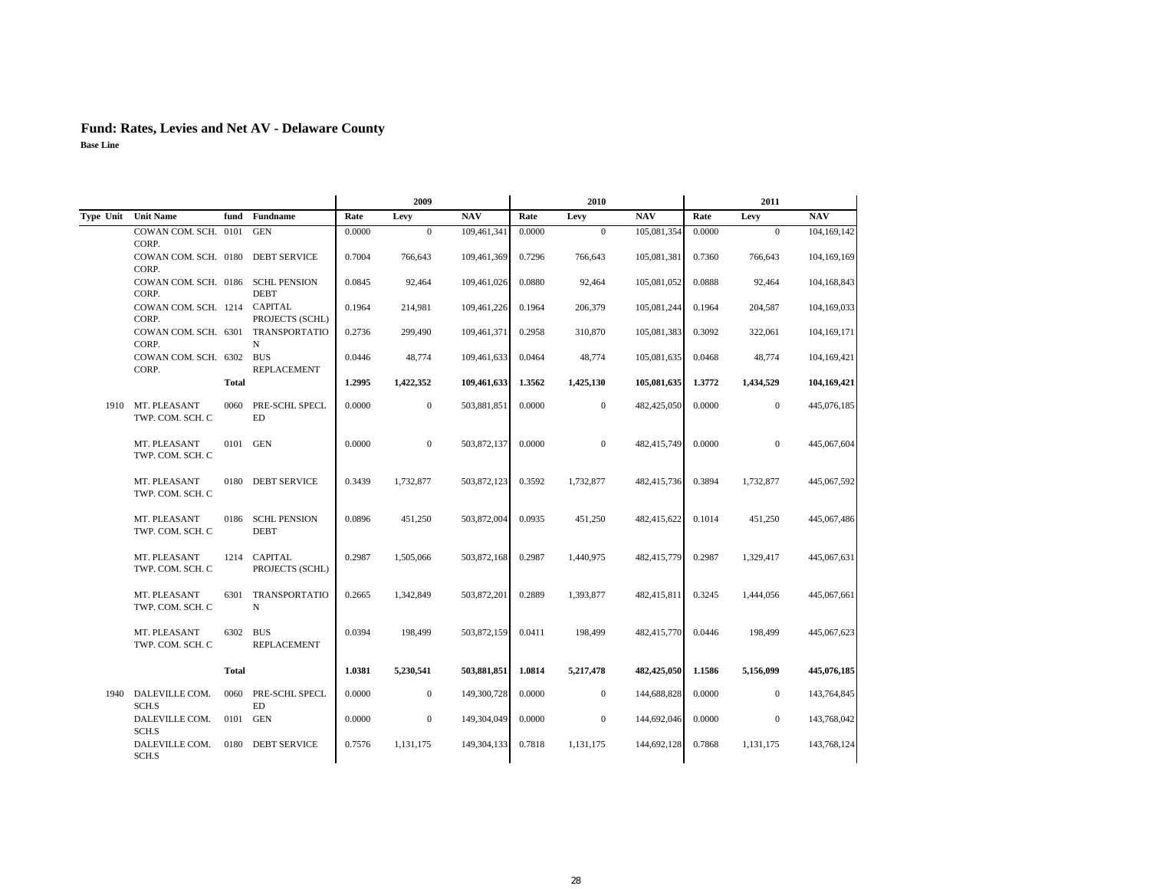|           |                                             |              |                                    | 2009   |                  |               |        | 2010           |             | 2011   |              |               |
|-----------|---------------------------------------------|--------------|------------------------------------|--------|------------------|---------------|--------|----------------|-------------|--------|--------------|---------------|
| Type Unit | <b>Unit Name</b>                            | fund         | Fundname                           | Rate   | Levy             | <b>NAV</b>    | Rate   | Levy           | <b>NAV</b>  | Rate   | Levy         | <b>NAV</b>    |
|           | COWAN COM. SCH. 0101<br>CORP.               |              | <b>GEN</b>                         | 0.0000 | $\mathbf{0}$     | 109,461,341   | 0.0000 | $\mathbf{0}$   | 105,081,354 | 0.0000 | $\mathbf{0}$ | 104,169,142   |
|           | COWAN COM. SCH. 0180<br>CORP.               |              | <b>DEBT SERVICE</b>                | 0.7004 | 766,643          | 109,461,369   | 0.7296 | 766,643        | 105,081,381 | 0.7360 | 766,643      | 104, 169, 169 |
|           | COWAN COM. SCH. 0186<br>CORP.               |              | <b>SCHL PENSION</b><br><b>DEBT</b> | 0.0845 | 92,464           | 109,461,026   | 0.0880 | 92,464         | 105,081,052 | 0.0888 | 92,464       | 104,168,843   |
|           | COWAN COM. SCH. 1214 CAPITAL<br>CORP.       |              | PROJECTS (SCHL)                    | 0.1964 | 214,981          | 109,461,226   | 0.1964 | 206,379        | 105,081,244 | 0.1964 | 204,587      | 104,169,033   |
|           | COWAN COM. SCH. 6301 TRANSPORTATIO<br>CORP. |              | N                                  | 0.2736 | 299,490          | 109,461,371   | 0.2958 | 310,870        | 105,081,383 | 0.3092 | 322,061      | 104,169,171   |
|           | COWAN COM. SCH. 6302<br>CORP.               |              | <b>BUS</b><br><b>REPLACEMENT</b>   | 0.0446 | 48,774           | 109,461,633   | 0.0464 | 48,774         | 105,081,635 | 0.0468 | 48,774       | 104,169,421   |
|           |                                             | Total        |                                    | 1.2995 | 1,422,352        | 109,461,633   | 1.3562 | 1,425,130      | 105,081,635 | 1.3772 | 1,434,529    | 104,169,421   |
| 1910      | MT. PLEASANT<br>TWP. COM. SCH. C            | 0060         | PRE-SCHL SPECL<br>ED               | 0.0000 | $\boldsymbol{0}$ | 503,881,851   | 0.0000 | $\mathbf{0}$   | 482,425,050 | 0.0000 | $\mathbf{0}$ | 445,076,185   |
|           | MT. PLEASANT<br>TWP. COM. SCH. C            | 0101         | <b>GEN</b>                         | 0.0000 | $\mathbf{0}$     | 503,872,137   | 0.0000 | $\overline{0}$ | 482,415,749 | 0.0000 | $\mathbf{0}$ | 445,067,604   |
|           | MT. PLEASANT<br>TWP. COM. SCH. C            | 0180         | <b>DEBT SERVICE</b>                | 0.3439 | 1,732,877        | 503,872,123   | 0.3592 | 1,732,877      | 482,415,736 | 0.3894 | 1,732,877    | 445,067,592   |
|           | MT. PLEASANT<br>TWP. COM. SCH. C            | 0186         | <b>SCHL PENSION</b><br><b>DEBT</b> | 0.0896 | 451,250          | 503,872,004   | 0.0935 | 451,250        | 482,415,622 | 0.1014 | 451,250      | 445,067,486   |
|           | MT. PLEASANT<br>TWP. COM. SCH. C            |              | 1214 CAPITAL<br>PROJECTS (SCHL)    | 0.2987 | 1,505,066        | 503,872,168   | 0.2987 | 1,440,975      | 482,415,779 | 0.2987 | 1,329,417    | 445,067,631   |
|           | MT. PLEASANT<br>TWP. COM. SCH. C            |              | 6301 TRANSPORTATIO<br>N            | 0.2665 | 1,342,849        | 503,872,201   | 0.2889 | 1,393,877      | 482,415,811 | 0.3245 | 1,444,056    | 445,067,661   |
|           | MT. PLEASANT<br>TWP. COM. SCH. C            | 6302 BUS     | <b>REPLACEMENT</b>                 | 0.0394 | 198,499          | 503,872,159   | 0.0411 | 198,499        | 482,415,770 | 0.0446 | 198,499      | 445,067,623   |
|           |                                             | <b>Total</b> |                                    | 1.0381 | 5,230,541        | 503,881,851   | 1.0814 | 5,217,478      | 482,425,050 | 1.1586 | 5,156,099    | 445,076,185   |
| 1940      | DALEVILLE COM.<br>SCH.S                     | 0060         | PRE-SCHL SPECL<br><b>ED</b>        | 0.0000 | $\boldsymbol{0}$ | 149,300,728   | 0.0000 | $\mathbf{0}$   | 144,688,828 | 0.0000 | $\mathbf{0}$ | 143,764,845   |
|           | DALEVILLE COM.<br>SCH.S                     | 0101         | GEN                                | 0.0000 | $\boldsymbol{0}$ | 149,304,049   | 0.0000 | $\mathbf{0}$   | 144,692,046 | 0.0000 | $\mathbf{0}$ | 143,768,042   |
|           | DALEVILLE COM.<br>SCH.S                     | 0180         | <b>DEBT SERVICE</b>                | 0.7576 | 1,131,175        | 149, 304, 133 | 0.7818 | 1,131,175      | 144,692,128 | 0.7868 | 1,131,175    | 143,768,124   |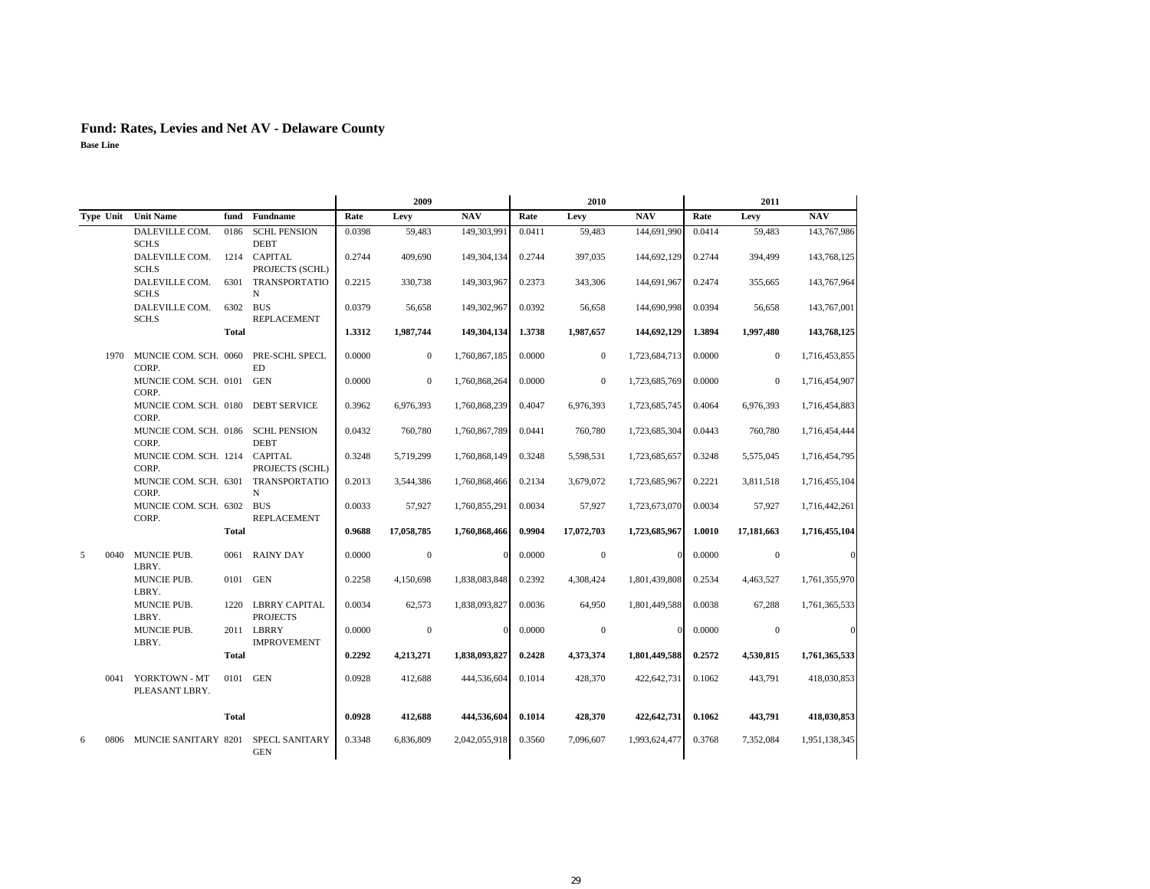|           |                                               |              |                                       |        | 2009           |               |        | 2010         |               |        | 2011         |               |
|-----------|-----------------------------------------------|--------------|---------------------------------------|--------|----------------|---------------|--------|--------------|---------------|--------|--------------|---------------|
|           | Type Unit Unit Name                           | fund         | <b>Fundname</b>                       | Rate   | Levy           | <b>NAV</b>    | Rate   | Levy         | <b>NAV</b>    | Rate   | Levy         | NAV           |
|           | DALEVILLE COM.<br>SCH.S                       | 0186         | <b>SCHL PENSION</b><br><b>DEBT</b>    | 0.0398 | 59.483         | 149,303,991   | 0.0411 | 59.483       | 144,691,990   | 0.0414 | 59,483       | 143,767,986   |
|           | DALEVILLE COM.<br>SCH.S                       |              | 1214 CAPITAL<br>PROJECTS (SCHL)       | 0.2744 | 409,690        | 149, 304, 134 | 0.2744 | 397,035      | 144,692,129   | 0.2744 | 394,499      | 143,768,125   |
|           | DALEVILLE COM.<br>SCH.S                       | 6301         | TRANSPORTATIO<br>N                    | 0.2215 | 330,738        | 149,303,967   | 0.2373 | 343,306      | 144,691,967   | 0.2474 | 355,665      | 143,767,964   |
|           | DALEVILLE COM.<br>SCH.S                       |              | 6302 BUS<br><b>REPLACEMENT</b>        | 0.0379 | 56,658         | 149,302,967   | 0.0392 | 56.658       | 144,690,998   | 0.0394 | 56,658       | 143,767,001   |
|           |                                               | Total        |                                       | 1.3312 | 1,987,744      | 149,304,134   | 1.3738 | 1,987,657    | 144,692,129   | 1.3894 | 1,997,480    | 143,768,125   |
| 1970      | MUNCIE COM. SCH. 0060 PRE-SCHL SPECL<br>CORP. |              | ED.                                   | 0.0000 | $\overline{0}$ | 1,760,867,185 | 0.0000 | $\mathbf{0}$ | 1,723,684,713 | 0.0000 | $\mathbf{0}$ | 1,716,453,855 |
|           | MUNCIE COM. SCH. 0101 GEN<br>CORP.            |              |                                       | 0.0000 | $\overline{0}$ | 1,760,868,264 | 0.0000 | $\mathbf{0}$ | 1,723,685,769 | 0.0000 | $\Omega$     | 1,716,454,907 |
|           | MUNCIE COM. SCH. 0180<br>CORP.                |              | <b>DEBT SERVICE</b>                   | 0.3962 | 6,976,393      | 1,760,868,239 | 0.4047 | 6,976,393    | 1,723,685,745 | 0.4064 | 6,976,393    | 1,716,454,883 |
|           | MUNCIE COM. SCH. 0186<br>CORP.                |              | <b>SCHL PENSION</b><br><b>DEBT</b>    | 0.0432 | 760,780        | 1,760,867,789 | 0.0441 | 760,780      | 1,723,685,304 | 0.0443 | 760,780      | 1,716,454,444 |
|           | MUNCIE COM. SCH. 1214 CAPITAL<br>CORP.        |              | PROJECTS (SCHL)                       | 0.3248 | 5,719,299      | 1,760,868,149 | 0.3248 | 5,598,531    | 1,723,685,657 | 0.3248 | 5,575,045    | 1,716,454,795 |
|           | MUNCIE COM. SCH. 6301<br>CORP.                |              | TRANSPORTATIO<br>N                    | 0.2013 | 3,544,386      | 1,760,868,466 | 0.2134 | 3,679,072    | 1,723,685,967 | 0.2221 | 3,811,518    | 1,716,455,104 |
|           | MUNCIE COM. SCH. 6302 BUS<br>CORP.            |              | <b>REPLACEMENT</b>                    | 0.0033 | 57,927         | 1,760,855,291 | 0.0034 | 57,927       | 1,723,673,070 | 0.0034 | 57,927       | 1,716,442,261 |
|           |                                               | Total        |                                       | 0.9688 | 17,058,785     | 1,760,868,466 | 0.9904 | 17,072,703   | 1,723,685,967 | 1.0010 | 17,181,663   | 1,716,455,104 |
| 5<br>0040 | MUNCIE PUB.<br>LBRY.                          |              | 0061 RAINY DAY                        | 0.0000 | $\mathbf{0}$   | $\Omega$      | 0.0000 | $\mathbf{0}$ | $\Omega$      | 0.0000 | $\mathbf{0}$ |               |
|           | MUNCIE PUB.<br>LBRY.                          |              | 0101 GEN                              | 0.2258 | 4,150,698      | 1,838,083,848 | 0.2392 | 4,308,424    | 1,801,439,808 | 0.2534 | 4,463,527    | 1,761,355,970 |
|           | <b>MUNCIE PUB.</b><br>LBRY.                   |              | 1220 LBRRY CAPITAL<br><b>PROJECTS</b> | 0.0034 | 62,573         | 1,838,093,827 | 0.0036 | 64,950       | 1,801,449,588 | 0.0038 | 67,288       | 1,761,365,533 |
|           | MUNCIE PUB.<br>LBRY.                          |              | 2011 LBRRY<br><b>IMPROVEMENT</b>      | 0.0000 | $\mathbf{0}$   | $\Omega$      | 0.0000 | $\mathbf{0}$ | $\Omega$      | 0.0000 | $\mathbf{0}$ | C             |
|           |                                               | <b>Total</b> |                                       | 0.2292 | 4,213,271      | 1.838.093.827 | 0.2428 | 4,373,374    | 1,801,449,588 | 0.2572 | 4,530,815    | 1,761,365,533 |
| 0041      | YORKTOWN - MT<br>PLEASANT LBRY.               |              | 0101 GEN                              | 0.0928 | 412,688        | 444,536,604   | 0.1014 | 428,370      | 422,642,731   | 0.1062 | 443,791      | 418,030,853   |
|           |                                               | Total        |                                       | 0.0928 | 412,688        | 444,536,604   | 0.1014 | 428,370      | 422,642,731   | 0.1062 | 443,791      | 418,030,853   |
| 6         | 0806 MUNCIE SANITARY 8201 SPECL SANITARY      |              | <b>GEN</b>                            | 0.3348 | 6,836,809      | 2,042,055,918 | 0.3560 | 7,096,607    | 1,993,624,477 | 0.3768 | 7,352,084    | 1,951,138,345 |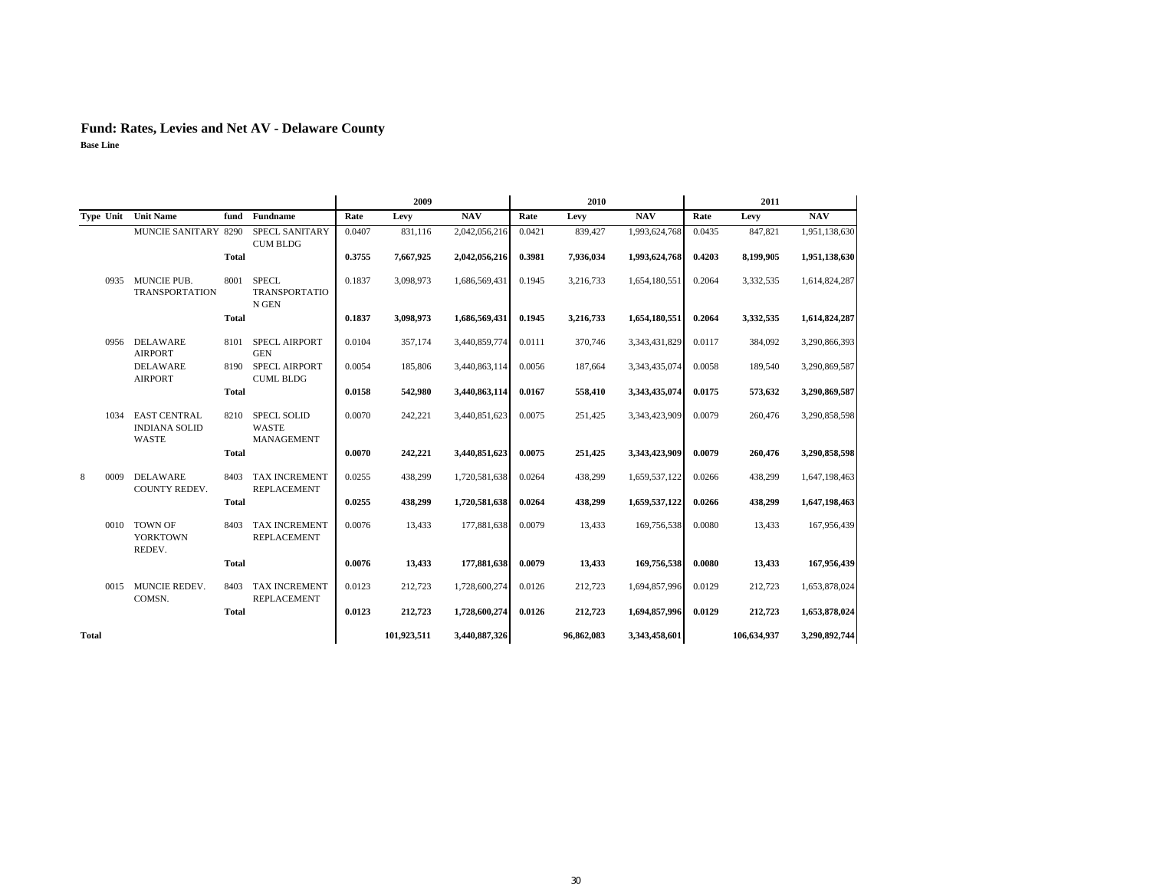|              |                                                      |              |                                                  | 2009   |             |               |        | 2010       |               | 2011   |             |               |  |
|--------------|------------------------------------------------------|--------------|--------------------------------------------------|--------|-------------|---------------|--------|------------|---------------|--------|-------------|---------------|--|
|              | Type Unit Unit Name                                  | fund         | <b>Fundname</b>                                  | Rate   | Levy        | <b>NAV</b>    | Rate   | Levy       | <b>NAV</b>    | Rate   | Levy        | NAV           |  |
|              | <b>MUNCIE SANITARY 8290</b>                          |              | <b>SPECL SANITARY</b><br><b>CUM BLDG</b>         | 0.0407 | 831,116     | 2,042,056,216 | 0.0421 | 839,427    | 1,993,624,768 | 0.0435 | 847,821     | 1,951,138,630 |  |
|              |                                                      | <b>Total</b> |                                                  | 0.3755 | 7,667,925   | 2,042,056,216 | 0.3981 | 7,936,034  | 1,993,624,768 | 0.4203 | 8,199,905   | 1,951,138,630 |  |
| 0935         | MUNCIE PUB.<br><b>TRANSPORTATION</b>                 | 8001         | <b>SPECL</b><br><b>TRANSPORTATIO</b><br>N GEN    | 0.1837 | 3,098,973   | 1,686,569,431 | 0.1945 | 3,216,733  | 1,654,180,551 | 0.2064 | 3,332,535   | 1,614,824,287 |  |
|              |                                                      | <b>Total</b> |                                                  | 0.1837 | 3,098,973   | 1,686,569,431 | 0.1945 | 3,216,733  | 1,654,180,551 | 0.2064 | 3,332,535   | 1,614,824,287 |  |
| 0956         | <b>DELAWARE</b><br><b>AIRPORT</b>                    | 8101         | <b>SPECL AIRPORT</b><br><b>GEN</b>               | 0.0104 | 357,174     | 3,440,859,774 | 0.0111 | 370,746    | 3,343,431,829 | 0.0117 | 384,092     | 3,290,866,393 |  |
|              | <b>DELAWARE</b><br><b>AIRPORT</b>                    |              | 8190 SPECL AIRPORT<br><b>CUML BLDG</b>           | 0.0054 | 185,806     | 3,440,863,114 | 0.0056 | 187,664    | 3,343,435,074 | 0.0058 | 189,540     | 3,290,869,587 |  |
|              |                                                      | <b>Total</b> |                                                  | 0.0158 | 542,980     | 3,440,863,114 | 0.0167 | 558,410    | 3,343,435,074 | 0.0175 | 573,632     | 3,290,869,587 |  |
| 1034         | <b>EAST CENTRAL</b><br><b>INDIANA SOLID</b><br>WASTE | 8210         | <b>SPECL SOLID</b><br><b>WASTE</b><br>MANAGEMENT | 0.0070 | 242,221     | 3,440,851,623 | 0.0075 | 251,425    | 3,343,423,909 | 0.0079 | 260,476     | 3,290,858,598 |  |
|              |                                                      | <b>Total</b> |                                                  | 0.0070 | 242,221     | 3,440,851,623 | 0.0075 | 251,425    | 3,343,423,909 | 0.0079 | 260,476     | 3,290,858,598 |  |
| 0009<br>8    | <b>DELAWARE</b><br>COUNTY REDEV.                     | 8403         | <b>TAX INCREMENT</b><br><b>REPLACEMENT</b>       | 0.0255 | 438,299     | 1,720,581,638 | 0.0264 | 438,299    | 1,659,537,122 | 0.0266 | 438,299     | 1,647,198,463 |  |
|              |                                                      | <b>Total</b> |                                                  | 0.0255 | 438,299     | 1,720,581,638 | 0.0264 | 438,299    | 1,659,537,122 | 0.0266 | 438,299     | 1,647,198,463 |  |
| 0010         | <b>TOWN OF</b><br><b>YORKTOWN</b><br>REDEV.          | 8403         | <b>TAX INCREMENT</b><br><b>REPLACEMENT</b>       | 0.0076 | 13,433      | 177,881,638   | 0.0079 | 13,433     | 169,756,538   | 0.0080 | 13,433      | 167,956,439   |  |
|              |                                                      | <b>Total</b> |                                                  | 0.0076 | 13,433      | 177,881,638   | 0.0079 | 13,433     | 169,756,538   | 0.0080 | 13,433      | 167,956,439   |  |
| 0015         | MUNCIE REDEV.<br>COMSN.                              | 8403         | <b>TAX INCREMENT</b><br><b>REPLACEMENT</b>       | 0.0123 | 212,723     | 1,728,600,274 | 0.0126 | 212,723    | 1,694,857,996 | 0.0129 | 212,723     | 1,653,878,024 |  |
|              |                                                      | <b>Total</b> |                                                  | 0.0123 | 212,723     | 1,728,600,274 | 0.0126 | 212,723    | 1,694,857,996 | 0.0129 | 212,723     | 1,653,878,024 |  |
| <b>Total</b> |                                                      |              |                                                  |        | 101,923,511 | 3,440,887,326 |        | 96,862,083 | 3,343,458,601 |        | 106,634,937 | 3,290,892,744 |  |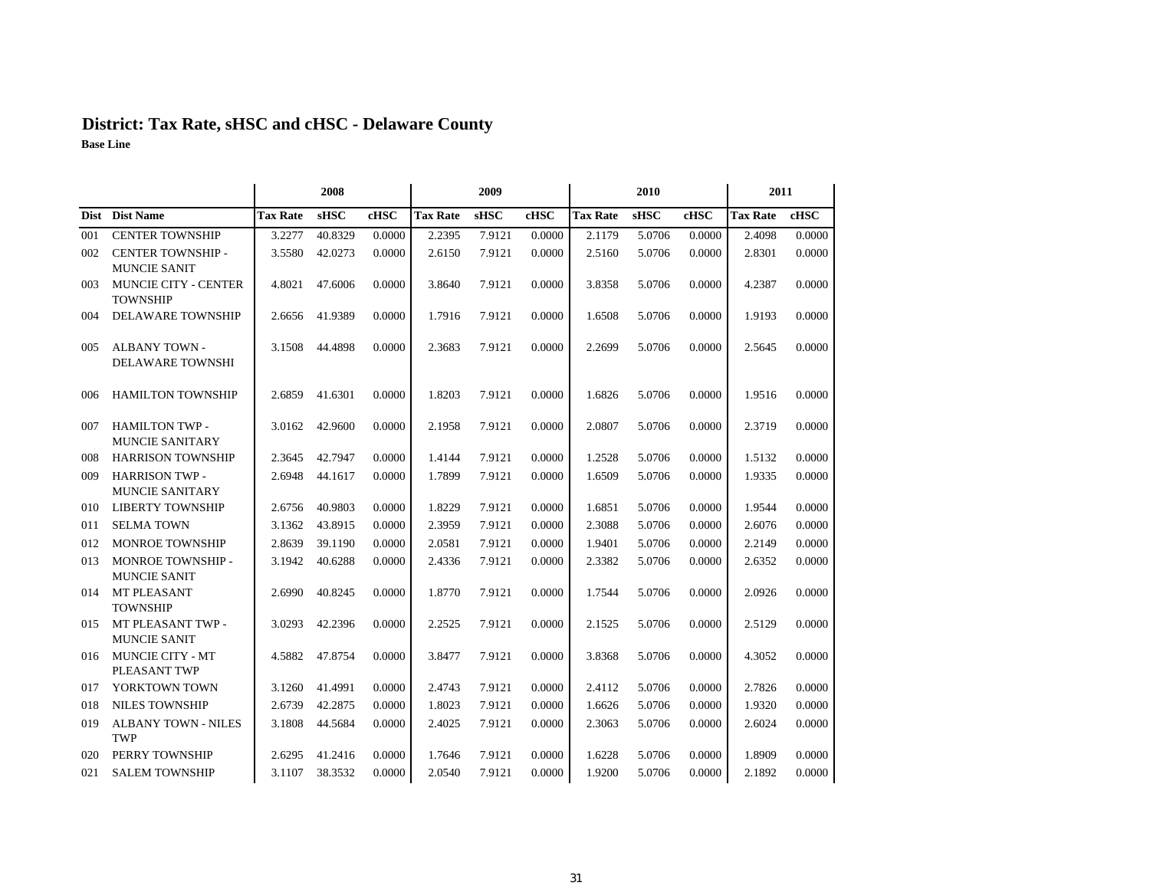# **District: Tax Rate, sHSC and cHSC - Delaware County**

|     |                                                 |                 | 2008        |        |                 | 2009        |        |                 | 2010        |        | 2011            |        |  |
|-----|-------------------------------------------------|-----------------|-------------|--------|-----------------|-------------|--------|-----------------|-------------|--------|-----------------|--------|--|
|     | Dist Dist Name                                  | <b>Tax Rate</b> | <b>sHSC</b> | cHSC   | <b>Tax Rate</b> | <b>sHSC</b> | cHSC   | <b>Tax Rate</b> | <b>sHSC</b> | cHSC   | <b>Tax Rate</b> | cHSC   |  |
| 001 | <b>CENTER TOWNSHIP</b>                          | 3.2277          | 40.8329     | 0.0000 | 2.2395          | 7.9121      | 0.0000 | 2.1179          | 5.0706      | 0.0000 | 2.4098          | 0.0000 |  |
| 002 | CENTER TOWNSHIP -                               | 3.5580          | 42.0273     | 0.0000 | 2.6150          | 7.9121      | 0.0000 | 2.5160          | 5.0706      | 0.0000 | 2.8301          | 0.0000 |  |
|     | <b>MUNCIE SANIT</b>                             |                 |             |        |                 |             |        |                 |             |        |                 |        |  |
| 003 | <b>MUNCIE CITY - CENTER</b><br><b>TOWNSHIP</b>  | 4.8021          | 47.6006     | 0.0000 | 3.8640          | 7.9121      | 0.0000 | 3.8358          | 5.0706      | 0.0000 | 4.2387          | 0.0000 |  |
| 004 | <b>DELAWARE TOWNSHIP</b>                        | 2.6656          | 41.9389     | 0.0000 | 1.7916          | 7.9121      | 0.0000 | 1.6508          | 5.0706      | 0.0000 | 1.9193          | 0.0000 |  |
| 005 | <b>ALBANY TOWN -</b><br><b>DELAWARE TOWNSHI</b> | 3.1508          | 44.4898     | 0.0000 | 2.3683          | 7.9121      | 0.0000 | 2.2699          | 5.0706      | 0.0000 | 2.5645          | 0.0000 |  |
| 006 | <b>HAMILTON TOWNSHIP</b>                        | 2.6859          | 41.6301     | 0.0000 | 1.8203          | 7.9121      | 0.0000 | 1.6826          | 5.0706      | 0.0000 | 1.9516          | 0.0000 |  |
| 007 | <b>HAMILTON TWP -</b><br><b>MUNCIE SANITARY</b> | 3.0162          | 42.9600     | 0.0000 | 2.1958          | 7.9121      | 0.0000 | 2.0807          | 5.0706      | 0.0000 | 2.3719          | 0.0000 |  |
| 008 | <b>HARRISON TOWNSHIP</b>                        | 2.3645          | 42.7947     | 0.0000 | 1.4144          | 7.9121      | 0.0000 | 1.2528          | 5.0706      | 0.0000 | 1.5132          | 0.0000 |  |
| 009 | <b>HARRISON TWP -</b><br><b>MUNCIE SANITARY</b> | 2.6948          | 44.1617     | 0.0000 | 1.7899          | 7.9121      | 0.0000 | 1.6509          | 5.0706      | 0.0000 | 1.9335          | 0.0000 |  |
| 010 | <b>LIBERTY TOWNSHIP</b>                         | 2.6756          | 40.9803     | 0.0000 | 1.8229          | 7.9121      | 0.0000 | 1.6851          | 5.0706      | 0.0000 | 1.9544          | 0.0000 |  |
| 011 | <b>SELMA TOWN</b>                               | 3.1362          | 43.8915     | 0.0000 | 2.3959          | 7.9121      | 0.0000 | 2.3088          | 5.0706      | 0.0000 | 2.6076          | 0.0000 |  |
| 012 | MONROE TOWNSHIP                                 | 2.8639          | 39.1190     | 0.0000 | 2.0581          | 7.9121      | 0.0000 | 1.9401          | 5.0706      | 0.0000 | 2.2149          | 0.0000 |  |
| 013 | MONROE TOWNSHIP -<br><b>MUNCIE SANIT</b>        | 3.1942          | 40.6288     | 0.0000 | 2.4336          | 7.9121      | 0.0000 | 2.3382          | 5.0706      | 0.0000 | 2.6352          | 0.0000 |  |
| 014 | MT PLEASANT<br><b>TOWNSHIP</b>                  | 2.6990          | 40.8245     | 0.0000 | 1.8770          | 7.9121      | 0.0000 | 1.7544          | 5.0706      | 0.0000 | 2.0926          | 0.0000 |  |
| 015 | MT PLEASANT TWP -<br><b>MUNCIE SANIT</b>        | 3.0293          | 42.2396     | 0.0000 | 2.2525          | 7.9121      | 0.0000 | 2.1525          | 5.0706      | 0.0000 | 2.5129          | 0.0000 |  |
| 016 | MUNCIE CITY - MT<br>PLEASANT TWP                | 4.5882          | 47.8754     | 0.0000 | 3.8477          | 7.9121      | 0.0000 | 3.8368          | 5.0706      | 0.0000 | 4.3052          | 0.0000 |  |
| 017 | YORKTOWN TOWN                                   | 3.1260          | 41.4991     | 0.0000 | 2.4743          | 7.9121      | 0.0000 | 2.4112          | 5.0706      | 0.0000 | 2.7826          | 0.0000 |  |
| 018 | <b>NILES TOWNSHIP</b>                           | 2.6739          | 42.2875     | 0.0000 | 1.8023          | 7.9121      | 0.0000 | 1.6626          | 5.0706      | 0.0000 | 1.9320          | 0.0000 |  |
| 019 | <b>ALBANY TOWN - NILES</b><br>TWP               | 3.1808          | 44.5684     | 0.0000 | 2.4025          | 7.9121      | 0.0000 | 2.3063          | 5.0706      | 0.0000 | 2.6024          | 0.0000 |  |
| 020 | PERRY TOWNSHIP                                  | 2.6295          | 41.2416     | 0.0000 | 1.7646          | 7.9121      | 0.0000 | 1.6228          | 5.0706      | 0.0000 | 1.8909          | 0.0000 |  |
| 021 | <b>SALEM TOWNSHIP</b>                           | 3.1107          | 38.3532     | 0.0000 | 2.0540          | 7.9121      | 0.0000 | 1.9200          | 5.0706      | 0.0000 | 2.1892          | 0.0000 |  |